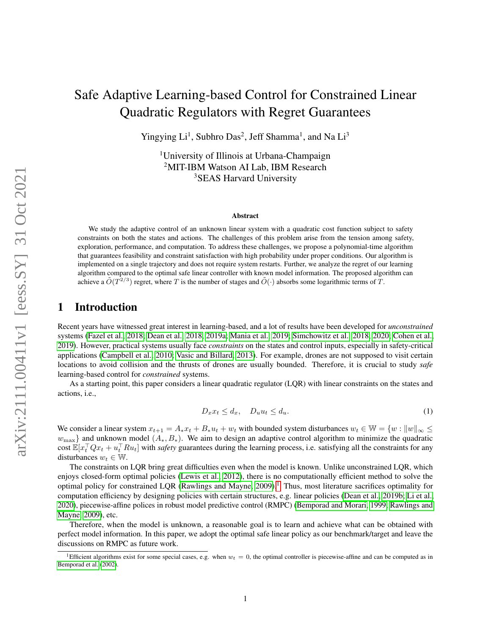# <span id="page-0-0"></span>Safe Adaptive Learning-based Control for Constrained Linear Quadratic Regulators with Regret Guarantees

Yingying Li<sup>1</sup>, Subhro Das<sup>2</sup>, Jeff Shamma<sup>1</sup>, and Na Li<sup>3</sup>

<sup>1</sup>University of Illinois at Urbana-Champaign <sup>2</sup>MIT-IBM Watson AI Lab, IBM Research <sup>3</sup>SEAS Harvard University

#### Abstract

We study the adaptive control of an unknown linear system with a quadratic cost function subject to safety constraints on both the states and actions. The challenges of this problem arise from the tension among safety, exploration, performance, and computation. To address these challenges, we propose a polynomial-time algorithm that guarantees feasibility and constraint satisfaction with high probability under proper conditions. Our algorithm is implemented on a single trajectory and does not require system restarts. Further, we analyze the regret of our learning algorithm compared to the optimal safe linear controller with known model information. The proposed algorithm can achieve a  $\tilde{O}(T^{2/3})$  regret, where T is the number of stages and  $\tilde{O}(\cdot)$  absorbs some logarithmic terms of T.

## 1 Introduction

Recent years have witnessed great interest in learning-based, and a lot of results have been developed for *unconstrained* systems [\(Fazel et al., 2018;](#page-10-0) [Dean et al., 2018,](#page-10-1) [2019a;](#page-10-2) [Mania et al., 2019;](#page-10-3) [Simchowitz et al., 2018,](#page-10-4) [2020;](#page-10-5) [Cohen et al.,](#page-10-6) [2019\)](#page-10-6). However, practical systems usually face *constraints* on the states and control inputs, especially in safety-critical applications [\(Campbell et al., 2010;](#page-10-7) [Vasic and Billard, 2013\)](#page-11-0). For example, drones are not supposed to visit certain locations to avoid collision and the thrusts of drones are usually bounded. Therefore, it is crucial to study *safe* learning-based control for *constrained* systems.

As a starting point, this paper considers a linear quadratic regulator (LQR) with linear constraints on the states and actions, i.e.,

$$
D_x x_t \le d_x, \quad D_u u_t \le d_u. \tag{1}
$$

We consider a linear system  $x_{t+1} = A_*x_t + B_*u_t + w_t$  with bounded system disturbances  $w_t \in \mathbb{W} = \{w : ||w||_{\infty} \leq$  $w_{\text{max}}$  and unknown model  $(A_*, B_*)$ . We aim to design an adaptive control algorithm to minimize the quadratic cost  $\mathbb{E}[x_t^\top Qx_t + u_t^\top R u_t]$  with *safety* guarantees during the learning process, i.e. satisfying all the constraints for any disturbances  $w_t \in \mathbb{W}$ .

The constraints on LQR bring great difficulties even when the model is known. Unlike unconstrained LQR, which enjoys closed-form optimal policies [\(Lewis et al., 2012\)](#page-11-1), there is no computationally efficient method to solve the optimal policy for constrained LQR [\(Rawlings and Mayne, 2009\)](#page-11-2).<sup>1</sup> Thus, most literature sacrifices optimality for computation efficiency by designing policies with certain structures, e.g. linear policies [\(Dean et al., 2019b;](#page-11-3) [Li et al.,](#page-11-4) [2020\)](#page-11-4), piecewise-affine polices in robust model predictive control (RMPC) [\(Bemporad and Morari, 1999;](#page-11-5) [Rawlings and](#page-11-2) [Mayne, 2009\)](#page-11-2), etc.

Therefore, when the model is unknown, a reasonable goal is to learn and achieve what can be obtained with perfect model information. In this paper, we adopt the optimal safe linear policy as our benchmark/target and leave the discussions on RMPC as future work.

<sup>&</sup>lt;sup>1</sup>Efficient algorithms exist for some special cases, e.g. when  $w_t = 0$ , the optimal controller is piecewise-affine and can be computed as in [Bemporad et al.](#page-11-6) [\(2002\)](#page-11-6).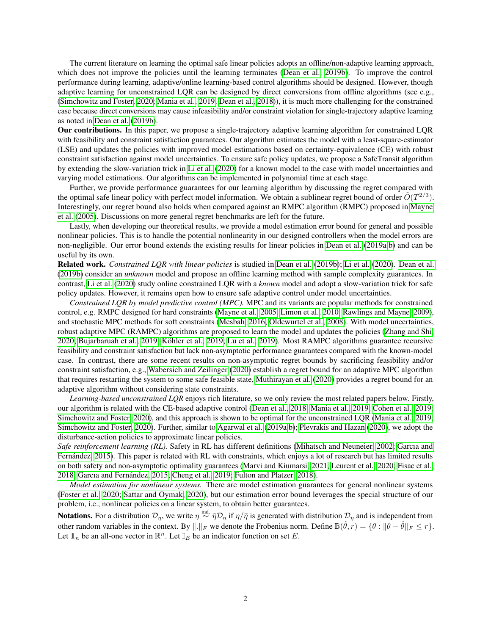The current literature on learning the optimal safe linear policies adopts an offline/non-adaptive learning approach, which does not improve the policies until the learning terminates [\(Dean et al., 2019b\)](#page-11-3). To improve the control performance during learning, adaptive/online learning-based control algorithms should be designed. However, though adaptive learning for unconstrained LQR can be designed by direct conversions from offline algorithms (see e.g., [\(Simchowitz and Foster, 2020;](#page-11-7) [Mania et al., 2019;](#page-10-3) [Dean et al., 2018\)](#page-10-1)), it is much more challenging for the constrained case because direct conversions may cause infeasibility and/or constraint violation for single-trajectory adaptive learning as noted in [Dean et al.](#page-11-3) [\(2019b\)](#page-11-3).

Our contributions. In this paper, we propose a single-trajectory adaptive learning algorithm for constrained LQR with feasibility and constraint satisfaction guarantees. Our algorithm estimates the model with a least-square-estimator (LSE) and updates the policies with improved model estimations based on certainty-equivalence (CE) with robust constraint satisfaction against model uncertainties. To ensure safe policy updates, we propose a SafeTransit algorithm by extending the slow-variation trick in [Li et al.](#page-11-4) [\(2020\)](#page-11-4) for a known model to the case with model uncertainties and varying model estimations. Our algorithms can be implemented in polynomial time at each stage.

Further, we provide performance guarantees for our learning algorithm by discussing the regret compared with the optimal safe linear policy with perfect model information. We obtain a sublinear regret bound of order  $O(T^{2/3})$ . Interestingly, our regret bound also holds when compared against an RMPC algorithm (RMPC) proposed in [Mayne](#page-11-8) [et al.](#page-11-8) [\(2005\)](#page-11-8). Discussions on more general regret benchmarks are left for the future.

Lastly, when developing our theoretical results, we provide a model estimation error bound for general and possible nonlinear policies. This is to handle the potential nonlinearity in our designed controllers when the model errors are non-negligible. Our error bound extends the existing results for linear policies in [Dean et al.](#page-10-2) [\(2019a,](#page-10-2)[b\)](#page-11-3) and can be useful by its own.

Related work. *Constrained LQR with linear policies* is studied in [Dean et al.](#page-11-3) [\(2019b\)](#page-11-3); [Li et al.](#page-11-4) [\(2020\)](#page-11-4). [Dean et al.](#page-11-3) [\(2019b\)](#page-11-3) consider an *unknown* model and propose an offline learning method with sample complexity guarantees. In contrast, [Li et al.](#page-11-4) [\(2020\)](#page-11-4) study online constrained LQR with a *known* model and adopt a slow-variation trick for safe policy updates. However, it remains open how to ensure safe adaptive control under model uncertainties.

*Constrained LQR by model predictive control (MPC).* MPC and its variants are popular methods for constrained control, e.g. RMPC designed for hard constraints [\(Mayne et al., 2005;](#page-11-8) [Limon et al., 2010;](#page-11-9) [Rawlings and Mayne, 2009\)](#page-11-2), and stochastic MPC methods for soft constraints [\(Mesbah, 2016;](#page-11-10) [Oldewurtel et al., 2008\)](#page-11-11). With model uncertainties, robust adaptive MPC (RAMPC) algorithms are proposed to learn the model and updates the policies [\(Zhang and Shi,](#page-11-12) [2020;](#page-11-12) [Bujarbaruah et al., 2019;](#page-11-13) [Köhler et al., 2019;](#page-11-14) [Lu et al., 2019\)](#page-11-15). Most RAMPC algorithms guarantee recursive feasibility and constraint satisfaction but lack non-asymptotic performance guarantees compared with the known-model case. In contrast, there are some recent results on non-asymptotic regret bounds by sacrificing feasibility and/or constraint satisfaction, e.g., [Wabersich and Zeilinger](#page-11-16) [\(2020\)](#page-11-16) establish a regret bound for an adaptive MPC algorithm that requires restarting the system to some safe feasible state, [Muthirayan et al.](#page-11-17) [\(2020\)](#page-11-17) provides a regret bound for an adaptive algorithm without considering state constraints.

*Learning-based unconstrained LQR* enjoys rich literature, so we only review the most related papers below. Firstly, our algorithm is related with the CE-based adaptive control [\(Dean et al., 2018;](#page-10-1) [Mania et al., 2019;](#page-10-3) [Cohen et al., 2019;](#page-10-6) [Simchowitz and Foster, 2020\)](#page-11-7), and this approach is shown to be optimal for the unconstrained LQR [\(Mania et al., 2019;](#page-10-3) [Simchowitz and Foster, 2020\)](#page-11-7). Further, similar to [Agarwal et al.](#page-11-18) [\(2019a,](#page-11-18)[b\)](#page-11-19); [Plevrakis and Hazan](#page-12-0) [\(2020\)](#page-12-0), we adopt the disturbance-action policies to approximate linear policies.

*Safe reinforcement learning (RL).* Safety in RL has different definitions [\(Mihatsch and Neuneier, 2002;](#page-12-1) [Garcıa and](#page-12-2) [Fernández, 2015\)](#page-12-2). This paper is related with RL with constraints, which enjoys a lot of research but has limited results on both safety and non-asymptotic optimality guarantees [\(Marvi and Kiumarsi, 2021;](#page-12-3) [Leurent et al., 2020;](#page-12-4) [Fisac et al.,](#page-12-5) [2018;](#page-12-5) [Garcıa and Fernández, 2015;](#page-12-2) [Cheng et al., 2019;](#page-12-6) [Fulton and Platzer, 2018\)](#page-12-7).

*Model estimation for nonlinear systems.* There are model estimation guarantees for general nonlinear systems [\(Foster et al., 2020;](#page-12-8) [Sattar and Oymak, 2020\)](#page-12-9), but our estimation error bound leverages the special structure of our problem, i.e., nonlinear policies on a linear system, to obtain better guarantees.

**Notations.** For a distribution  $\mathcal{D}_\eta$ , we write  $\eta \stackrel{\text{ind.}}{\sim} \bar{\eta} \mathcal{D}_\eta$  if  $\eta/\bar{\eta}$  is generated with distribution  $\mathcal{D}_\eta$  and is independent from other random variables in the context. By  $\|\cdot\|_F$  we denote the Frobenius norm. Define  $\mathbb{B}(\hat{\theta}, r) = \{\theta : \|\theta - \hat{\theta}\|_F \leq r\}.$ Let  $\mathbb{1}_n$  be an all-one vector in  $\mathbb{R}^n$ . Let  $\mathbb{I}_E$  be an indicator function on set E.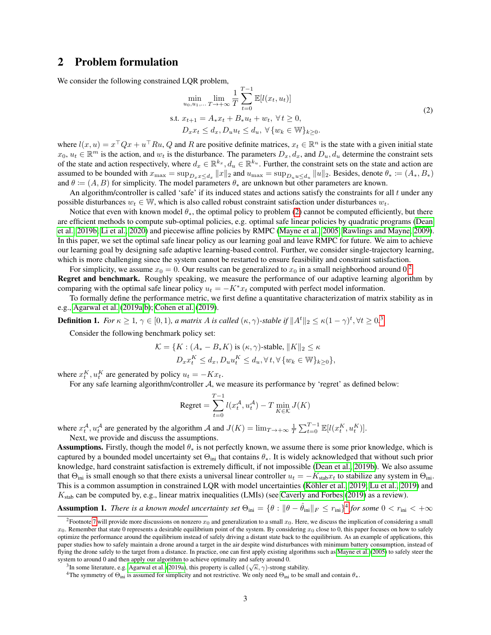## 2 Problem formulation

We consider the following constrained LQR problem,

<span id="page-2-0"></span>
$$
\min_{u_0, u_1, \dots, T \to +\infty} \frac{1}{T} \sum_{t=0}^{T-1} \mathbb{E}[l(x_t, u_t)]
$$
  
s.t.  $x_{t+1} = A_* x_t + B_* u_t + w_t, \forall t \ge 0,$   
 $D_x x_t \le d_x, D_u u_t \le d_u, \forall \{w_k \in \mathbb{W}\}_{k \ge 0}.$  (2)

where  $l(x, u) = x^\top Q x + u^\top R u$ , Q and R are positive definite matrices,  $x_t \in \mathbb{R}^n$  is the state with a given initial state  $x_0, u_t \in \mathbb{R}^m$  is the action, and  $w_t$  is the disturbance. The parameters  $D_x, d_x$ , and  $D_u, d_u$  determine the constraint sets of the state and action respectively, where  $d_x \in \mathbb{R}^{k_x}$ ,  $d_u \in \mathbb{R}^{k_u}$ . Further, the constraint sets on the state and action are assumed to be bounded with  $x_{\max} = \sup_{D_x x \le d_x} ||x||_2$  and  $u_{\max} = \sup_{D_u u \le d_u} ||u||_2$ . Besides, denote  $\theta_* := (A_*, B_*)$ and  $\theta := (A, B)$  for simplicity. The model parameters  $\theta_*$  are unknown but other parameters are known.

An algorithm/controller is called 'safe' if its induced states and actions satisfy the constraints for all  $t$  under any possible disturbances  $w_t \in \mathbb{W}$ , which is also called robust constraint satisfaction under disturbances  $w_t$ .

Notice that even with known model  $\theta_*$ , the optimal policy to problem [\(2\)](#page-2-0) cannot be computed efficiently, but there are efficient methods to compute sub-optimal policies, e.g. optimal safe linear policies by quadratic programs [\(Dean](#page-11-3) [et al., 2019b;](#page-11-3) [Li et al., 2020\)](#page-11-4) and piecewise affine policies by RMPC [\(Mayne et al., 2005;](#page-11-8) [Rawlings and Mayne, 2009\)](#page-11-2). In this paper, we set the optimal safe linear policy as our learning goal and leave RMPC for future. We aim to achieve our learning goal by designing safe adaptive learning-based control. Further, we consider single-trajectory learning, which is more challenging since the system cannot be restarted to ensure feasibility and constraint satisfaction.

For simplicity, we assume  $x_0 = 0$ . Our results can be generalized to  $x_0$  in a small neighborhood around 0.<sup>[2](#page-0-0)</sup> Regret and benchmark. Roughly speaking, we measure the performance of our adaptive learning algorithm by comparing with the optimal safe linear policy  $u_t = -K^*x_t$  computed with perfect model information.

To formally define the performance metric, we first define a quantitative characterization of matrix stability as in e.g., [Agarwal et al.](#page-11-18) [\(2019a,](#page-11-18)[b\)](#page-11-19); [Cohen et al.](#page-10-6) [\(2019\)](#page-10-6).

**Definition 1.** For  $\kappa \geq 1$ ,  $\gamma \in [0,1)$ , a matrix A is called  $(\kappa, \gamma)$ -stable if  $||A^t||_2 \leq \kappa(1-\gamma)^t$ ,  $\forall t \geq 0$ .<sup>[3](#page-0-0)</sup>

Consider the following benchmark policy set:

$$
\mathcal{K} = \{ K : (A_{*} - B_{*}K) \text{ is } (\kappa, \gamma)\text{-stable}, \|K\|_{2} \leq \kappa
$$
  

$$
D_{x}x_{t}^{K} \leq d_{x}, D_{u}u_{t}^{K} \leq d_{u}, \forall t, \forall \{w_{k} \in \mathbb{W}\}_{k \geq 0} \},
$$

where  $x_t^K$ ,  $u_t^K$  are generated by policy  $u_t = -Kx_t$ .

For any safe learning algorithm/controller A, we measure its performance by 'regret' as defined below:

$$
\text{Regret} = \sum_{t=0}^{T-1} l(x_t^{\mathcal{A}}, u_t^{\mathcal{A}}) - T \min_{K \in \mathcal{K}} J(K)
$$

where  $x_t^{\mathcal{A}}, u_t^{\mathcal{A}}$  are generated by the algorithm  $\mathcal{A}$  and  $J(K) = \lim_{T \to +\infty} \frac{1}{T} \sum_{t=0}^{T-1} \mathbb{E}[l(x_t^K, u_t^K)]$ . Next, we provide and discuss the assumptions.

**Assumptions.** Firstly, though the model  $\theta_*$  is not perfectly known, we assume there is some prior knowledge, which is captured by a bounded model uncertainty set  $\Theta_{\text{ini}}$  that contains  $\theta_*$ . It is widely acknowledged that without such prior knowledge, hard constraint satisfaction is extremely difficult, if not impossible [\(Dean et al., 2019b\)](#page-11-3). We also assume that  $\Theta_{\text{ini}}$  is small enough so that there exists a universal linear controller  $u_t = -K_{\text{stab}}x_t$  to stabilize any system in  $\Theta_{\text{ini}}$ . This is a common assumption in constrained LQR with model uncertainties [\(Köhler et al., 2019;](#page-11-14) [Lu et al., 2019\)](#page-11-15) and  $K_{\text{stab}}$  can be computed by, e.g., linear matrix inequalities (LMIs) (see [Caverly and Forbes](#page-12-10) [\(2019\)](#page-12-10) as a review).

**Assumption 1.** *There is a known model uncertainty set*  $\Theta_{\text{ini}} = \{\theta : \|\theta - \hat{\theta}_{\text{ini}}\|_F \le r_{\text{ini}}\}^4$  $\Theta_{\text{ini}} = \{\theta : \|\theta - \hat{\theta}_{\text{ini}}\|_F \le r_{\text{ini}}\}^4$  for some  $0 < r_{\text{ini}} < +\infty$ 

<sup>&</sup>lt;sup>2</sup>Footnote [7](#page-4-0) will provide more discussions on nonzero  $x_0$  and generalization to a small  $x_0$ . Here, we discuss the implication of considering a small  $x_0$ . Remember that state 0 represents a desirable equilibrium point of the system. By considering  $x_0$  close to 0, this paper focuses on how to safely optimize the performance around the equilibrium instead of safely driving a distant state back to the equilibrium. As an example of applications, this paper studies how to safely maintain a drone around a target in the air despite wind disturbances with minimum battery consumption, instead of flying the drone safely to the target from a distance. In practice, one can first apply existing algorithms such as [Mayne et al.](#page-11-8) [\(2005\)](#page-11-8) to safely steer the system to around 0 and then apply our algorithm to achieve optimality and safety around 0.

<sup>&</sup>lt;sup>3</sup>In some literature, e.g. [Agarwal et al.](#page-11-18) [\(2019a\)](#page-11-18), this property is called  $(\sqrt{\kappa}, \gamma)$ -strong stability.

<sup>&</sup>lt;sup>4</sup>The symmetry of  $\Theta_{\text{ini}}$  is assumed for simplicity and not restrictive. We only need  $\Theta_{\text{ini}}$  to be small and contain  $\theta_*$ .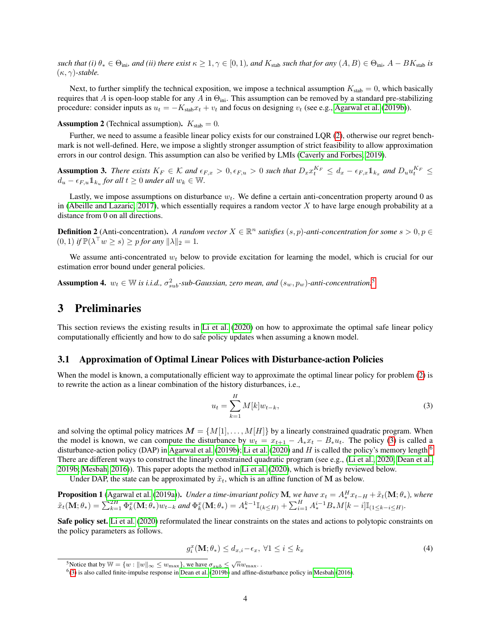*such that (i)*  $\theta_* \in \Theta_{\text{ini}}$ *, and (ii) there exist*  $\kappa \geq 1, \gamma \in [0, 1)$ *, and*  $K_{\text{stab}}$ *such that for any*  $(A, B) \in \Theta_{\text{ini}}$ *, A – BK*<sub>stab</sub> *is*  $(\kappa, \gamma)$ *-stable.* 

Next, to further simplify the technical exposition, we impose a technical assumption  $K_{\text{stab}} = 0$ , which basically requires that A is open-loop stable for any A in  $\Theta_{\text{ini}}$ . This assumption can be removed by a standard pre-stabilizing procedure: consider inputs as  $u_t = -K_{\text{stab}}x_t + v_t$  and focus on designing  $v_t$  (see e.g., [Agarwal et al.](#page-11-19) [\(2019b\)](#page-11-19)).

**Assumption 2** (Technical assumption).  $K_{stab} = 0$ .

Further, we need to assume a feasible linear policy exists for our constrained LQR [\(2\)](#page-2-0), otherwise our regret benchmark is not well-defined. Here, we impose a slightly stronger assumption of strict feasibility to allow approximation errors in our control design. This assumption can also be verified by LMIs [\(Caverly and Forbes, 2019\)](#page-12-10).

<span id="page-3-3"></span>Assumption 3. There exists  $K_F \in \mathcal{K}$  and  $\epsilon_{F,x} > 0, \epsilon_{F,u} > 0$  such that  $D_x x_t^{K_F} \leq d_x - \epsilon_{F,x} \mathbb{1}_{k_x}$  and  $D_u u_t^{K_F} \leq d_x$  $d_u - \epsilon_{F,u} \mathbb{1}_{k_u}$  for all  $t \geq 0$  under all  $w_k \in \mathbb{W}$ .

Lastly, we impose assumptions on disturbance  $w_t$ . We define a certain anti-concentration property around 0 as in [\(Abeille and Lazaric, 2017\)](#page-12-11), which essentially requires a random vector  $X$  to have large enough probability at a distance from 0 on all directions.

**Definition 2** (Anti-concentration). A random vector  $X \in \mathbb{R}^n$  satisfies  $(s, p)$ -anti-concentration for some  $s > 0, p \in$  $(0,1)$  *if*  $\mathbb{P}(\lambda^{\top} w \geq s) \geq p$  *for any*  $\|\lambda\|_2 = 1$ *.* 

We assume anti-concentrated  $w_t$  below to provide excitation for learning the model, which is crucial for our estimation error bound under general policies.

<span id="page-3-5"></span>**Assumption 4.**  $w_t \in \mathbb{W}$  is i.i.d.,  $\sigma_{sub}^2$ -sub-Gaussian, zero mean, and  $(s_w, p_w)$ -anti-concentration.<sup>[5](#page-0-0)</sup>

### <span id="page-3-4"></span>3 Preliminaries

This section reviews the existing results in [Li et al.](#page-11-4) [\(2020\)](#page-11-4) on how to approximate the optimal safe linear policy computationally efficiently and how to do safe policy updates when assuming a known model.

#### 3.1 Approximation of Optimal Linear Polices with Disturbance-action Policies

When the model is known, a computationally efficient way to approximate the optimal linear policy for problem [\(2\)](#page-2-0) is to rewrite the action as a linear combination of the history disturbances, i.e.,

<span id="page-3-0"></span>
$$
u_t = \sum_{k=1}^{H} M[k]w_{t-k},
$$
\n(3)

and solving the optimal policy matrices  $M = \{M[1], \ldots, M[H]\}$  by a linearly constrained quadratic program. When the model is known, we can compute the disturbance by  $w_t = x_{t+1} - A_*x_t - B_*u_t$ . The policy [\(3\)](#page-3-0) is called a disturbance-action policy (DAP) in [Agarwal et al.](#page-11-19) [\(2019b\)](#page-11-19); [Li et al.](#page-11-4) [\(2020\)](#page-11-4) and H is called the policy's memory length.<sup>[6](#page-0-0)</sup> There are different ways to construct the linearly constrained quadratic program (see e.g., [\(Li et al., 2020;](#page-11-4) [Dean et al.,](#page-11-3) [2019b;](#page-11-3) [Mesbah, 2016\)](#page-11-10)). This paper adopts the method in [Li et al.](#page-11-4) [\(2020\)](#page-11-4), which is briefly reviewed below.

Under DAP, the state can be approximated by  $\tilde{x}_t$ , which is an affine function of M as below.

<span id="page-3-1"></span>**Proposition 1** [\(Agarwal et al.](#page-11-18) [\(2019a\)](#page-11-18)). *Under a time-invariant policy* M, we have  $x_t = A_*^H x_{t-H} + \tilde{x}_t(M; \theta_*)$ , where  $\tilde{x}_t(\mathbf{M}; \theta_*) = \sum_{k=1}^{2H} \Phi_k^x(\mathbf{M}; \theta_*) w_{t-k}$  and  $\Phi_k^x(\mathbf{M}; \theta_*) = A_*^{k-1} \mathbb{I}_{(k \leq H)} + \sum_{i=1}^H A_*^{i-1} B_* M[k-i] \mathbb{I}_{(1 \leq k-i \leq H)}$ .

Safe policy set. [Li et al.](#page-11-4) [\(2020\)](#page-11-4) reformulated the linear constraints on the states and actions to polytopic constraints on the policy parameters as follows.

<span id="page-3-2"></span>
$$
g_i^x(\mathbf{M}; \theta_*) \le d_{x,i} - \epsilon_x, \ \forall 1 \le i \le k_x \tag{4}
$$

<sup>&</sup>lt;sup>5</sup>Notice that by  $\mathbb{W} = \{w : ||w||_{\infty} \leq w_{\text{max}}\}$ , we have  $\sigma_{sub} \leq \sqrt{n}w_{\text{max}}$ .

<sup>6</sup> [\(3\)](#page-3-0) is also called finite-impulse response in [Dean et al.](#page-11-3) [\(2019b\)](#page-11-3) and affine-disturbance policy in [Mesbah](#page-11-10) [\(2016\)](#page-11-10).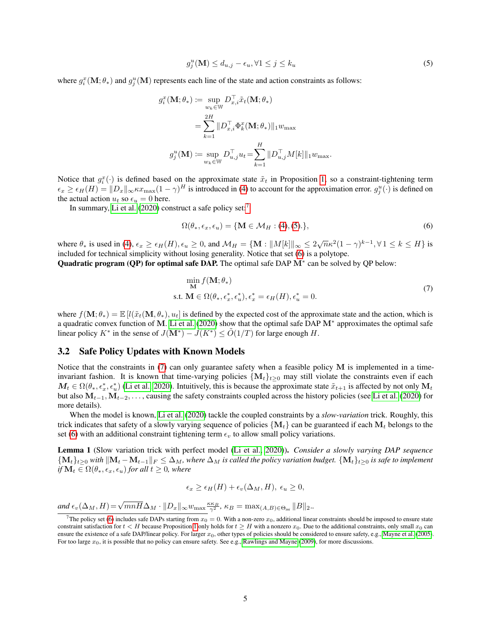<span id="page-4-0"></span>
$$
g_j^u(\mathbf{M}) \le d_{u,j} - \epsilon_u, \forall 1 \le j \le k_u \tag{5}
$$

where  $g_i^x(\mathbf{M}; \theta_*)$  and  $g_j^u(\mathbf{M})$  represents each line of the state and action constraints as follows:

$$
g_i^x(\mathbf{M}; \theta_*) \coloneqq \sup_{w_k \in \mathbb{W}} D_{x,i}^\top \tilde{x}_t(\mathbf{M}; \theta_*)
$$
  
\n
$$
= \sum_{k=1}^{2H} ||D_{x,i}^\top \Phi_k^x(\mathbf{M}; \theta_*)||_1 w_{\text{max}}
$$
  
\n
$$
g_j^u(\mathbf{M}) \coloneqq \sup_{w_k \in \mathbb{W}} D_{u,j}^\top u_t = \sum_{k=1}^H ||D_{u,j}^\top M[k]||_1 w_{\text{max}}.
$$

Notice that  $g_i^x(\cdot)$  is defined based on the approximate state  $\tilde{x}_t$  in Proposition [1,](#page-3-1) so a constraint-tightening term  $\epsilon_x \ge \epsilon_H(H) = ||D_x||_{\infty} \kappa x_{\max}(1-\gamma)^H$  is introduced in [\(4\)](#page-3-2) to account for the approximation error.  $g_j^u(\cdot)$  is defined on the actual action  $u_t$  so  $\epsilon_u = 0$  here.

In summary, [Li et al.](#page-11-4)  $(2020)$  construct a safe policy set:<sup>[7](#page-0-0)</sup>

<span id="page-4-2"></span><span id="page-4-1"></span>
$$
\Omega(\theta_*, \epsilon_x, \epsilon_u) = \{ \mathbf{M} \in \mathcal{M}_H : (4), (5). \},
$$
\n(6)

where  $\theta_*$  is used in [\(4\)](#page-3-2),  $\epsilon_x \ge \epsilon_H(H)$ ,  $\epsilon_u \ge 0$ , and  $\mathcal{M}_H = \{ \mathbf{M} : ||M[k]||_{\infty} \le 2\sqrt{n}\kappa^2(1-\gamma)^{k-1}, \forall 1 \le k \le H \}$  is included for technical simplicity without losing generality. Notice that set [\(6\)](#page-4-1) is a polytope.

Quadratic program (QP) for optimal safe DAP. The optimal safe DAP M<sup>\*</sup> can be solved by QP below:

$$
\min_{\mathbf{M}} f(\mathbf{M}; \theta_*)
$$
  
s.t.  $\mathbf{M} \in \Omega(\theta_*, \epsilon_x^*, \epsilon_u^*), \epsilon_x^* = \epsilon_H(H), \epsilon_u^* = 0.$  (7)

where  $f(\mathbf{M}; \theta_*) = \mathbb{E}[l(\tilde{x}_t(\mathbf{M}, \theta_*), u_t]$  is defined by the expected cost of the approximate state and the action, which is a quadratic convex function of M. [Li et al.](#page-11-4) [\(2020\)](#page-11-4) show that the optimal safe DAP M<sup>∗</sup> approximates the optimal safe linear policy  $K^*$  in the sense of  $J(M^*) - J(K^*) \le \tilde{O}(1/T)$  for large enough H.

#### <span id="page-4-3"></span>3.2 Safe Policy Updates with Known Models

Notice that the constraints in [\(7\)](#page-4-2) can only guarantee safety when a feasible policy M is implemented in a timeinvariant fashion. It is known that time-varying policies  $\{M_t\}_{t\geq 0}$  may still violate the constraints even if each  $M_t \in \Omega(\theta_*, \epsilon_x^*, \epsilon_u^*)$  [\(Li et al., 2020\)](#page-11-4). Intuitively, this is because the approximate state  $\tilde{x}_{t+1}$  is affected by not only  $M_t$ but also  $M_{t-1}, M_{t-2}, \ldots$ , causing the safety constraints coupled across the history policies (see [Li et al.](#page-11-4) [\(2020\)](#page-11-4) for more details).

When the model is known, [Li et al.](#page-11-4) [\(2020\)](#page-11-4) tackle the coupled constraints by a *slow-variation* trick. Roughly, this trick indicates that safety of a slowly varying sequence of policies  $\{M_t\}$  can be guaranteed if each  $M_t$  belongs to the set [\(6\)](#page-4-1) with an additional constraint tightening term  $\epsilon_n$  to allow small policy variations.

Lemma 1 (Slow variation trick with perfect model [\(Li et al., 2020\)](#page-11-4)). *Consider a slowly varying DAP sequence*  $\{M_t\}_{t>0}$  *with*  $\|M_t - M_{t-1}\|_F \leq \Delta_M$ *, where*  $\Delta_M$  *is called the policy variation budget.*  $\{M_t\}_{t>0}$  *is safe to implement if*  $M_t \in \Omega(\theta_*, \epsilon_x, \epsilon_u)$  *for all*  $t \geq 0$ *, where* 

$$
\epsilon_x \ge \epsilon_H(H) + \epsilon_v(\Delta_M, H), \ \epsilon_u \ge 0,
$$

 $\mathcal{L}_{ev}(\Delta_M, H) = \sqrt{mnH}\Delta_M \cdot ||D_x||_{\infty} w_{\max} \frac{\kappa \kappa_B}{\gamma^2}, \ \kappa_B = \max_{(A, B) \in \Theta_{ini}} ||B||_2.$ 

<sup>&</sup>lt;sup>7</sup>The policy set [\(6\)](#page-4-1) includes safe DAPs starting from  $x_0 = 0$ . With a non-zero  $x_0$ , additional linear constraints should be imposed to ensure state constraint satisfaction for  $t < H$  because Proposition [1](#page-3-1) only holds for  $t \geq H$  with a nonzero  $x_0$ . Due to the additional constraints, only small  $x_0$  can ensure the existence of a safe DAP/linear policy. For larger  $x_0$ , other types of policies should be considered to ensure safety, e.g., [Mayne et al.](#page-11-8) [\(2005\)](#page-11-8). For too large  $x_0$ , it is possible that no policy can ensure safety. See e.g., [Rawlings and Mayne](#page-11-2) [\(2009\)](#page-11-2), for more discussions.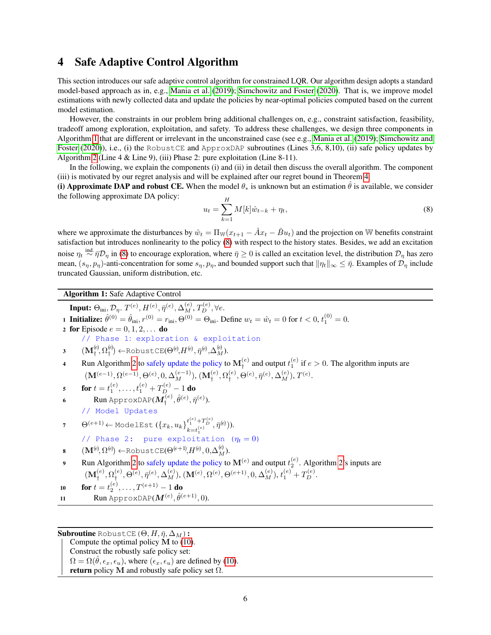# 4 Safe Adaptive Control Algorithm

This section introduces our safe adaptive control algorithm for constrained LQR. Our algorithm design adopts a standard model-based approach as in, e.g., [Mania et al.](#page-10-3) [\(2019\)](#page-10-3); [Simchowitz and Foster](#page-11-7) [\(2020\)](#page-11-7). That is, we improve model estimations with newly collected data and update the policies by near-optimal policies computed based on the current model estimation.

However, the constraints in our problem bring additional challenges on, e.g., constraint satisfaction, feasibility, tradeoff among exploration, exploitation, and safety. To address these challenges, we design three components in Algorithm [1](#page-5-0) that are different or irrelevant in the unconstrained case (see e.g., [Mania et al.](#page-10-3) [\(2019\)](#page-10-3); [Simchowitz and](#page-11-7) [Foster](#page-11-7) [\(2020\)](#page-11-7)), i.e., (i) the RobustCE and ApproxDAP subroutines (Lines 3,6, 8,10), (ii) safe policy updates by Algorithm [2](#page-7-0) (Line 4 & Line 9), (iii) Phase 2: pure exploitation (Line 8-11).

In the following, we explain the components (i) and (ii) in detail then discuss the overall algorithm. The component (iii) is motivated by our regret analysis and will be explained after our regret bound in Theorem [4.](#page-9-0)

(i) Approximate DAP and robust CE. When the model  $\theta_*$  is unknown but an estimation  $\hat{\theta}$  is available, we consider the following approximate DA policy:

<span id="page-5-1"></span>
$$
u_t = \sum_{k=1}^{H} M[k] \hat{w}_{t-k} + \eta_t,
$$
\n(8)

where we approximate the disturbances by  $\hat{w}_t = \Pi_{\mathbb{W}}(x_{t+1} - \hat{A}x_t - \hat{B}u_t)$  and the projection on W benefits constraint satisfaction but introduces nonlinearity to the policy [\(8\)](#page-5-1) with respect to the history states. Besides, we add an excitation noise  $\eta_t \stackrel{\text{ind.}}{\sim} \bar{\eta} \mathcal{D}_{\eta}$  in [\(8\)](#page-5-1) to encourage exploration, where  $\bar{\eta} \ge 0$  is called an excitation level, the distribution  $\mathcal{D}_{\eta}$  has zero mean,  $(s_\eta, p_\eta)$ -anti-concentration for some  $s_\eta, p_\eta$ , and bounded support such that  $\|\eta_t\|_\infty \leq \bar{\eta}$ . Examples of  $\mathcal{D}_\eta$  include truncated Gaussian, uniform distribution, etc.

Algorithm 1: Safe Adaptive Control

<span id="page-5-0"></span>Input:  $\Theta_{\rm ini}, \mathcal{D}_\eta$ .  $T^{(e)}, H^{(e)}, \bar{\eta}^{(e)}, \Delta_M^{(e)}, T_D^{(e)}, \forall e.$ 

**1 Initialize:**  $\hat{\theta}^{(0)} = \hat{\theta}_{\text{ini}}$ ,  $r^{(0)} = r_{\text{ini}}$ ,  $\Theta^{(0)} = \Theta_{\text{ini}}$ . Define  $w_t = \hat{w}_t = 0$  for  $t < 0$ ,  $t_1^{(0)} = 0$ .

2 for Episode  $e = 0, 1, 2, \ldots$  do

// Phase 1: exploration & exploitation

- 3  $(\mathbf{M}_{\dagger}^{(e)}, \Omega_{\dagger}^{(e)}$  $\mathcal{F}_{\dagger}^{(e)} \leftarrow$ RobustCE $(\Theta^{(e)}, H^{(e)}, \bar{\eta}^{(e)}, \Delta_M^{(e)}).$
- 4 Run Algorithm [2](#page-7-0) to safely update the policy to  $M_{\dagger}^{(e)}$  and output  $t_1^{(e)}$  if  $e > 0$ . The algorithm inputs are  $(\mathbf{M}^{(e-1)}, \Omega^{(e-1)}, \Theta^{(e)}, 0, \Delta_M^{(e-1)}), (\mathbf{M}_\dagger^{(e)}, \Omega_\dagger^{(e)})$  $\mathcal{F}^{(e)}_{{\dagger}}, \Theta^{(e)}, \bar{\eta}^{(e)}, \Delta^{(e)}_M), T^{(e)}.$

 ${\bf 5} \qquad {\bf for} \ t=t_1^{(e)},\ldots,t_1^{(e)}+T_{D}^{(e)}-1 \ {\bf do}$ 

6 Run ApproxDAP $(\bm{M}_\dagger^{(e)}, \hat{\theta}^{(e)}, \bar{\eta}^{(e)}).$ // Model Updates

7 
$$
\Theta^{(e+1)} \leftarrow \text{ModelEst}(\{x_k, u_k\}_{k=t_1^{(e)}}^{t_1^{(e)} + T_D^{(e)}}, \bar{\eta}^{(e)}).
$$
  
// Phase 2: pure exploitation  $(\eta_t = 0)$ 

$$
\mathbf{s} \qquad (\mathbf{M}^{(e)}, \Omega^{(e)}) \leftarrow \text{RobustCE}(\Theta^{(e+1)}, H^{(e)}, 0, \Delta_M^{(e)}).
$$

9 Run Algorithm [2](#page-7-0) to safely update the policy to  $\mathbf{M}^{(e)}$  and output  $t_2^{(e)}$ . Algorithm [2'](#page-7-0)s inputs are  $(\mathbf{M}_\dagger^{(e)}, \Omega_\dagger^{(e)}$  $\hat{\Psi}_{\dagger}^{(e)}, \Theta^{(e)}, \bar{\eta}^{(e)}, \Delta_{M}^{(e)}), \, (\mathbf{M}^{(e)}, \Omega^{(e)}, \Theta^{(e+1)}, 0, \Delta_{M}^{(e)}), \, t_{1}^{(e)} + T_{D}^{(e)}.$ 

**10** for 
$$
t = t_2^{(e)}, \ldots, T^{(e+1)} - 1
$$
 do

10 **IOI**  $t = t_2, ..., t_{\ell} > -1$  **IO**<br> **11 Run** ApproxDAP( $M^{(e)}, \hat{\theta}^{(e+1)}, 0$ ).

**Subroutine** RobustCE( $\Theta$ ,  $H$ ,  $\bar{\eta}$ ,  $\Delta_M$ ):

Compute the optimal policy  $\dot{M}$  to [\(10\)](#page-6-0).

Construct the robustly safe policy set:  $\Omega = \Omega(\theta, \epsilon_x, \epsilon_u)$ , where  $(\epsilon_x, \epsilon_u)$  are defined by [\(10\)](#page-6-0). return policy M and robustly safe policy set  $\Omega$ .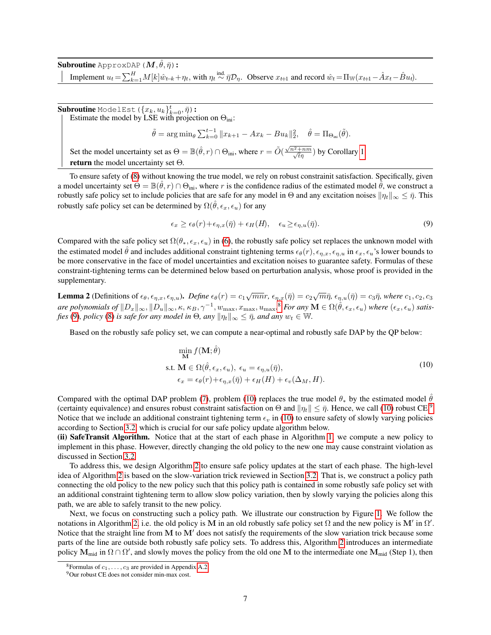${\bf Subroutine}$  ApproxDAP (  $\bm{M}, \hat{\theta}, \bar{\eta}$  ): Implement  $u_t = \sum_{k=1}^H M[k] \hat{w}_{t-k} + \eta_t$ , with  $\eta_t \stackrel{\text{ind.}}{\sim} \overline{\eta} \mathcal{D}_{\eta}$ . Observe  $x_{t+1}$  and record  $\hat{w}_t = \prod_W (x_{t+1} - \hat{A}x_t - \hat{B}u_t)$ .

 ${\bf Subroutine\ ModelEst}\ (\{x_k,u_k\}_{k=0}^t,\bar{\eta})$  : Estimate the model by LSE with projection on  $\Theta_{\text{ini}}$ :

$$
\tilde{\theta} = \arg\min_{\theta} \sum_{k=0}^{t-1} ||x_{k+1} - Ax_k - Bu_k||_2^2, \quad \hat{\theta} = \Pi_{\Theta_{\text{ini}}}(\tilde{\theta}).
$$

Set the model uncertainty set as  $\Theta = \mathbb{B}(\hat{\theta}, r) \cap \Theta_{\text{ini}}$ , where  $r = \tilde{O}(\frac{\sqrt{n^2 + nm}}{\sqrt{n^2}})$  $\frac{+nm}{\overline{t}\bar{\eta}}$ ) by Corollary [1.](#page-8-0) return the model uncertainty set Θ*.*

To ensure safety of [\(8\)](#page-5-1) without knowing the true model, we rely on robust constrainit satisfaction. Specifically, given a model uncertainty set  $\Theta = \mathbb{B}(\hat{\theta}, r) \cap \Theta_{\text{ini}}$ , where r is the confidence radius of the estimated model  $\hat{\theta}$ , we construct a robustly safe policy set to include policies that are safe for any model in  $\Theta$  and any excitation noises  $\|\eta_t\|_{\infty} \leq \bar{\eta}$ . This robustly safe policy set can be determined by  $\Omega(\theta, \epsilon_x, \epsilon_u)$  for any

<span id="page-6-1"></span>
$$
\epsilon_x \ge \epsilon_\theta(r) + \epsilon_{\eta,x}(\bar{\eta}) + \epsilon_H(H), \quad \epsilon_u \ge \epsilon_{\eta,u}(\bar{\eta}). \tag{9}
$$

Compared with the safe policy set  $\Omega(\theta_*, \epsilon_x, \epsilon_y)$  in [\(6\)](#page-4-1), the robustly safe policy set replaces the unknown model with the estimated model  $\theta$  and includes additional constraint tightening terms  $\epsilon_{\theta}(r)$ ,  $\epsilon_{\eta,x}$ ,  $\epsilon_{\eta,u}$  in  $\epsilon_x$ ,  $\epsilon_u$ 's lower bounds to be more conservative in the face of model uncertainties and excitation noises to guarantee safety. Formulas of these constraint-tightening terms can be determined below based on perturbation analysis, whose proof is provided in the supplementary.

<span id="page-6-2"></span>**Lemma 2** (Definitions of  $\epsilon_{\theta}$ ,  $\epsilon_{\eta,x}$ ,  $\epsilon_{\eta,u}$ ). *Define*  $\epsilon_{\theta}(r) = c_1\sqrt{mn}r$ ,  $\epsilon_{\eta,x}(\bar{\eta}) = c_2\sqrt{m}\bar{\eta}$ ,  $\epsilon_{\eta,u}(\bar{\eta}) = c_3\bar{\eta}$ , where  $c_1$ ,  $c_2$ ,  $c_3$  $\emph{are polynomials of } \|D_x\|_\infty, \|D_u\|_\infty, \kappa, \kappa_B, \gamma^{-1}, w_{\text{max}}, x_{\text{max}}, u_{\text{max}}.^\$~For~any~\mathbf{M}\in \Omega(\hat{\theta}, \epsilon_x, \epsilon_u)~where~(\epsilon_x, \epsilon_u)~satisfies~\lambda$ *fies* [\(9\)](#page-6-1)*, policy* [\(8\)](#page-5-1) *is safe for any model in*  $\Theta$ *, any*  $\|\eta_t\|_{\infty} \leq \bar{\eta}$ *, and any*  $w_t \in \mathbb{W}$ *.* 

Based on the robustly safe policy set, we can compute a near-optimal and robustly safe DAP by the QP below:

<span id="page-6-0"></span>
$$
\min_{\mathbf{M}} f(\mathbf{M}; \hat{\theta})
$$
  
s.t.  $\mathbf{M} \in \Omega(\hat{\theta}, \epsilon_x, \epsilon_u), \epsilon_u = \epsilon_{\eta, u}(\bar{\eta}),$   

$$
\epsilon_x = \epsilon_{\theta}(r) + \epsilon_{\eta, x}(\bar{\eta}) + \epsilon_H(H) + \epsilon_v(\Delta_M, H).
$$
 (10)

Compared with the optimal DAP problem [\(7\)](#page-4-2), problem [\(10\)](#page-6-0) replaces the true model  $\theta_*$  by the estimated model  $\hat{\theta}$ (certainty equivalence) and ensures robust constraint satisfaction on  $\Theta$  and  $\|\eta_t\| \leq \bar{\eta}$ . Hence, we call [\(10\)](#page-6-0) robust CE.<sup>[9](#page-0-0)</sup> Notice that we include an additional constraint tightening term  $\epsilon_v$  in [\(10\)](#page-6-0) to ensure safety of slowly varying policies according to Section [3.2,](#page-4-3) which is crucial for our safe policy update algorithm below.

(ii) SafeTransit Algorithm. Notice that at the start of each phase in Algorithm [1,](#page-5-0) we compute a new policy to implement in this phase. However, directly changing the old policy to the new one may cause constraint violation as discussed in Section [3.2.](#page-4-3)

To address this, we design Algorithm [2](#page-7-0) to ensure safe policy updates at the start of each phase. The high-level idea of Algorithm [2](#page-7-0) is based on the slow-variation trick reviewed in Section [3.2.](#page-4-3) That is, we construct a policy path connecting the old policy to the new policy such that this policy path is contained in some robustly safe policy set with an additional constraint tightening term to allow slow policy variation, then by slowly varying the policies along this path, we are able to safely transit to the new policy.

Next, we focus on constructing such a policy path. We illustrate our construction by Figure [1.](#page-7-1) We follow the notations in Algorithm [2,](#page-7-0) i.e. the old policy is M in an old robustly safe policy set  $\Omega$  and the new policy is M' in  $\Omega'$ . Notice that the straight line from  $M$  to  $M'$  does not satisfy the requirements of the slow variation trick because some parts of the line are outside both robustly safe policy sets. To address this, Algorithm [2](#page-7-0) introduces an intermediate policy  $M_{mid}$  in  $\Omega \cap \Omega'$ , and slowly moves the policy from the old one M to the intermediate one  $M_{mid}$  (Step 1), then

<sup>&</sup>lt;sup>8</sup>Formulas of  $c_1, \ldots, c_3$  are provided in Appendix [A.2.](#page-14-0)

<sup>9</sup>Our robust CE does not consider min-max cost.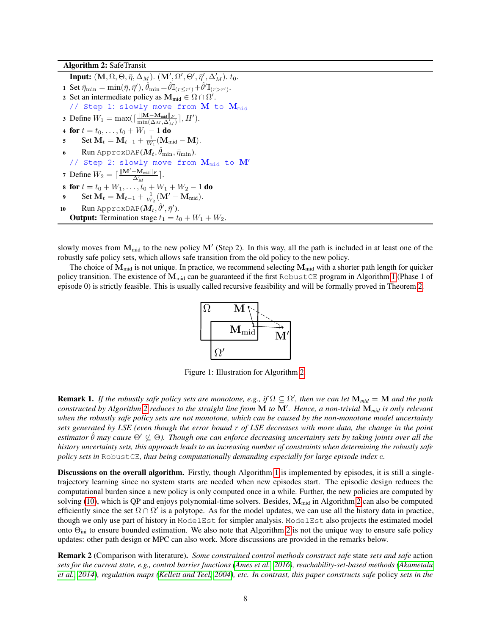Algorithm 2: SafeTransit

<span id="page-7-0"></span>**Input:**  $(M, \Omega, \Theta, \bar{\eta}, \Delta_M)$ .  $(M', \Omega', \Theta', \bar{\eta}', \Delta'_M)$ .  $t_0$ . 1 Set  $\bar{\eta}_{\min} = \min(\bar{\eta},\bar{\eta}'), \hat{\theta}_{\min} \!=\! \hat{\theta}\mathbb{I}_{(r\leq r')} \!+\! \hat{\theta}' \mathbb{I}_{(r>r')}.$ 2 Set an intermediate policy as  $\mathbf{M}_{mid} \in \Omega \cap \Omega'$ . // Step 1: slowly move from  $M$  to  $M_{mid}$ 3 Define  $W_1 = \max(\left\lceil \frac{\|\mathbf{M}-\mathbf{M}_{\text{mid}}\|_F}{\min(\Delta_M, \Delta_M')} \right\rceil, H').$ 4 for  $t = t_0, \ldots, t_0 + W_1 - 1$  do 5 Set  $M_t = M_{t-1} + \frac{1}{W_1} (M_{mid} - M).$ 6 Run ApproxDAP( $\pmb{M}_t, \hat{\theta}_{\min}, \bar{\eta}_{\min}$ ). // Step 2: slowly move from  $M_{mid}$  to  $M'$ 7 Define  $W_2 = \lceil \frac{\|\mathbf{M}' - \mathbf{M}_{\text{mid}}\|_F}{\Delta} \rceil$  $\frac{-\mathbf{M}_{\text{mid}}\parallel F}{\Delta_M'}$  . 8 for  $t = t_0 + W_1, \ldots, t_0 + W_1 + W_2 - 1$  do 9 Set  $M_t = M_{t-1} + \frac{1}{W_2} (M' - M_{mid}).$ 10 Run ApproxDAP( $\bm{M}_t, \hat{\theta}', \bar{\eta}'$ ). **Output:** Termination stage  $t_1 = t_0 + W_1 + W_2$ .

slowly moves from  $M_{mid}$  to the new policy  $M'$  (Step 2). In this way, all the path is included in at least one of the robustly safe policy sets, which allows safe transition from the old policy to the new policy.

<span id="page-7-1"></span>The choice of  $M_{mid}$  is not unique. In practice, we recommend selecting  $M_{mid}$  with a shorter path length for quicker policy transition. The existence of  $M_{mid}$  can be guaranteed if the first RobustCE program in Algorithm [1](#page-5-0) (Phase 1 of episode 0) is strictly feasible. This is usually called recursive feasibility and will be formally proved in Theorem [2.](#page-8-1)



Figure 1: Illustration for Algorithm [2.](#page-7-0)

**Remark 1.** If the robustly safe policy sets are monotone, e.g., if  $\Omega \subseteq \Omega'$ , then we can let  $M_{mid} = M$  and the path *constructed by Algorithm [2](#page-7-0) reduces to the straight line from* M *to* M<sup>0</sup> *. Hence, a non-trivial* M*mid is only relevant when the robustly safe policy sets are not monotone, which can be caused by the non-monotone model uncertainty sets generated by LSE (even though the error bound* r *of LSE decreases with more data, the change in the point estimator*  $\theta$  *may cause*  $\Theta' \nsubseteq \Theta$ *). Though one can enforce decreasing uncertainty sets by taking joints over all the history uncertainty sets, this approach leads to an increasing number of constraints when determining the robustly safe policy sets in* RobustCE*, thus being computationally demanding especially for large episode index* e*.*

Discussions on the overall algorithm. Firstly, though Algorithm [1](#page-5-0) is implemented by episodes, it is still a singletrajectory learning since no system starts are needed when new episodes start. The episodic design reduces the computational burden since a new policy is only computed once in a while. Further, the new policies are computed by solving [\(10\)](#page-6-0), which is QP and enjoys polynomial-time solvers. Besides,  $M_{mid}$  in Algorithm [2](#page-7-0) can also be computed efficiently since the set  $\Omega \cap \Omega'$  is a polytope. As for the model updates, we can use all the history data in practice, though we only use part of history in ModelEst for simpler analysis. ModelEst also projects the estimated model onto  $\Theta_{\text{ini}}$  to ensure bounded estimation. We also note that Algorithm [2](#page-7-0) is not the unique way to ensure safe policy updates: other path design or MPC can also work. More discussions are provided in the remarks below.

Remark 2 (Comparison with literature). *Some constrained control methods construct safe* state *sets and safe* action *sets for the current state, e.g., control barrier functions [\(Ames et al., 2016\)](#page-12-12), reachability-set-based methods [\(Akametalu](#page-12-13) [et al., 2014\)](#page-12-13), regulation maps [\(Kellett and Teel, 2004\)](#page-12-14), etc. In contrast, this paper constructs safe* policy *sets in the*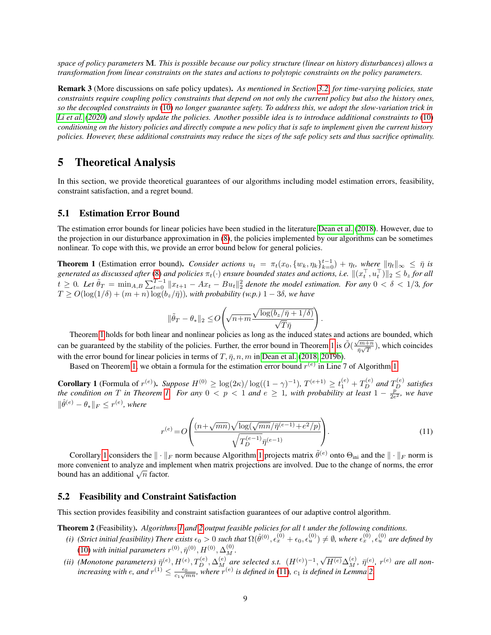*space of policy parameters* M*. This is possible because our policy structure (linear on history disturbances) allows a transformation from linear constraints on the states and actions to polytopic constraints on the policy parameters.*

Remark 3 (More discussions on safe policy updates). *As mentioned in Section [3.2,](#page-4-3) for time-varying policies, state constraints require coupling policy constraints that depend on not only the current policy but also the history ones, so the decoupled constraints in* [\(10\)](#page-6-0) *no longer guarantee safety. To address this, we adopt the slow-variation trick in [Li et al.](#page-11-4) [\(2020\)](#page-11-4) and slowly update the policies. Another possible idea is to introduce additional constraints to* [\(10\)](#page-6-0) *conditioning on the history policies and directly compute a new policy that is safe to implement given the current history policies. However, these additional constraints may reduce the sizes of the safe policy sets and thus sacrifice optimality.*

# 5 Theoretical Analysis

In this section, we provide theoretical guarantees of our algorithms including model estimation errors, feasibility, constraint satisfaction, and a regret bound.

#### 5.1 Estimation Error Bound

The estimation error bounds for linear policies have been studied in the literature [Dean et al.](#page-10-1) [\(2018\)](#page-10-1). However, due to the projection in our disturbance approximation in [\(8\)](#page-5-1), the policies implemented by our algorithms can be sometimes nonlinear. To cope with this, we provide an error bound below for general policies.

<span id="page-8-2"></span>**Theorem 1** (Estimation error bound). *Consider actions*  $u_t = \pi_t(x_0, \{w_k, \eta_k\}_{k=0}^{t-1}) + \eta_t$ , where  $\|\eta_t\|_{\infty} \leq \bar{\eta}$  is generated as discussed after [\(8\)](#page-5-1) and policies  $\pi_t(\cdot)$  ensure bounded states and actions, i.e.  $\|(x_t^\top,u_t^\top)\|_2\leq b_z$  for all  $t \geq 0$ . Let  $\tilde{\theta}_T = \min_{A,B} \sum_{t=0}^{T-1} ||x_{t+1} - Ax_t - Bu_t||_2^2$  denote the model estimation. For any  $0 < \delta < 1/3$ , for  $T \geq O(\log(1/\delta)+(m+n)\log(b_z/\bar{\eta}))$ , with probability (w.p.)  $1-3\delta$ , we have

$$
\|\tilde{\theta}_T - \theta_*\|_2 \leq O\!\left(\!\sqrt{n{+}m} \frac{\sqrt{\log (b_z/\bar{\eta}+1/\delta)}}{\sqrt{T}\bar{\eta}}\!\right).
$$

Theorem [1](#page-8-2) holds for both linear and nonlinear policies as long as the induced states and actions are bounded, which can be guaranteed by the stability of the policies. Further, the error bound in Theorem [1](#page-8-2) is  $\tilde{O}(\frac{\sqrt{m+n}}{2\sqrt{n}})$  $\frac{\sqrt{m+n}}{\bar{\eta}\sqrt{T}}$ ), which coincides with the error bound for linear policies in terms of  $T$ ,  $\bar{\eta}$ ,  $n$ ,  $m$  in [Dean et al.](#page-10-1) [\(2018,](#page-10-1) [2019b\)](#page-11-3).

Based on Theorem [1,](#page-8-2) we obtain a formula for the estimation error bound  $r^{(e)}$  in Line 7 of Algorithm [1.](#page-5-0)

<span id="page-8-0"></span>**Corollary 1** (Formula of  $r^{(e)}$ ). Suppose  $H^{(0)} \ge \log(2\kappa)/\log((1-\gamma)^{-1})$ ,  $T^{(e+1)} \ge t_1^{(e)} + T_D^{(e)}$  and  $T_D^{(e)}$  satisfies *the condition on T* in Theorem [1.](#page-8-2) For any  $0 < p < 1$  and  $e \ge 1$ , with probability at least  $1 - \frac{p}{2e^2}$ , we have  $\|\hat{\theta}^{(e)} - \theta_*\|_F \leq r^{(e)}$ , where

<span id="page-8-3"></span>
$$
r^{(e)} = O\left(\frac{(n + \sqrt{mn})\sqrt{\log(\sqrt{mn}/\bar{\eta}^{(e-1)} + e^2/p)}}{\sqrt{T_D^{(e-1)}\bar{\eta}^{(e-1)}}}\right).
$$
(11)

Corollary [1](#page-5-0) considers the  $\|\cdot\|_F$  norm because Algorithm 1 projects matrix  $\tilde{\theta}^{(e)}$  onto  $\Theta_{\text{ini}}$  and the  $\|\cdot\|_F$  norm is more convenient to analyze and implement when matrix projections are involved. Due to the change of norms, the error hole convenient to analyze and mit<br>bound has an additional  $\sqrt{n}$  factor.

#### 5.2 Feasibility and Constraint Satisfaction

This section provides feasibility and constraint satisfaction guarantees of our adaptive control algorithm.

<span id="page-8-1"></span>Theorem 2 (Feasibility). *Algorithms [1](#page-5-0) and [2](#page-7-0) output feasible policies for all* t *under the following conditions.*

- (i) (Strict initial feasibility) There exists  $\epsilon_0 > 0$  such that  $\Omega(\hat{\theta}^{(0)}, \epsilon_x^{(0)} + \epsilon_0, \epsilon_u^{(0)}) \neq \emptyset$ , where  $\epsilon_x^{(0)}, \epsilon_u^{(0)}$  are defined by [\(10\)](#page-6-0) with initial parameters  $r^{(0)}, \bar{\eta}^{(0)}, H^{(0)}, \Delta_M^{(0)}.$ √
- (*ii*) (Monotone parameters)  $\bar{\eta}^{(e)}$ ,  $H^{(e)}$ ,  $T_D^{(e)}$ ,  $\Delta_{M}^{(e)}$  are selected s.t.  $(H^{(e)})^{-1}$ ,  $\overline{H^{(e)}}\Delta^{(e)}_M,~\bar{\eta}^{(e)},~r^{(e)}$  are all non*increasing with e, and*  $r^{(1)} \leq \frac{\epsilon_0}{c_1\sqrt{mn}}$ , where  $r^{(e)}$  is defined in [\(11\)](#page-8-3),  $c_1$  *is defined in Lemma* [2.](#page-6-2)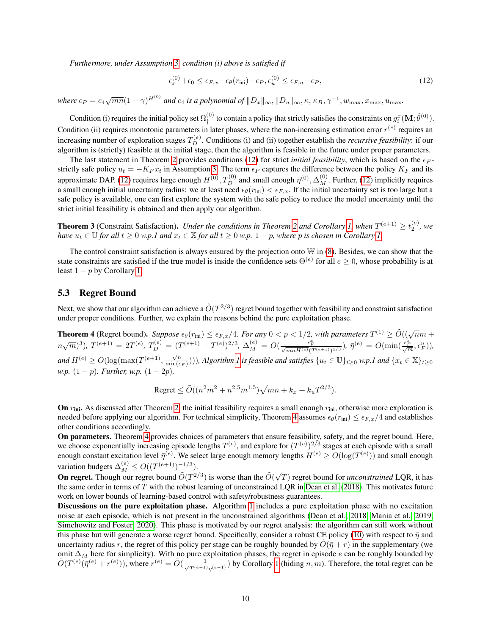*Furthermore, under Assumption [3,](#page-3-3) condition (i) above is satisfied if*

<span id="page-9-1"></span>
$$
\epsilon_x^{(0)} + \epsilon_0 \le \epsilon_{F,x} - \epsilon_\theta(r_{\rm ini}) - \epsilon_P, \epsilon_u^{(0)} \le \epsilon_{F,u} - \epsilon_P,\tag{12}
$$

 $where \epsilon_P = c_4 \sqrt{mn} (1 - \gamma)^{H^{(0)}}$  and  $c_4$  is a polynomial of  $||D_x||_{\infty}$ ,  $||D_u||_{\infty}$ ,  $\kappa$ ,  $\kappa_B$ ,  $\gamma^{-1}$ ,  $w_{\text{max}}$ ,  $x_{\text{max}}$ ,  $u_{\text{max}}$ ,

Condition (i) requires the initial policy set  $\Omega_{+}^{(0)}$  $t^{(0)}_j$  to contain a policy that strictly satisfies the constraints on  $g_i^x(\mathbf{M};\hat{\theta}^{(0)}).$ Condition (ii) requires monotonic parameters in later phases, where the non-increasing estimation error  $r^{(e)}$  requires an increasing number of exploration stages  $T_D^{(e)}$ . Conditions (i) and (ii) together establish the *recursive feasibility*: if our algorithm is (strictly) feasible at the initial stage, then the algorithm is feasible in the future under proper parameters.

The last statement in Theorem [2](#page-8-1) provides conditions [\(12\)](#page-9-1) for strict *initial feasibility*, which is based on the  $\epsilon_F$ strictly safe policy  $u_t = -K_F x_t$  in Assumption [3.](#page-3-3) The term  $\epsilon_P$  captures the difference between the policy  $K_F$  and its approximate DAP. [\(12\)](#page-9-1) requires large enough  $H^{(0)}, T_D^{(0)}$  and small enough  $\bar{\eta}^{(0)}, \Delta_M^{(0)}$ . Further, (12) implicitly requires a small enough initial uncertainty radius: we at least need  $\epsilon_\theta(r_{\text{ini}}) < \epsilon_{F,x}$ . If the initial uncertainty set is too large but a safe policy is available, one can first explore the system with the safe policy to reduce the model uncertainty until the strict initial feasibility is obtained and then apply our algorithm.

<span id="page-9-2"></span>**Theorem 3** (Constraint Satisfaction). *Under the conditions in Theorem [2](#page-8-1) and Corollary [1,](#page-8-0) when*  $T^{(e+1)} \ge t_2^{(e)}$ , we *have*  $u_t \in \mathbb{U}$  *for all*  $t \geq 0$  *w.p.1 and*  $x_t \in \mathbb{X}$  *for all*  $t \geq 0$  *w.p.*  $1 - p$ *, where p is chosen in Corollary [1.](#page-8-0)* 

The control constraint satisfaction is always ensured by the projection onto  $W$  in [\(8\)](#page-5-1). Besides, we can show that the state constraints are satisfied if the true model is inside the confidence sets  $\Theta^{(e)}$  for all  $e \ge 0$ , whose probability is at least  $1 - p$  by Corollary [1.](#page-8-0)

### 5.3 Regret Bound

Next, we show that our algorithm can achieve a  $\tilde{O}(T^{2/3})$  regret bound together with feasibility and constraint satisfaction under proper conditions. Further, we explain the reasons behind the pure exploitation phase.

<span id="page-9-0"></span>**Theorem 4** (Regret bound). *Suppose*  $\epsilon_{\theta}(r_{\text{ini}}) \leq \epsilon_{F,x}/4$ . For any  $0 < p < 1/2$ , with parameters  $T^{(1)} \geq \tilde{O}((\sqrt{n}m +$  $(n\sqrt{m})^3$ ),  $T^{(e+1)} = 2T^{(e)}$ ,  $T_D^{(e)} = (T^{(e+1)} - T^{(e)})^{2/3}$ ,  $\Delta_M^{(e)} = O(\frac{\epsilon_F^2}{\sqrt{mnH^{(e)}}(T^{(e+1)})^{1/3}})$ ,  $\bar{\eta}^{(e)} = O(\min(\frac{\epsilon_F^2}{\sqrt{m}}, \epsilon_H^u))$ , and  $H^{(e)} \geq O(\log(\max(T^{(e+1)}, \frac{\sqrt{n}}{\min(\epsilon)})))$  $\frac{\sqrt{n}}{\min(\epsilon_F)}$ ))), Algorithm [1](#page-5-0) is feasible and satisfies  $\{u_t \in \mathbb{U}\}_{t\geq 0}$  w.p.1 and  $\{x_t \in \mathbb{X}\}_{t\geq 0}$ *w.p.*  $(1-p)$ *. Further, w.p.*  $(1-2p)$ *,* 

$$
\text{Regret} \le \tilde{O}((n^2m^2 + n^{2.5}m^{1.5})\sqrt{mn + k_x + k_u}T^{2/3}).
$$

On  $r_{\text{ini}}$ . As discussed after Theorem [2,](#page-8-1) the initial feasibility requires a small enough  $r_{\text{ini}}$ , otherwise more exploration is needed before applying our algorithm. For technical simplicity, Theorem [4](#page-9-0) assumes  $\epsilon_{\theta}(r_{\text{ini}}) \leq \epsilon_{F,x}/4$  and establishes other conditions accordingly.

On parameters. Theorem [4](#page-9-0) provides choices of parameters that ensure feasibility, safety, and the regret bound. Here, we choose exponentially increasing episode lengths  $T^{(e)}$ , and explore for  $(T^{(e)})^{2/3}$  stages at each episode with a small enough constant excitation level  $\bar{\eta}^{(e)}$ . We select large enough memory lengths  $H^{(e)} \geq O(\log(T^{(e)}))$  and small enough variation budgets  $\Delta_M^{(e)} \leq O((T^{(e+1)})^{-1/3})$ .

Variation budgets  $\Delta_M \le O((1 + 1))$ .<br> **On regret.** Though our regret bound  $\tilde{O}(T^{2/3})$  is worse than the  $\tilde{O}(\sqrt{T})$ T) regret bound for *unconstrained* LQR, it has the same order in terms of  $T$  with the robust learning of unconstrained LQR in [Dean et al.](#page-10-1) [\(2018\)](#page-10-1). This motivates future work on lower bounds of learning-based control with safety/robustness guarantees.

Discussions on the pure exploitation phase. Algorithm [1](#page-5-0) includes a pure exploitation phase with no excitation noise at each episode, which is not present in the unconstrained algorithms [\(Dean et al., 2018;](#page-10-1) [Mania et al., 2019;](#page-10-3) [Simchowitz and Foster, 2020\)](#page-11-7). This phase is motivated by our regret analysis: the algorithm can still work without this phase but will generate a worse regret bound. Specifically, consider a robust CE policy [\(10\)](#page-6-0) with respect to  $\bar{\eta}$  and uncertainty radius r, the regret of this policy per stage can be roughly bounded by  $O(\bar{\eta} + r)$  in the supplementary (we omit  $\Delta_M$  here for simplicity). With no pure exploitation phases, the regret in episode e can be roughly bounded by  $\tilde{O}(T^{(e)}(\bar{\eta}^{(e)}+r^{(e)}))$ , where  $r^{(e)} = \tilde{O}(\frac{1}{\sqrt{T^{(e-1)}}})$  $\frac{1}{T^{(e-1)}\bar{\eta}^{(e-1)}}$ ) by Corollary [1](#page-8-0) (hiding  $n, m$ ). Therefore, the total regret can be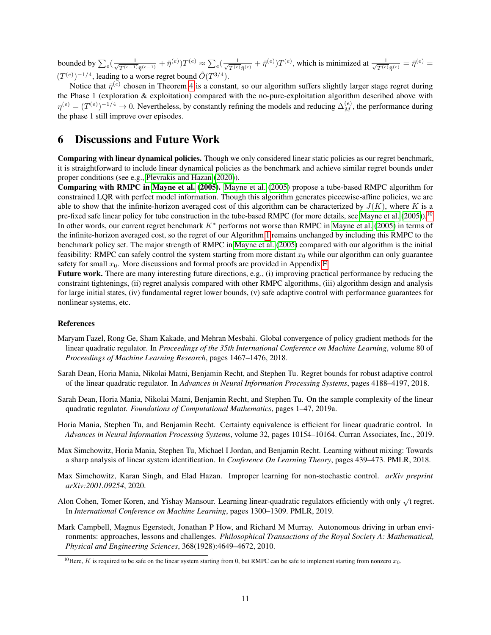bounded by  $\sum_{e}(\frac{1}{\sqrt{T(e-1)}})$  $\frac{1}{T^{(e-1)}\bar{\eta}^{(e-1)}} + \bar{\eta}^{(e)}) T^{(e)} \approx \sum_{e} (\frac{1}{\sqrt{T^{(e)}}})$  $\frac{1}{T^{(e)}\bar{\eta}^{(e)}} + \bar{\eta}^{(e)})T^{(e)},$  which is minimized at  $\frac{1}{\sqrt{T^{(e)}}}$  $\frac{1}{T^{(e)}\bar{\eta}^{(e)}}=\bar{\eta}^{(e)}=$  $(T^{(e)})^{-1/4}$ , leading to a worse regret bound  $\tilde{O}(T^{3/4})$ .

Notice that  $\bar{\eta}^{(e)}$  chosen in Theorem [4](#page-9-0) is a constant, so our algorithm suffers slightly larger stage regret during the Phase 1 (exploration & exploitation) compared with the no-pure-exploitation algorithm described above with  $\eta^{(e)} = (T^{(e)})^{-1/4} \to 0$ . Nevertheless, by constantly refining the models and reducing  $\Delta_M^{(e)}$ , the performance during the phase 1 still improve over episodes.

### 6 Discussions and Future Work

Comparing with linear dynamical policies. Though we only considered linear static policies as our regret benchmark, it is straightforward to include linear dynamical policies as the benchmark and achieve similar regret bounds under proper conditions (see e.g., [Plevrakis and Hazan](#page-12-0) [\(2020\)](#page-12-0)).

Comparing with RMPC in [Mayne et al.](#page-11-8) [\(2005\)](#page-11-8). [Mayne et al.](#page-11-8) [\(2005\)](#page-11-8) propose a tube-based RMPC algorithm for constrained LQR with perfect model information. Though this algorithm generates piecewise-affine policies, we are able to show that the infinite-horizon averaged cost of this algorithm can be characterized by  $J(K)$ , where K is a pre-fixed safe linear policy for tube construction in the tube-based RMPC (for more details, see [Mayne et al.](#page-11-8) [\(2005\)](#page-11-8)).<sup>[10](#page-0-0)</sup> In other words, our current regret benchmark K<sup>∗</sup> performs not worse than RMPC in [Mayne et al.](#page-11-8) [\(2005\)](#page-11-8) in terms of the infinite-horizon averaged cost, so the regret of our Algorithm [1](#page-5-0) remains unchanged by including this RMPC to the benchmark policy set. The major strength of RMPC in [Mayne et al.](#page-11-8) [\(2005\)](#page-11-8) compared with our algorithm is the initial feasibility: RMPC can safely control the system starting from more distant  $x<sub>0</sub>$  while our algorithm can only guarantee safety for small  $x_0$ . More discussions and formal proofs are provided in Appendix [F.](#page-27-0)

Future work. There are many interesting future directions, e.g., (i) improving practical performance by reducing the constraint tightenings, (ii) regret analysis compared with other RMPC algorithms, (iii) algorithm design and analysis for large initial states, (iv) fundamental regret lower bounds, (v) safe adaptive control with performance guarantees for nonlinear systems, etc.

#### References

- <span id="page-10-0"></span>Maryam Fazel, Rong Ge, Sham Kakade, and Mehran Mesbahi. Global convergence of policy gradient methods for the linear quadratic regulator. In *Proceedings of the 35th International Conference on Machine Learning*, volume 80 of *Proceedings of Machine Learning Research*, pages 1467–1476, 2018.
- <span id="page-10-1"></span>Sarah Dean, Horia Mania, Nikolai Matni, Benjamin Recht, and Stephen Tu. Regret bounds for robust adaptive control of the linear quadratic regulator. In *Advances in Neural Information Processing Systems*, pages 4188–4197, 2018.
- <span id="page-10-2"></span>Sarah Dean, Horia Mania, Nikolai Matni, Benjamin Recht, and Stephen Tu. On the sample complexity of the linear quadratic regulator. *Foundations of Computational Mathematics*, pages 1–47, 2019a.
- <span id="page-10-3"></span>Horia Mania, Stephen Tu, and Benjamin Recht. Certainty equivalence is efficient for linear quadratic control. In *Advances in Neural Information Processing Systems*, volume 32, pages 10154–10164. Curran Associates, Inc., 2019.
- <span id="page-10-4"></span>Max Simchowitz, Horia Mania, Stephen Tu, Michael I Jordan, and Benjamin Recht. Learning without mixing: Towards a sharp analysis of linear system identification. In *Conference On Learning Theory*, pages 439–473. PMLR, 2018.
- <span id="page-10-5"></span>Max Simchowitz, Karan Singh, and Elad Hazan. Improper learning for non-stochastic control. *arXiv preprint arXiv:2001.09254*, 2020.
- <span id="page-10-6"></span>Alon Cohen, Tomer Koren, and Yishay Mansour. Learning linear-quadratic regulators efficiently with only  $\sqrt{t}$  regret. In *International Conference on Machine Learning*, pages 1300–1309. PMLR, 2019.
- <span id="page-10-7"></span>Mark Campbell, Magnus Egerstedt, Jonathan P How, and Richard M Murray. Autonomous driving in urban environments: approaches, lessons and challenges. *Philosophical Transactions of the Royal Society A: Mathematical, Physical and Engineering Sciences*, 368(1928):4649–4672, 2010.

<sup>&</sup>lt;sup>10</sup>Here, K is required to be safe on the linear system starting from 0, but RMPC can be safe to implement starting from nonzero  $x_0$ .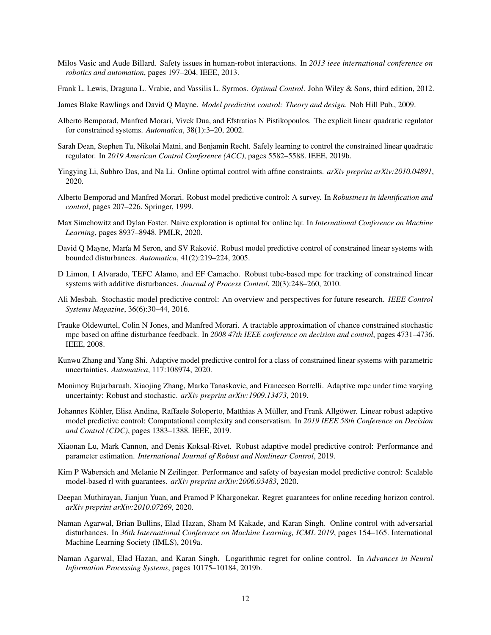- <span id="page-11-0"></span>Milos Vasic and Aude Billard. Safety issues in human-robot interactions. In *2013 ieee international conference on robotics and automation*, pages 197–204. IEEE, 2013.
- <span id="page-11-1"></span>Frank L. Lewis, Draguna L. Vrabie, and Vassilis L. Syrmos. *Optimal Control*. John Wiley & Sons, third edition, 2012.
- <span id="page-11-2"></span>James Blake Rawlings and David Q Mayne. *Model predictive control: Theory and design*. Nob Hill Pub., 2009.
- <span id="page-11-6"></span>Alberto Bemporad, Manfred Morari, Vivek Dua, and Efstratios N Pistikopoulos. The explicit linear quadratic regulator for constrained systems. *Automatica*, 38(1):3–20, 2002.
- <span id="page-11-3"></span>Sarah Dean, Stephen Tu, Nikolai Matni, and Benjamin Recht. Safely learning to control the constrained linear quadratic regulator. In *2019 American Control Conference (ACC)*, pages 5582–5588. IEEE, 2019b.
- <span id="page-11-4"></span>Yingying Li, Subhro Das, and Na Li. Online optimal control with affine constraints. *arXiv preprint arXiv:2010.04891*, 2020.
- <span id="page-11-5"></span>Alberto Bemporad and Manfred Morari. Robust model predictive control: A survey. In *Robustness in identification and control*, pages 207–226. Springer, 1999.
- <span id="page-11-7"></span>Max Simchowitz and Dylan Foster. Naive exploration is optimal for online lqr. In *International Conference on Machine Learning*, pages 8937–8948. PMLR, 2020.
- <span id="page-11-8"></span>David Q Mayne, María M Seron, and SV Rakovic. Robust model predictive control of constrained linear systems with ´ bounded disturbances. *Automatica*, 41(2):219–224, 2005.
- <span id="page-11-9"></span>D Limon, I Alvarado, TEFC Alamo, and EF Camacho. Robust tube-based mpc for tracking of constrained linear systems with additive disturbances. *Journal of Process Control*, 20(3):248–260, 2010.
- <span id="page-11-10"></span>Ali Mesbah. Stochastic model predictive control: An overview and perspectives for future research. *IEEE Control Systems Magazine*, 36(6):30–44, 2016.
- <span id="page-11-11"></span>Frauke Oldewurtel, Colin N Jones, and Manfred Morari. A tractable approximation of chance constrained stochastic mpc based on affine disturbance feedback. In *2008 47th IEEE conference on decision and control*, pages 4731–4736. IEEE, 2008.
- <span id="page-11-12"></span>Kunwu Zhang and Yang Shi. Adaptive model predictive control for a class of constrained linear systems with parametric uncertainties. *Automatica*, 117:108974, 2020.
- <span id="page-11-13"></span>Monimoy Bujarbaruah, Xiaojing Zhang, Marko Tanaskovic, and Francesco Borrelli. Adaptive mpc under time varying uncertainty: Robust and stochastic. *arXiv preprint arXiv:1909.13473*, 2019.
- <span id="page-11-14"></span>Johannes Köhler, Elisa Andina, Raffaele Soloperto, Matthias A Müller, and Frank Allgöwer. Linear robust adaptive model predictive control: Computational complexity and conservatism. In *2019 IEEE 58th Conference on Decision and Control (CDC)*, pages 1383–1388. IEEE, 2019.
- <span id="page-11-15"></span>Xiaonan Lu, Mark Cannon, and Denis Koksal-Rivet. Robust adaptive model predictive control: Performance and parameter estimation. *International Journal of Robust and Nonlinear Control*, 2019.
- <span id="page-11-16"></span>Kim P Wabersich and Melanie N Zeilinger. Performance and safety of bayesian model predictive control: Scalable model-based rl with guarantees. *arXiv preprint arXiv:2006.03483*, 2020.
- <span id="page-11-17"></span>Deepan Muthirayan, Jianjun Yuan, and Pramod P Khargonekar. Regret guarantees for online receding horizon control. *arXiv preprint arXiv:2010.07269*, 2020.
- <span id="page-11-18"></span>Naman Agarwal, Brian Bullins, Elad Hazan, Sham M Kakade, and Karan Singh. Online control with adversarial disturbances. In *36th International Conference on Machine Learning, ICML 2019*, pages 154–165. International Machine Learning Society (IMLS), 2019a.
- <span id="page-11-19"></span>Naman Agarwal, Elad Hazan, and Karan Singh. Logarithmic regret for online control. In *Advances in Neural Information Processing Systems*, pages 10175–10184, 2019b.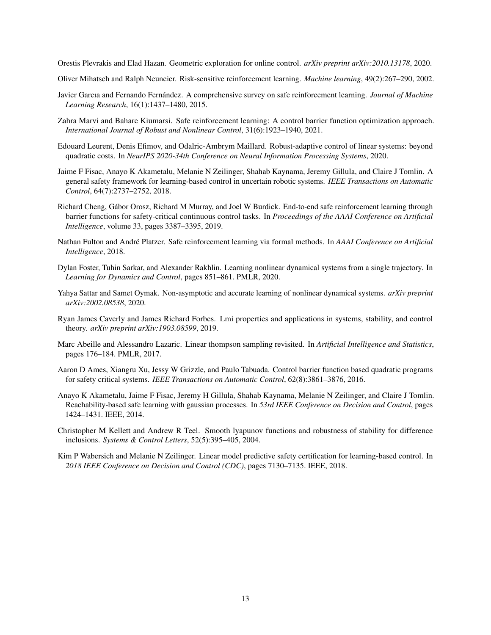<span id="page-12-0"></span>Orestis Plevrakis and Elad Hazan. Geometric exploration for online control. *arXiv preprint arXiv:2010.13178*, 2020.

- <span id="page-12-1"></span>Oliver Mihatsch and Ralph Neuneier. Risk-sensitive reinforcement learning. *Machine learning*, 49(2):267–290, 2002.
- <span id="page-12-2"></span>Javier Garcıa and Fernando Fernández. A comprehensive survey on safe reinforcement learning. *Journal of Machine Learning Research*, 16(1):1437–1480, 2015.
- <span id="page-12-3"></span>Zahra Marvi and Bahare Kiumarsi. Safe reinforcement learning: A control barrier function optimization approach. *International Journal of Robust and Nonlinear Control*, 31(6):1923–1940, 2021.
- <span id="page-12-4"></span>Edouard Leurent, Denis Efimov, and Odalric-Ambrym Maillard. Robust-adaptive control of linear systems: beyond quadratic costs. In *NeurIPS 2020-34th Conference on Neural Information Processing Systems*, 2020.
- <span id="page-12-5"></span>Jaime F Fisac, Anayo K Akametalu, Melanie N Zeilinger, Shahab Kaynama, Jeremy Gillula, and Claire J Tomlin. A general safety framework for learning-based control in uncertain robotic systems. *IEEE Transactions on Automatic Control*, 64(7):2737–2752, 2018.
- <span id="page-12-6"></span>Richard Cheng, Gábor Orosz, Richard M Murray, and Joel W Burdick. End-to-end safe reinforcement learning through barrier functions for safety-critical continuous control tasks. In *Proceedings of the AAAI Conference on Artificial Intelligence*, volume 33, pages 3387–3395, 2019.
- <span id="page-12-7"></span>Nathan Fulton and André Platzer. Safe reinforcement learning via formal methods. In *AAAI Conference on Artificial Intelligence*, 2018.
- <span id="page-12-8"></span>Dylan Foster, Tuhin Sarkar, and Alexander Rakhlin. Learning nonlinear dynamical systems from a single trajectory. In *Learning for Dynamics and Control*, pages 851–861. PMLR, 2020.
- <span id="page-12-9"></span>Yahya Sattar and Samet Oymak. Non-asymptotic and accurate learning of nonlinear dynamical systems. *arXiv preprint arXiv:2002.08538*, 2020.
- <span id="page-12-10"></span>Ryan James Caverly and James Richard Forbes. Lmi properties and applications in systems, stability, and control theory. *arXiv preprint arXiv:1903.08599*, 2019.
- <span id="page-12-11"></span>Marc Abeille and Alessandro Lazaric. Linear thompson sampling revisited. In *Artificial Intelligence and Statistics*, pages 176–184. PMLR, 2017.
- <span id="page-12-12"></span>Aaron D Ames, Xiangru Xu, Jessy W Grizzle, and Paulo Tabuada. Control barrier function based quadratic programs for safety critical systems. *IEEE Transactions on Automatic Control*, 62(8):3861–3876, 2016.
- <span id="page-12-13"></span>Anayo K Akametalu, Jaime F Fisac, Jeremy H Gillula, Shahab Kaynama, Melanie N Zeilinger, and Claire J Tomlin. Reachability-based safe learning with gaussian processes. In *53rd IEEE Conference on Decision and Control*, pages 1424–1431. IEEE, 2014.
- <span id="page-12-14"></span>Christopher M Kellett and Andrew R Teel. Smooth lyapunov functions and robustness of stability for difference inclusions. *Systems & Control Letters*, 52(5):395–405, 2004.
- <span id="page-12-15"></span>Kim P Wabersich and Melanie N Zeilinger. Linear model predictive safety certification for learning-based control. In *2018 IEEE Conference on Decision and Control (CDC)*, pages 7130–7135. IEEE, 2018.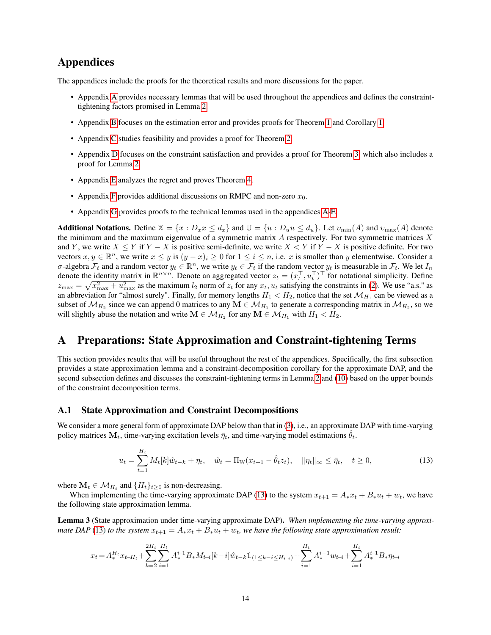# Appendices

The appendices include the proofs for the theoretical results and more discussions for the paper.

- Appendix [A](#page-13-0) provides necessary lemmas that will be used throughout the appendices and defines the constrainttightening factors promised in Lemma [2.](#page-6-2)
- Appendix [B](#page-16-0) focuses on the estimation error and provides proofs for Theorem [1](#page-8-2) and Corollary [1.](#page-8-0)
- Appendix [C](#page-19-0) studies feasibility and provides a proof for Theorem [2.](#page-8-1)
- Appendix [D](#page-20-0) focuses on the constraint satisfaction and provides a proof for Theorem [3,](#page-9-2) which also includes a proof for Lemma [2.](#page-6-2)
- Appendix [E](#page-22-0) analyzes the regret and proves Theorem [4.](#page-9-0)
- Appendix [F](#page-27-0) provides additional discussions on RMPC and non-zero  $x_0$ .
- Appendix [G](#page-31-0) provides proofs to the technical lemmas used in the appendices [A](#page-13-0)[-E.](#page-22-0)

**Additional Notations.** Define  $\mathbb{X} = \{x : D_x x \leq d_x\}$  and  $\mathbb{U} = \{u : D_u u \leq d_u\}$ . Let  $v_{\min}(A)$  and  $v_{\max}(A)$  denote the minimum and the maximum eigenvalue of a symmetric matrix  $A$  respectively. For two symmetric matrices  $X$ and Y, we write  $X \le Y$  if  $Y - X$  is positive semi-definite, we write  $X \le Y$  if  $Y - X$  is positive definite. For two vectors  $x, y \in \mathbb{R}^n$ , we write  $x \leq y$  is  $(y - x)_i \geq 0$  for  $1 \leq i \leq n$ , i.e. x is smaller than y elementwise. Consider a σ-algebra  $\mathcal{F}_t$  and a random vector  $y_t \in \mathbb{R}^n$ , we write  $y_t \in \mathcal{F}_t$  if the random vector  $y_t$  is measurable in  $\mathcal{F}_t$ . We let  $I_n$ denote the identity matrix in  $\mathbb{R}^{n \times n}$ . Denote an aggregated vector  $z_t = (x_t^\top, u_t^\top)^\top$  for notational simplicity. Define  $z_{\text{max}} = \sqrt{x_{\text{max}}^2 + u_{\text{max}}^2}$  as the maximum  $l_2$  norm of  $z_t$  for any  $x_t$ ,  $u_t$  satisfying the constraints in [\(2\)](#page-2-0). We use "a.s." as an abbreviation for "almost surely". Finally, for memory lengths  $H_1 < H_2$ , notice that the set  $\mathcal{M}_{H_1}$  can be viewed as a subset of  $M_{H_2}$  since we can append 0 matrices to any  $M \in M_{H_1}$  to generate a corresponding matrix in  $M_{H_2}$ , so we will slightly abuse the notation and write  $M \in \mathcal{M}_{H_2}$  for any  $M \in \mathcal{M}_{H_1}$  with  $H_1 < H_2$ .

# <span id="page-13-0"></span>A Preparations: State Approximation and Constraint-tightening Terms

This section provides results that will be useful throughout the rest of the appendices. Specifically, the first subsection provides a state approximation lemma and a constraint-decomposition corollary for the approximate DAP, and the second subsection defines and discusses the constraint-tightening terms in Lemma [2](#page-6-2) and [\(10\)](#page-6-0) based on the upper bounds of the constraint decomposition terms.

#### A.1 State Approximation and Constraint Decompositions

We consider a more general form of approximate DAP below than that in [\(3\)](#page-3-0), i.e., an approximate DAP with time-varying policy matrices  $M_t$ , time-varying excitation levels  $\bar{\eta}_t$ , and time-varying model estimations  $\theta_t$ .

<span id="page-13-1"></span>
$$
u_t = \sum_{t=1}^{H_t} M_t[k]\hat{w}_{t-k} + \eta_t, \quad \hat{w}_t = \Pi_{\mathbb{W}}(x_{t+1} - \hat{\theta}_t z_t), \quad \|\eta_t\|_{\infty} \le \bar{\eta}_t, \quad t \ge 0,
$$
\n(13)

where  $\mathbf{M}_t \in \mathcal{M}_{H_t}$  and  $\{H_t\}_{t \geq 0}$  is non-decreasing.

When implementing the time-varying approximate DAP [\(13\)](#page-13-1) to the system  $x_{t+1} = A_* x_t + B_* u_t + w_t$ , we have the following state approximation lemma.

<span id="page-13-2"></span>Lemma 3 (State approximation under time-varying approximate DAP). *When implementing the time-varying approximate DAP* [\(13\)](#page-13-1) *to the system*  $x_{t+1} = A_*x_t + B_*u_t + w_t$ *, we have the following state approximation result:* 

$$
x_t = A^{H_t}_* x_{t-H_t} + \sum_{k=2}^{2H_t}\sum_{i=1}^{H_t} A^{i-1}_*B_*M_{t-i}[k-i]\hat{w}_{t-k}1\hspace{-1.5mm}1_{(1\leq k-i\leq H_{t-i})} + \sum_{i=1}^{H_t} A^{i-1}_*w_{t-i} + \sum_{i=1}^{H_t} A^{i-1}_*B_*\eta_{t-i}
$$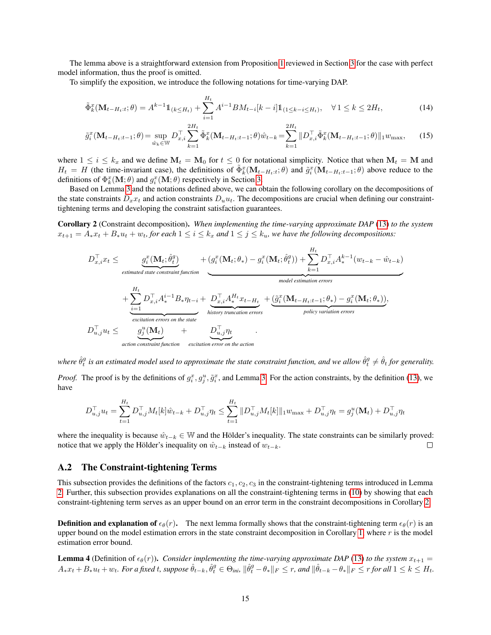The lemma above is a straightforward extension from Proposition [1](#page-3-1) reviewed in Section [3](#page-3-4) for the case with perfect model information, thus the proof is omitted.

To simplify the exposition, we introduce the following notations for time-varying DAP.

$$
\tilde{\Phi}_k^x(\mathbf{M}_{t-H_t:t};\theta) = A^{k-1} \mathbb{1}_{(k \le H_t)} + \sum_{i=1}^{H_t} A^{i-1} B M_{t-i}[k-i] \mathbb{1}_{(1 \le k-i \le H_t)}, \quad \forall \, 1 \le k \le 2H_t,
$$
\n<sup>(14)</sup>

$$
\tilde{g}_i^x(\mathbf{M}_{t-H_t:t-1};\theta) = \sup_{\hat{w}_k \in \mathbb{W}} D_{x,i}^\top \sum_{k=1}^{2H_t} \tilde{\Phi}_k^x(\mathbf{M}_{t-H_t:t-1};\theta) \hat{w}_{t-k} = \sum_{k=1}^{2H_t} ||D_{x,i}^\top \tilde{\Phi}_k^x(\mathbf{M}_{t-H_t:t-1};\theta)||_1 w_{\text{max}},\tag{15}
$$

where  $1 \le i \le k_x$  and we define  $M_t = M_0$  for  $t \le 0$  for notational simplicity. Notice that when  $M_t = M$  and  $H_t = H$  (the time-invariant case), the definitions of  $\tilde{\Phi}_k^x(\mathbf{M}_{t-H_t:t};\theta)$  and  $\tilde{g}_i^x(\mathbf{M}_{t-H_t:t-1};\theta)$  above reduce to the definitions of  $\Phi_k^x(\mathbf{M}; \theta)$  and  $g_i^x(\mathbf{M}; \theta)$  respectively in Section [3.](#page-3-4)

Based on Lemma [3](#page-13-2) and the notations defined above, we can obtain the following corollary on the decompositions of the state constraints  $D_xx_t$  and action constraints  $D_uu_t$ . The decompositions are crucial when defining our constrainttightening terms and developing the constraint satisfaction guarantees.

<span id="page-14-1"></span>Corollary 2 (Constraint decomposition). *When implementing the time-varying approximate DAP* [\(13\)](#page-13-1) *to the system*  $x_{t+1} = A_* x_t + B_* u_t + w_t$ , for each  $1 \leq i \leq k_x$  and  $1 \leq j \leq k_u$ , we have the following decompositions:

$$
D_{x,i}^{\top}x_t \leq \underbrace{g_i^x(\mathbf{M}_t; \hat{\theta}_t^g)}_{\text{estimated state constraint function}} + \underbrace{(g_i^x(\mathbf{M}_t; \theta_*) - g_i^x(\mathbf{M}_t; \hat{\theta}_t^g))}_{\text{model estimation errors}} + \sum_{k=1}^{H_t} D_{x,i}^{\top} A_k^{k-1}(w_{t-k} - \hat{w}_{t-k})
$$
\n
$$
+ \underbrace{\sum_{i=1}^{H_t} D_{x,i}^{\top} A_i^{i-1} B_* \eta_{t-i}}_{\text{excitation errors on the state}} + \underbrace{D_{x,i}^{\top} A_*^{H_t} x_{t-H_t}}_{\text{history truncation errors}} + \underbrace{(\tilde{g}_i^x(\mathbf{M}_{t-H_t:t-1}; \theta_*) - g_i^x(\mathbf{M}_t; \theta_*))}_{\text{policy variation errors}},
$$
\n
$$
D_{u,j}^{\top} u_t \leq \underbrace{g_j^u(\mathbf{M}_t)}_{\text{action constraint function}} + \underbrace{D_{u,j}^{\top} \eta_t}_{\text{excitation error on the action}}
$$

where  $\hat{\theta}_t^g$  is an estimated model used to approximate the state constraint function, and we allow  $\hat{\theta}_t^g\neq\hat{\theta}_t$  for generality.

*Proof.* The proof is by the definitions of  $g_i^x$ ,  $g_j^u$ ,  $\tilde{g}_i^x$ , and Lemma [3.](#page-13-2) For the action constraints, by the definition [\(13\)](#page-13-1), we have

$$
D_{u,j}^{\top} u_t = \sum_{t=1}^{H_t} D_{u,j}^{\top} M_t[k] \hat{w}_{t-k} + D_{u,j}^{\top} \eta_t \le \sum_{t=1}^{H_t} ||D_{u,j}^{\top} M_t[k]||_1 w_{\max} + D_{u,j}^{\top} \eta_t = g_j^u(\mathbf{M}_t) + D_{u,j}^{\top} \eta_t
$$

where the inequality is because  $\hat{w}_{t-k} \in \mathbb{W}$  and the Hölder's inequality. The state constraints can be similarly proved: notice that we apply the Hölder's inequality on  $\hat{w}_{t-k}$  instead of  $w_{t-k}$ .  $\Box$ 

#### <span id="page-14-0"></span>A.2 The Constraint-tightening Terms

This subsection provides the definitions of the factors  $c_1, c_2, c_3$  in the constraint-tightening terms introduced in Lemma [2.](#page-6-2) Further, this subsection provides explanations on all the constraint-tightening terms in [\(10\)](#page-6-0) by showing that each constraint-tightening term serves as an upper bound on an error term in the constraint decompositions in Corollary [2.](#page-14-1)

**Definition and explanation of**  $\epsilon_{\theta}(r)$ . The next lemma formally shows that the constraint-tightening term  $\epsilon_{\theta}(r)$  is an upper bound on the model estimation errors in the state constraint decomposition in Corollary [1,](#page-8-0) where  $r$  is the model estimation error bound.

<span id="page-14-2"></span>**Lemma 4** (Definition of  $\epsilon_{\theta}(r)$ ). *Consider implementing the time-varying approximate DAP* [\(13\)](#page-13-1) *to the system*  $x_{t+1}$  =  $A_*x_t+B_*u_t+w_t$ . For a fixed  $t$ , suppose  $\hat{\theta}_{t-k}, \hat{\theta}^g_t \in \Theta_{ini}$ ,  $\|\hat{\theta}^g_t-\theta_*\|_F \leq r$ , and  $\|\hat{\theta}_{t-k}-\theta_*\|_F \leq r$  for all  $1 \leq k \leq H_t$ .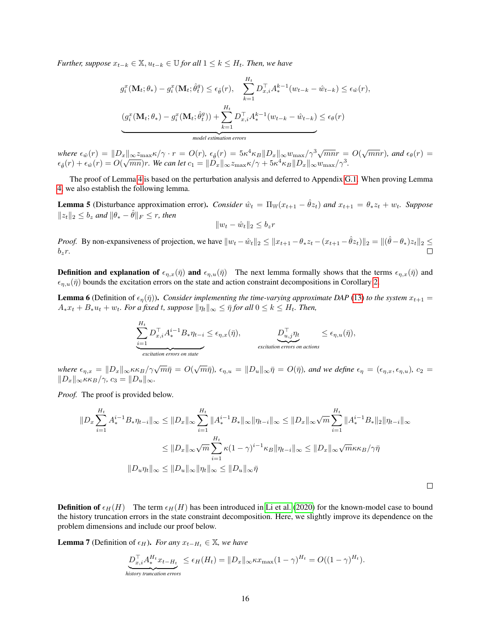*Further, suppose*  $x_{t-k} \in \mathbb{X}, u_{t-k} \in \mathbb{U}$  *for all*  $1 \leq k \leq H_t$ *. Then, we have* 

$$
g_i^x(\mathbf{M}_t; \theta_*) - g_i^x(\mathbf{M}_t; \hat{\theta}_t^g) \le \epsilon_{\hat{\theta}}(r), \quad \sum_{k=1}^{H_t} D_{x,i}^{\top} A_*^{k-1}(w_{t-k} - \hat{w}_{t-k}) \le \epsilon_{\hat{w}}(r),
$$

$$
(g_i^x(\mathbf{M}_t; \theta_*) - g_i^x(\mathbf{M}_t; \hat{\theta}_t^g)) + \sum_{k=1}^{H_t} D_{x,i}^{\top} A_*^{k-1}(w_{t-k} - \hat{w}_{t-k}) \le \epsilon_{\theta}(r)
$$
  
\nmodel estimation errors

 $where \epsilon_{\hat{w}}(r) = ||D_x||_{\infty} \approx \max_{\hat{\theta}} \kappa / \gamma \cdot r = O(r), \epsilon_{\hat{\theta}}(r) = 5\kappa^4 \kappa_B ||D_x||_{\infty} w_{\max}/\gamma^3 \sqrt{mn}r = O(\sqrt{mn}r),$  and  $\epsilon_{\theta}(r) = O(\sqrt{mn}r)$ .  $\epsilon_{\hat{\theta}}(r) + \epsilon_{\hat{w}}(r) = O(\sqrt{mn})r$ . We can let  $c_1 = \|\tilde{D}_x\|_{\infty} z_{\max}\kappa/\gamma + 5\kappa^4 \kappa_B \|D_x\|_{\infty} w_{\max}/\gamma^3$ .

The proof of Lemma [4](#page-14-2) is based on the perturbation analysis and deferred to Appendix [G.1.](#page-31-1) When proving Lemma [4,](#page-14-2) we also establish the following lemma.

<span id="page-15-1"></span>**Lemma 5** (Disturbance approximation error). *Consider*  $\hat{w}_t = \Pi_w(x_{t+1} - \hat{\theta}z_t)$  *and*  $x_{t+1} = \theta_* z_t + w_t$ . *Suppose*  $||z_t||_2 \leq b_z$  *and*  $||\theta_* - \hat{\theta}||_F \leq r$ , *then* 

$$
||w_t - \hat{w}_t||_2 \le b_z r
$$

*Proof.* By non-expansiveness of projection, we have  $||w_t - \hat{w}_t||_2 \le ||x_{t+1} - \theta_* z_t - (x_{t+1} - \hat{\theta} z_t)||_2 = ||(\hat{\theta} - \theta_*)z_t||_2 \le$  $b_zr$ .

**Definition and explanation of**  $\epsilon_{\eta,x}(\bar{\eta})$  and  $\epsilon_{\eta,u}(\bar{\eta})$  The next lemma formally shows that the terms  $\epsilon_{\eta,x}(\bar{\eta})$  and  $\epsilon_{\eta,u}(\bar{\eta})$  bounds the excitation errors on the state and action constraint decompositions in Corollary [2.](#page-14-1)

<span id="page-15-0"></span>**Lemma 6** (Definition of  $\epsilon_{\eta}(\bar{\eta})$ ). *Consider implementing the time-varying approximate DAP* [\(13\)](#page-13-1) *to the system*  $x_{t+1}$  =  $A_*x_t + B_*u_t + w_t$ . For a fixed t, suppose  $\|\eta_t\|_{\infty} \leq \bar{\eta}$  for all  $0 \leq k \leq H_t$ . Then,

$$
\underbrace{\sum_{i=1}^{H_t} D_{x,i}^{\top} A_*^{i-1} B_* \eta_{t-i}}_{\text{excitation errors on state}} \leq \epsilon_{\eta,x}(\bar{\eta}), \qquad \underbrace{D_{u,j}^{\top} \eta_t}_{\text{excitation errors on actions}} \leq \epsilon_{\eta,u}(\bar{\eta}),
$$

 $\mathcal{L}_{m,n} = \|D_x\|_{\infty} \kappa \kappa_B / \gamma \sqrt{m}\bar{\eta} = O(\sqrt{m}\bar{\eta}), \ \epsilon_{\eta,u} = \|D_u\|_{\infty} \bar{\eta} = O(\bar{\eta}),$  and we define  $\epsilon_{\eta} = (\epsilon_{\eta,x}, \epsilon_{\eta,u}), \ c_2 = 0$  $||D_x||_{\infty} \kappa \kappa_B / \gamma$ ,  $c_3 = ||D_u||_{\infty}$ .

*Proof.* The proof is provided below.

$$
||D_x \sum_{i=1}^{H_t} A_*^{i-1} B_* \eta_{t-i}||_{\infty} \le ||D_x||_{\infty} \sum_{i=1}^{H_t} ||A_*^{i-1} B_*||_{\infty} ||\eta_{t-i}||_{\infty} \le ||D_x||_{\infty} \sqrt{m} \sum_{i=1}^{H_t} ||A_*^{i-1} B_*||_2 ||\eta_{t-i}||_{\infty}
$$
  

$$
\le ||D_x||_{\infty} \sqrt{m} \sum_{i=1}^{H_t} \kappa (1-\gamma)^{i-1} \kappa_B ||\eta_{t-i}||_{\infty} \le ||D_x||_{\infty} \sqrt{m} \kappa \kappa_B/\gamma \bar{\eta}
$$
  

$$
||D_u \eta_t||_{\infty} \le ||D_u||_{\infty} ||\eta_t||_{\infty} \le ||D_u||_{\infty} \bar{\eta}
$$

 $\Box$ 

**Definition of**  $\epsilon_H(H)$  The term  $\epsilon_H(H)$  has been introduced in [Li et al.](#page-11-4) [\(2020\)](#page-11-4) for the known-model case to bound the history truncation errors in the state constraint decomposition. Here, we slightly improve its dependence on the problem dimensions and include our proof below.

**Lemma 7** (Definition of  $\epsilon_H$ ). *For any*  $x_{t-H_t} \in \mathbb{X}$ *, we have* 

$$
\underbrace{D_{x,i}^{\top} A_*^{H_t} x_{t-H_t}}_{\text{history truncation errors}} \le \epsilon_H(H_t) = \|D_x\|_{\infty} \kappa x_{\max} (1-\gamma)^{H_t} = O((1-\gamma)^{H_t}).
$$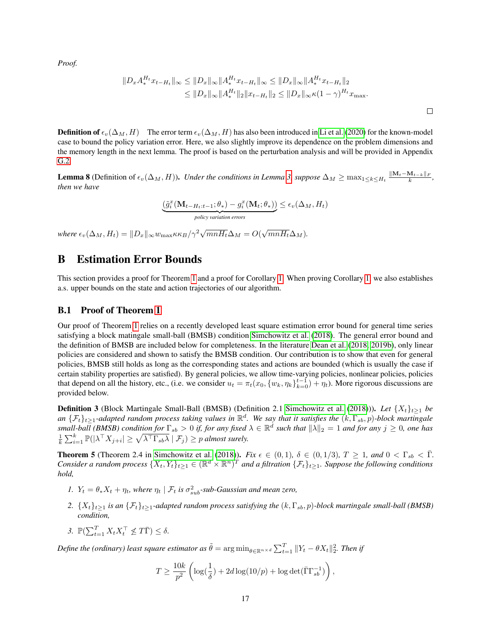*Proof.*

$$
||D_x A_*^{H_t} x_{t-H_t}||_{\infty} \le ||D_x||_{\infty} ||A_*^{H_t} x_{t-H_t}||_{\infty} \le ||D_x||_{\infty} ||A_*^{H_t} x_{t-H_t}||_2
$$
  
\n
$$
\le ||D_x||_{\infty} ||A_*^{H_t}||_2 ||x_{t-H_t}||_2 \le ||D_x||_{\infty} \kappa (1 - \gamma)^{H_t} x_{\text{max}}.
$$

**Definition of**  $\epsilon_v(\Delta_M, H)$  The error term  $\epsilon_v(\Delta_M, H)$  has also been introduced in [Li et al.](#page-11-4) [\(2020\)](#page-11-4) for the known-model case to bound the policy variation error. Here, we also slightly improve its dependence on the problem dimensions and the memory length in the next lemma. The proof is based on the perturbation analysis and will be provided in Appendix [G.2.](#page-33-0)

<span id="page-16-2"></span>**Lemma 8** (Definition of  $\epsilon_v(\Delta_M, H)$ ). *Under the conditions in Lemma [3,](#page-13-2) suppose*  $\Delta_M \ge \max_{1 \le k \le H_t} \frac{\|\mathbf{M}_t - \mathbf{M}_{t-k}\|_F}{k}$ , *then we have*

$$
\underbrace{\left(\tilde{g}_i^x(\mathbf{M}_{t-H_t:t-1};\theta_*)-g_i^x(\mathbf{M}_t;\theta_*)\right)}_{policy\ variation\ errors}\leq \epsilon_v(\Delta_M,H_t)
$$

*where*  $\epsilon_v(\Delta_M, H_t) = ||D_x||_\infty w_{\max} \kappa \kappa_B / \gamma^2 \sqrt{mnH_t}\Delta_M = O(\sqrt{mnH_t}\Delta_M)$ .

# <span id="page-16-0"></span>B Estimation Error Bounds

This section provides a proof for Theorem [1](#page-8-2) and a proof for Corollary [1.](#page-8-0) When proving Corollary [1,](#page-8-0) we also establishes a.s. upper bounds on the state and action trajectories of our algorithm.

### B.1 Proof of Theorem [1](#page-8-2)

Our proof of Theorem [1](#page-8-2) relies on a recently developed least square estimation error bound for general time series satisfying a block matingale small-ball (BMSB) condition [Simchowitz et al.](#page-10-4) [\(2018\)](#page-10-4). The general error bound and the definition of BMSB are included below for completeness. In the literature [Dean et al.](#page-10-1) [\(2018,](#page-10-1) [2019b\)](#page-11-3), only linear policies are considered and shown to satisfy the BMSB condition. Our contribution is to show that even for general policies, BMSB still holds as long as the corresponding states and actions are bounded (which is usually the case if certain stability properties are satisfied). By general policies, we allow time-varying policies, nonlinear policies, policies that depend on all the history, etc., (i.e. we consider  $u_t = \pi_t(x_0, \{w_k, \eta_k\}_{k=0}^{t-1}) + \eta_t$ ). More rigorous discussions are provided below.

**Definition 3** (Block Martingale Small-Ball (BMSB) (Definition 2.1 [Simchowitz et al.](#page-10-4) [\(2018\)](#page-10-4))). *Let*  $\{X_t\}_{t\geq 1}$  *be an* {Ft}t≥1*-adapted random process taking values in* R d *. We say that it satisfies the* (k, Γsb, p)*-block martingale*  $s$ mall-ball (BMSB) condition for  $\Gamma_{sb} > 0$  if, for any fixed  $\lambda \in \mathbb{R}^d$  such that  $\|\lambda\|_2 = 1$  and for any  $j \ge 0$ , one has  $\frac{1}{k} \sum_{i=1}^k \mathbb{P}(|\lambda^\top X_{j+i}| \geq \sqrt{\lambda^\top \Gamma_{sb} \lambda} | \mathcal{F}_j) \geq p$  almost surely.

<span id="page-16-1"></span>**Theorem 5** (Theorem 2.4 in [Simchowitz et al.](#page-10-4) [\(2018\)](#page-10-4)). *Fix*  $\epsilon \in (0,1)$ ,  $\delta \in (0,1/3)$ ,  $T \ge 1$ , and  $0 < \Gamma_{sb} < \overline{\Gamma}$ . *Consider a random process*  $\{X_t, Y_t\}_{t\geq 1} \in (\mathbb{R}^d \times \mathbb{R}^n)^T$  and a filtration  $\{\mathcal{F}_t\}_{t\geq 1}$ . Suppose the following conditions *hold,*

- *1.*  $Y_t = \theta_* X_t + \eta_t$ , where  $\eta_t \mid \mathcal{F}_t$  *is*  $\sigma_{sub}^2$ -sub-Gaussian and mean zero,
- 2.  $\{X_t\}_{t\geq 1}$  *is an*  $\{\mathcal{F}_t\}_{t\geq 1}$ *-adapted random process satisfying the*  $(k, \Gamma_{sb}, p)$ *-block martingale small-ball* (*BMSB*) *condition,*
- 3.  $\mathbb{P}(\sum_{t=1}^{T} X_t X_t^{\top} \nleq T\overline{\Gamma}) \leq \delta.$

Define the (ordinary) least square estimator as  $\tilde{\theta} = \arg \min_{\theta \in \mathbb{R}^{n \times d}} \sum_{t=1}^{T} \|Y_t - \theta X_t\|_2^2$ . Then if

$$
T \ge \frac{10k}{p^2} \left( \log(\frac{1}{\delta}) + 2d \log(10/p) + \log \det(\bar{\Gamma} \Gamma_{sb}^{-1}) \right),\,
$$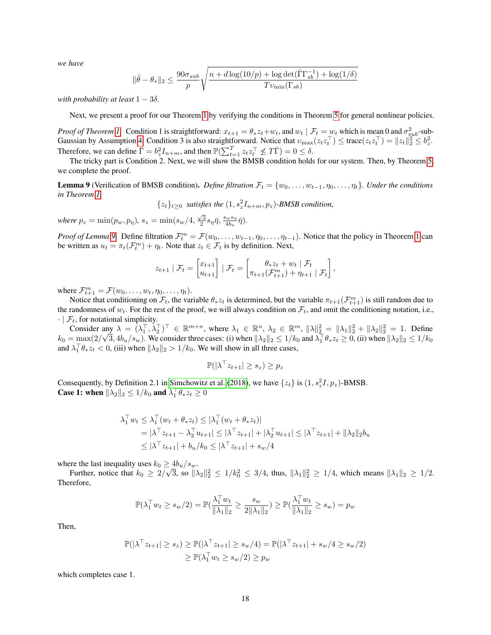*we have*

$$
\|\tilde{\theta} - \theta_{*}\|_{2} \le \frac{90\sigma_{sub}}{p} \sqrt{\frac{n + d\log(10/p) + \log \det(\bar{\Gamma}\Gamma_{sb}^{-1}) + \log(1/\delta)}{Tv_{\min}(\Gamma_{sb})}}
$$

*with probability at least*  $1 - 3\delta$ .

Next, we present a proof for our Theorem [1](#page-8-2) by verifying the conditions in Theorem [5](#page-16-1) for general nonlinear policies.

*Proof of Theorem [1.](#page-8-2)* Condition 1 is straightforward:  $x_{t+1} = \theta_* z_t + w_t$ , and  $w_t \mid \mathcal{F}_t = w_t$  which is mean 0 and  $\sigma_{sub}^2$ -sub-Gaussian by Assumption [4.](#page-3-5) Condition 3 is also straightforward. Notice that  $v_{\text{max}}(z_t z_t^\top) \leq \text{trace}(z_t z_t^\top) = \|z_t\|_2^2 \leq b_z^2$ . Therefore, we can define  $\bar{\Gamma} = b_z^2 I_{n+m}$ , and then  $\mathbb{P}(\sum_{t=1}^T z_t z_t^\top \nleq T\bar{\Gamma}) = 0 \leq \delta$ .

The tricky part is Condition 2. Next, we will show the BMSB condition holds for our system. Then, by Theorem [5,](#page-16-1) we complete the proof.

<span id="page-17-0"></span>**Lemma 9** (Verification of BMSB condition). *Define filtration*  $\mathcal{F}_t = \{w_0, \ldots, w_{t-1}, \eta_0, \ldots, \eta_t\}$ *. Under the conditions in Theorem [1,](#page-8-2)*

 $\{z_t\}_{t\geq 0}$  *satisfies the*  $(1, s_z^2 I_{n+m}, p_z)$ -BMSB condition,

*where*  $p_z = \min(p_w, p_\eta)$ ,  $s_z = \min(s_w/4, \frac{\sqrt{3}}{2} s_\eta \bar{\eta}, \frac{s_w s_\eta}{4b_w})$  $\frac{d^2w}{d b_u} \bar{\eta}$ ).

*Proof of Lemma* [9.](#page-17-0) Define filtration  $\mathcal{F}_t^m = \mathcal{F}(w_0, \dots, w_{t-1}, \eta_0, \dots, \eta_{t-1})$ . Notice that the policy in Theorem [1](#page-8-2) can be written as  $u_t = \pi_t(\mathcal{F}_t^m) + \eta_t$ . Note that  $z_t \in \mathcal{F}_t$  is by definition. Next,

$$
z_{t+1} | \mathcal{F}_t = \begin{bmatrix} x_{t+1} \\ u_{t+1} \end{bmatrix} | \mathcal{F}_t = \begin{bmatrix} \theta_* z_t + w_t | \mathcal{F}_t \\ \pi_{t+1}(\mathcal{F}_{t+1}^m) + \eta_{t+1} | \mathcal{F}_t \end{bmatrix},
$$

where  $\mathcal{F}_{t+1}^m = \mathcal{F}(w_0, \ldots, w_t, \eta_0, \ldots, \eta_t)$ .

Notice that conditioning on  $\mathcal{F}_t$ , the variable  $\theta_* z_t$  is determined, but the variable  $\pi_{t+1}(\mathcal{F}_{t+1}^m)$  is still random due to the randomness of  $w_t$ . For the rest of the proof, we will always condition on  $\mathcal{F}_t$ , and omit the conditioning notation, i.e.,  $\cdot \mid \mathcal{F}_t$ , for notational simplicity.

Consider any  $\lambda = (\lambda_1^{\top}, \lambda_2^{\top})^{\top} \in \mathbb{R}^{m+n}$ , where  $\lambda_1 \in \mathbb{R}^n$ ,  $\lambda_2 \in \mathbb{R}^m$ ,  $\|\lambda\|_2^2 = \|\lambda_1\|_2^2 + \|\lambda_2\|_2^2 = 1$ . Define  $k_0 = \max(2)$ √  $\overline{3}$ ,  $4b_u/s_w$ ). We consider three cases: (i) when  $\|\lambda_2\|_2 \le 1/k_0$  and  $\lambda_1^{\top} \theta_* z_t \ge 0$ , (ii) when  $\|\lambda_2\|_2 \le 1/k_0$ and  $\lambda_1^{\top} \theta_* z_t < 0$ , (iii) when  $\|\lambda_2\|_2 > 1/k_0$ . We will show in all three cases,

$$
\mathbb{P}(|\lambda^\top z_{t+1}| \geq s_z) \geq p_z
$$

Consequently, by Definition 2.1 in [Simchowitz et al.](#page-10-4) [\(2018\)](#page-10-4), we have  $\{z_t\}$  is  $(1, s_z^2 I, p_z)$ -BMSB. **Case 1:** when  $\|\lambda_2\|_2 \leq 1/k_0$  and  $\lambda_1^{\top} \theta_* z_t \geq 0$ 

$$
\lambda_1^\top w_t \leq \lambda_1^\top (w_t + \theta_* z_t) \leq |\lambda_1^\top (w_t + \theta_* z_t)|
$$
  
=  $|\lambda^\top z_{t+1} - \lambda_2^\top u_{t+1}| \leq |\lambda^\top z_{t+1}| + |\lambda_2^\top u_{t+1}| \leq |\lambda^\top z_{t+1}| + |\lambda_2||_2b_u$   
 $\leq |\lambda^\top z_{t+1}| + b_u/k_0 \leq |\lambda^\top z_{t+1}| + s_w/4$ 

where the last inequality uses  $k_0 \ge 4b_u/s_w$ . √

Further, notice that  $k_0 \geq 2/$  $\overline{3}$ , so  $\|\lambda_2\|_2^2 \le 1/k_0^2 \le 3/4$ , thus,  $\|\lambda_1\|_2^2 \ge 1/4$ , which means  $\|\lambda_1\|_2 \ge 1/2$ . Therefore,

$$
\mathbb{P}(\lambda_1^\top w_t \ge s_w/2) = \mathbb{P}(\frac{\lambda_1^\top w_t}{\|\lambda_1\|_2} \ge \frac{s_w}{2\|\lambda_1\|_2}) \ge \mathbb{P}(\frac{\lambda_1^\top w_t}{\|\lambda_1\|_2} \ge s_w) = p_w
$$

Then,

$$
\mathbb{P}(|\lambda^\top z_{t+1}| \geq s_z) \geq \mathbb{P}(|\lambda^\top z_{t+1}| \geq s_w/4) = \mathbb{P}(|\lambda^\top z_{t+1}| + s_w/4 \geq s_w/2)
$$
  

$$
\geq \mathbb{P}(\lambda_1^\top w_t \geq s_w/2) \geq p_w
$$

which completes case 1.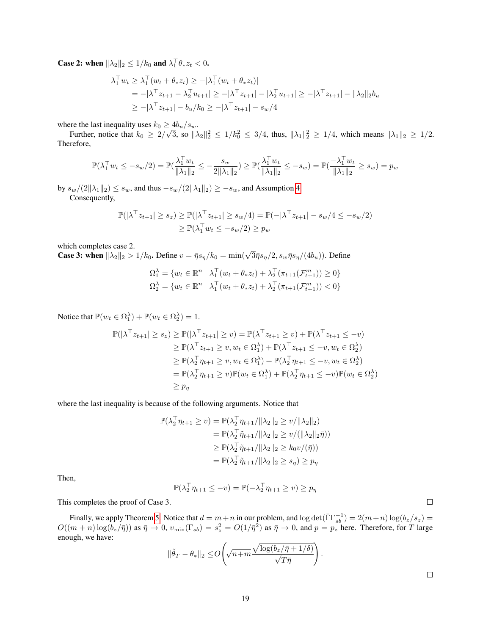**Case 2:** when  $\|\lambda_2\|_2 \leq 1/k_0$  and  $\lambda_1^{\top} \theta_* z_t < 0$ .

$$
\lambda_1^{\top} w_t \ge \lambda_1^{\top} (w_t + \theta_* z_t) \ge -|\lambda_1^{\top} (w_t + \theta_* z_t)|
$$
  
= -|\lambda^{\top} z\_{t+1} - \lambda\_2^{\top} u\_{t+1}| \ge -|\lambda^{\top} z\_{t+1}| - |\lambda\_2^{\top} u\_{t+1}| \ge -|\lambda^{\top} z\_{t+1}| - \|\lambda\_2\|\_2 b\_u  
\ge -|\lambda^{\top} z\_{t+1}| - b\_u/k\_0 \ge -|\lambda^{\top} z\_{t+1}| - s\_w/4

where the last inequality uses  $k_0 \ge 4b_u/s_w$ . √

Further, notice that  $k_0 \geq 2/$  $\overline{3}$ , so  $\|\lambda_2\|_2^2 \le 1/k_0^2 \le 3/4$ , thus,  $\|\lambda_1\|_2^2 \ge 1/4$ , which means  $\|\lambda_1\|_2 \ge 1/2$ . Therefore,

$$
\mathbb{P}(\lambda_1^\top w_t \le -s_w/2) = \mathbb{P}(\frac{\lambda_1^\top w_t}{\|\lambda_1\|_2} \le -\frac{s_w}{2\|\lambda_1\|_2}) \ge \mathbb{P}(\frac{\lambda_1^\top w_t}{\|\lambda_1\|_2} \le -s_w) = \mathbb{P}(\frac{-\lambda_1^\top w_t}{\|\lambda_1\|_2} \ge s_w) = p_w
$$

by  $s_w/(2\|\lambda_1\|_2) \leq s_w$ , and thus  $-s_w/(2\|\lambda_1\|_2) \geq -s_w$ , and Assumption [4.](#page-3-5) Consequently,

$$
\mathbb{P}(|\lambda^\top z_{t+1}| \geq s_z) \geq \mathbb{P}(|\lambda^\top z_{t+1}| \geq s_w/4) = \mathbb{P}(-|\lambda^\top z_{t+1}| - s_w/4 \leq -s_w/2)
$$
  

$$
\geq \mathbb{P}(\lambda_1^\top w_t \leq -s_w/2) \geq p_w
$$

which completes case 2.

which completes case 2.<br>**Case 3: when**  $\|\lambda_2\|_2 > 1/k_0$ . Define  $v = \bar{\eta}s_\eta/k_0 = \min(\sqrt{3}\bar{\eta}s_\eta/2, s_w\bar{\eta}s_\eta/(4b_u))$ . Define

$$
\Omega_1^{\lambda} = \{ w_t \in \mathbb{R}^n \mid \lambda_1^{\top} (w_t + \theta_* z_t) + \lambda_2^{\top} (\pi_{t+1}(\mathcal{F}_{t+1}^m)) \ge 0 \}
$$
  

$$
\Omega_2^{\lambda} = \{ w_t \in \mathbb{R}^n \mid \lambda_1^{\top} (w_t + \theta_* z_t) + \lambda_2^{\top} (\pi_{t+1}(\mathcal{F}_{t+1}^m)) < 0 \}
$$

Notice that  $\mathbb{P}(w_t \in \Omega_1^{\lambda}) + \mathbb{P}(w_t \in \Omega_2^{\lambda}) = 1$ .

$$
\mathbb{P}(|\lambda^{\top} z_{t+1}| \geq s_z) \geq \mathbb{P}(|\lambda^{\top} z_{t+1}| \geq v) = \mathbb{P}(\lambda^{\top} z_{t+1} \geq v) + \mathbb{P}(\lambda^{\top} z_{t+1} \leq -v)
$$
  
\n
$$
\geq \mathbb{P}(\lambda^{\top} z_{t+1} \geq v, w_t \in \Omega_1^{\lambda}) + \mathbb{P}(\lambda^{\top} z_{t+1} \leq -v, w_t \in \Omega_2^{\lambda})
$$
  
\n
$$
\geq \mathbb{P}(\lambda_2^{\top} \eta_{t+1} \geq v, w_t \in \Omega_1^{\lambda}) + \mathbb{P}(\lambda_2^{\top} \eta_{t+1} \leq -v, w_t \in \Omega_2^{\lambda})
$$
  
\n
$$
= \mathbb{P}(\lambda_2^{\top} \eta_{t+1} \geq v) \mathbb{P}(w_t \in \Omega_1^{\lambda}) + \mathbb{P}(\lambda_2^{\top} \eta_{t+1} \leq -v) \mathbb{P}(w_t \in \Omega_2^{\lambda})
$$
  
\n
$$
\geq p_\eta
$$

where the last inequality is because of the following arguments. Notice that

$$
\mathbb{P}(\lambda_2^{\top} \eta_{t+1} \ge v) = \mathbb{P}(\lambda_2^{\top} \eta_{t+1} / \|\lambda_2\|_2 \ge v / \|\lambda_2\|_2)
$$
  
\n
$$
= \mathbb{P}(\lambda_2^{\top} \tilde{\eta}_{t+1} / \|\lambda_2\|_2 \ge v / (\|\lambda_2\|_2 \bar{\eta}))
$$
  
\n
$$
\ge \mathbb{P}(\lambda_2^{\top} \tilde{\eta}_{t+1} / \|\lambda_2\|_2 \ge k_0 v / (\bar{\eta}))
$$
  
\n
$$
= \mathbb{P}(\lambda_2^{\top} \tilde{\eta}_{t+1} / \|\lambda_2\|_2 \ge s_\eta) \ge p_\eta
$$

Then,

$$
\mathbb{P}(\lambda_2^{\top} \eta_{t+1} \le -v) = \mathbb{P}(-\lambda_2^{\top} \eta_{t+1} \ge v) \ge p_{\eta}
$$

This completes the proof of Case 3.

Finally, we apply Theorem [5.](#page-16-1) Notice that  $d = m+n$  in our problem, and  $\log \det(\overline{\Gamma}\Gamma_{sb}^{-1}) = 2(m+n) \log(b_z/s_z)$  $O((m+n)\log(b_z/\bar{\eta}))$  as  $\bar{\eta} \to 0$ ,  $v_{\min}(\Gamma_{sb}) = s_z^2 = O(1/\bar{\eta}^2)$  as  $\bar{\eta} \to 0$ , and  $p = p_z$  here. Therefore, for T large enough, we have:

$$
\|\tilde{\theta}_T - \theta_*\|_2 \le O\left(\sqrt{n+m} \frac{\sqrt{\log(b_z/\bar{\eta}+1/\delta)}}{\sqrt{T}\bar{\eta}}\right).
$$

 $\Box$ 

 $\Box$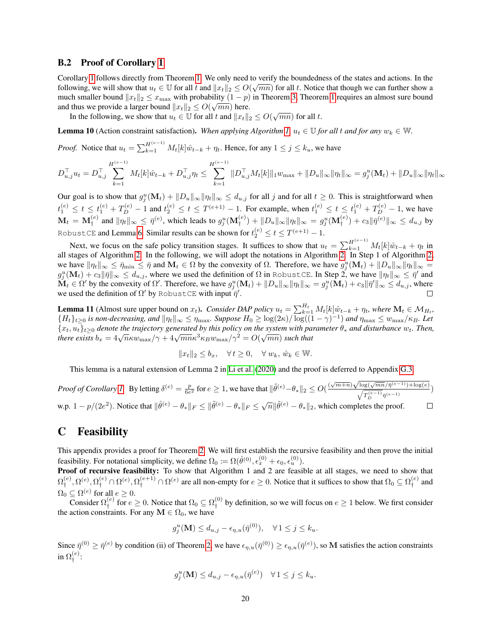#### B.2 Proof of Corollary [1](#page-8-0)

Corollary [1](#page-8-0) follows directly from Theorem [1.](#page-8-2) We only need to verify the boundedness of the states and actions. In the  $\frac{1}{2}$ following, we will show that  $u_t \in \mathbb{U}$  for all t and  $||x_t||_2 \leq O(\sqrt{mn})$  for all t. Notice that though we can further show a much smaller bound  $||x_t||_2 \leq x_{\text{max}}$  with probability  $(1 - p)$  in Theorem [3,](#page-9-2) Theorem [1](#page-8-2) requires an almost sure bound and thus we provide a larger bound  $||x_t||_2 \le O(\sqrt{mn})$  here.

In the following, we show that  $u_t \in \mathbb{U}$  for all t and  $||x_t||_2 \le O(\sqrt{mn})$  for all t.

<span id="page-19-1"></span>**Lemma 10** (Action constraint satisfaction). When applying Algorithm [1,](#page-5-0)  $u_t \in \mathbb{U}$  for all t and for any  $w_k \in \mathbb{W}$ .

*Proof.* Notice that  $u_t = \sum_{k=1}^{H^{(e-1)}} M_t[k]\hat{w}_{t-k} + \eta_t$ . Hence, for any  $1 \le j \le k_u$ , we have

$$
D_{u,j}^{\top} u_t = D_{u,j}^{\top} \sum_{k=1}^{H^{(e-1)}} M_t[k] \hat{w}_{t-k} + D_{u,j}^{\top} \eta_t \le \sum_{k=1}^{H^{(e-1)}} \| D_{u,j}^{\top} M_t[k] \|_1 w_{\max} + \| D_u \|_{\infty} \|\eta_t\|_{\infty} = g_j^u(\mathbf{M}_t) + \| D_u \|_{\infty} \|\eta_t\|_{\infty}
$$

Our goal is to show that  $g_j^u(\mathbf{M}_t) + ||D_u||_{\infty} ||\eta_t||_{\infty} \le d_{u,j}$  for all j and for all  $t \ge 0$ . This is straightforward when  $t_1^{(e)} \le t \le t_1^{(e)} + T_D^{(e)} - 1$  and  $t_2^{(e)} \le t \le T^{(e+1)} - 1$ . For example, when  $t_1^{(e)} \le t \le t_1^{(e)} + T_D^{(e)} - 1$ , we have  $\mathbf{M}_t = \mathbf{M}_\dagger^{(e)}$  and  $\|\eta_t\|_\infty \leq \bar{\eta}^{(e)},$  which leads to  $g_j^u(\mathbf{M}_\dagger^{(e)}) + \|D_u\|_\infty \|\eta_t\|_\infty = g_j^u(\mathbf{M}_\dagger^{(e)}) + c_3\|\bar{\eta}^{(e)}\|_\infty \leq d_{u,j}$  by RobustCE and Lemma [6.](#page-15-0) Similar results can be shown for  $t_2^{(e)} \leq t \leq T^{(e+1)}-1.$ 

Next, we focus on the safe policy transition stages. It suffices to show that  $u_t = \sum_{k=1}^{H^{(e-1)}} M_t[k]\hat{w}_{t-k} + \eta_t$  in all stages of Algorithm [2.](#page-7-0) In the following, we will adopt the notations in Algorithm [2.](#page-7-0) In Step 1 of Algorithm [2,](#page-7-0) we have  $\|\eta_t\|_{\infty} \leq \bar{\eta}_{\min} \leq \bar{\eta}$  and  $\mathbf{M}_t \in \Omega$  by the convexity of  $\Omega$ . Therefore, we have  $g_j^u(\mathbf{M}_t) + ||D_u||_{\infty} ||\eta_t||_{\infty} =$  $g_j^u(\mathbf{M}_t)+c_3\|\bar{\eta}\|_\infty\leq d_{u,j},$  where we used the definition of  $\Omega$  in <code>RobustCE</code>. In Step 2, we have  $\|\eta_t\|_\infty\leq \bar{\eta}'$  and  $\bold{\check{M}}_t \in \Omega'$  by the convexity of  $\Omega'.$  Therefore, we have  $g_j^u(\bold{M}_t) + \lVert D_u \rVert_{\infty} \lVert \eta_t \rVert_{\infty} = g_j^u(\bold{M}_t) + c_3 \lVert \bar{\eta}' \rVert_{\infty} \leq d_{u,j},$  where we used the definition of  $\Omega'$  by RobustCE with input  $\bar{\eta}'$ .  $\Box$ 

<span id="page-19-2"></span>**Lemma 11** (Almost sure upper bound on  $x_t$ ). *Consider DAP policy*  $u_t = \sum_{k=1}^{H_t} M_t[k]\hat{w}_{t-k} + \eta_t$ , where  $\mathbf{M}_t \in \mathcal{M}_{H_t}$ ,  ${H_t}_{t\geq0}$  *is non-decreasing, and*  $\|\eta_t\|_\infty \leq \eta_{\max}$ . Suppose  $H_0 \geq \log(2\kappa)/\log((1-\gamma)^{-1})$  and  $\eta_{\max} \leq w_{\max}/\kappa_B$ . Let {xt, ut}t≥<sup>0</sup> *denote the trajectory generated by this policy on the system with parameter* θ<sup>∗</sup> *and disturbance* wt*. Then,* √  $\{x_t, u_t\}_{t\geq0}$  aenote the trajectory generated by this policy on the system with particle there exists  $b_x = 4\sqrt{n\kappa w_{\max}}/\gamma + 4\sqrt{mn\kappa^3 \kappa_B w_{\max}}/\gamma^2 = O(\sqrt{mn})$  such that

$$
||x_t||_2 \le b_x, \quad \forall \, t \ge 0, \quad \forall \, w_k, \, \hat{w}_k \in \mathbb{W}.
$$

This lemma is a natural extension of Lemma 2 in [Li et al.](#page-11-4) [\(2020\)](#page-11-4) and the proof is deferred to Appendix [G.3.](#page-34-0)

Proof of Corollary 1. By letting 
$$
\delta^{(e)} = \frac{p}{6e^2}
$$
 for  $e \ge 1$ , we have that  $\|\tilde{\theta}^{(e)} - \theta_*\|_2 \le O(\frac{(\sqrt{m+n})\sqrt{\log(\sqrt{mn}/\bar{\eta}^{(e-1)}) + \log(e)}}{\sqrt{T_D^{(e-1)}}\bar{\eta}^{(e-1)}}$ )  
w.p.  $1 - p/(2e^2)$ . Notice that  $\|\hat{\theta}^{(e)} - \theta_*\|_F \le \|\tilde{\theta}^{(e)} - \theta_*\|_F \le \sqrt{n}\|\tilde{\theta}^{(e)} - \theta_*\|_2$ , which completes the proof.

### <span id="page-19-0"></span>C Feasibility

This appendix provides a proof for Theorem [2.](#page-8-1) We will first establish the recursive feasibility and then prove the initial feasibility. For notational simplicity, we define  $\Omega_0 := \Omega(\hat{\theta}^{(0)}, \epsilon_x^{(0)} + \epsilon_0, \epsilon_u^{(0)})$ .

Proof of recursive feasibility: To show that Algorithm 1 and 2 are feasible at all stages, we need to show that  $\Omega^{(e)}_{\texttt{+}}$  $\mathcal{L}^{(e)}_1, \Omega^{(e)}, \Omega^{(e)}_1 \cap \Omega^{(e)}, \Omega^{(e+1)}_1 \cap \Omega^{(e)}$  are all non-empty for  $e \geq 0$ . Notice that it suffices to show that  $\Omega_0 \subseteq \Omega^{(e)}_1$  $i_t^{(e)}$  and  $\Omega_0 \subseteq \Omega^{(e)}$  for all  $e \geq 0$ .

Consider  $\Omega_{\dagger}^{(e)}$  $\sum_{i=1}^{(e)}$  for  $e \ge 0$ . Notice that  $\Omega_0 \subseteq \Omega_1^{(0)}$  $t_f^{(0)}$  by definition, so we will focus on  $e \ge 1$  below. We first consider the action constraints. For any  $\mathbf{M} \in \Omega_0$ , we have

$$
g_j^u(\mathbf{M}) \le d_{u,j} - \epsilon_{\eta,u}(\bar{\eta}^{(0)}), \quad \forall \, 1 \le j \le k_u.
$$

Since  $\bar{\eta}^{(0)} \ge \bar{\eta}^{(e)}$  by condition (ii) of Theorem [2,](#page-8-1) we have  $\epsilon_{\eta,u}(\bar{\eta}^{(0)}) \ge \epsilon_{\eta,u}(\bar{\eta}^{(e)})$ , so M satisfies the action constraints in  $\Omega^{(e)}_{\scriptscriptstyle \dag}$ † :

$$
g_j^u(\mathbf{M}) \le d_{u,j} - \epsilon_{\eta,u}(\bar{\eta}^{(e)}) \quad \forall \, 1 \le j \le k_u.
$$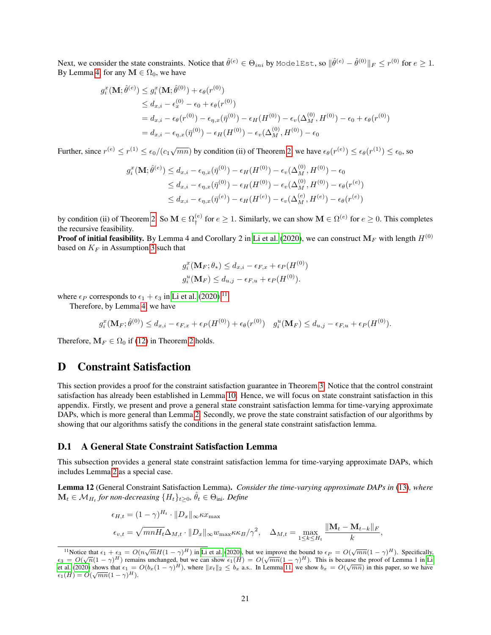Next, we consider the state constraints. Notice that  $\hat{\theta}^{(e)} \in \Theta_{ini}$  by ModelEst, so  $\|\hat{\theta}^{(e)} - \hat{\theta}^{(0)}\|_F \le r^{(0)}$  for  $e \ge 1$ . By Lemma [4,](#page-14-2) for any  $M \in \Omega_0$ , we have

$$
g_i^x(\mathbf{M}; \hat{\theta}^{(e)}) \le g_i^x(\mathbf{M}; \hat{\theta}^{(0)}) + \epsilon_{\theta}(r^{(0)})
$$
  
\n
$$
\le d_{x,i} - \epsilon_x^{(0)} - \epsilon_0 + \epsilon_{\theta}(r^{(0)})
$$
  
\n
$$
= d_{x,i} - \epsilon_{\theta}(r^{(0)}) - \epsilon_{\eta,x}(\bar{\eta}^{(0)}) - \epsilon_H(H^{(0)}) - \epsilon_v(\Delta_M^{(0)}, H^{(0)}) - \epsilon_0 + \epsilon_{\theta}(r^{(0)})
$$
  
\n
$$
= d_{x,i} - \epsilon_{\eta,x}(\bar{\eta}^{(0)}) - \epsilon_H(H^{(0)}) - \epsilon_v(\Delta_M^{(0)}, H^{(0)}) - \epsilon_0
$$

Further, since  $r^{(e)} \le r^{(1)} \le \epsilon_0/(c_1\sqrt{mn})$  by condition (ii) of Theorem [2,](#page-8-1) we have  $\epsilon_\theta(r^{(e)}) \le \epsilon_\theta(r^{(1)}) \le \epsilon_0$ , so

$$
g_i^x(\mathbf{M}; \hat{\theta}^{(e)}) \le d_{x,i} - \epsilon_{\eta,x}(\bar{\eta}^{(0)}) - \epsilon_H(H^{(0)}) - \epsilon_v(\Delta_M^{(0)}, H^{(0)}) - \epsilon_0
$$
  
\n
$$
\le d_{x,i} - \epsilon_{\eta,x}(\bar{\eta}^{(0)}) - \epsilon_H(H^{(0)}) - \epsilon_v(\Delta_M^{(0)}, H^{(0)}) - \epsilon_\theta(r^{(e)})
$$
  
\n
$$
\le d_{x,i} - \epsilon_{\eta,x}(\bar{\eta}^{(e)}) - \epsilon_H(H^{(e)}) - \epsilon_v(\Delta_M^{(e)}, H^{(e)}) - \epsilon_\theta(r^{(e)})
$$

by condition (ii) of Theorem [2.](#page-8-1) So  $\mathbf{M} \in \Omega_*^{(e)}$  $\mathcal{L}_{\dagger}^{(e)}$  for  $e \geq 1$ . Similarly, we can show  $\mathbf{M} \in \Omega^{(e)}$  for  $e \geq 0$ . This completes the recursive feasibility.

**Proof of initial feasibility.** By Lemma 4 and Corollary 2 in [Li et al.](#page-11-4) [\(2020\)](#page-11-4), we can construct  $M_F$  with length  $H^{(0)}$ based on  $K_F$  in Assumption [3](#page-3-3) such that

$$
g_i^x(\mathbf{M}_F; \theta_*) \le d_{x,i} - \epsilon_{F,x} + \epsilon_P(H^{(0)})
$$
  

$$
g_i^u(\mathbf{M}_F) \le d_{u,j} - \epsilon_{F,u} + \epsilon_P(H^{(0)}).
$$

where  $\epsilon_P$  corresponds to  $\epsilon_1 + \epsilon_3$  in [Li et al.](#page-11-4) [\(2020\)](#page-11-4).<sup>[11](#page-0-0)</sup>

Therefore, by Lemma [4,](#page-14-2) we have

$$
g_i^x(\mathbf{M}_F; \hat{\theta}^{(0)}) \le d_{x,i} - \epsilon_{F,x} + \epsilon_P(H^{(0)}) + \epsilon_{\theta}(r^{(0)}) \quad g_i^u(\mathbf{M}_F) \le d_{u,j} - \epsilon_{F,u} + \epsilon_P(H^{(0)}).
$$

Therefore,  $M_F \in \Omega_0$  if [\(12\)](#page-9-1) in Theorem [2](#page-8-1) holds.

### <span id="page-20-0"></span>D Constraint Satisfaction

This section provides a proof for the constraint satisfaction guarantee in Theorem [3.](#page-9-2) Notice that the control constraint satisfaction has already been established in Lemma [10.](#page-19-1) Hence, we will focus on state constraint satisfaction in this appendix. Firstly, we present and prove a general state constraint satisfaction lemma for time-varying approximate DAPs, which is more general than Lemma [2.](#page-6-2) Secondly, we prove the state constraint satisfaction of our algorithms by showing that our algorithms satisfy the conditions in the general state constraint satisfaction lemma.

#### D.1 A General State Constraint Satisfaction Lemma

This subsection provides a general state constraint satisfaction lemma for time-varying approximate DAPs, which includes Lemma [2](#page-6-2) as a special case.

<span id="page-20-1"></span>Lemma 12 (General Constraint Satisfaction Lemma). *Consider the time-varying approximate DAPs in* [\(13\)](#page-13-1)*, where*  $\mathbf{M}_t \in \mathcal{M}_{H_t}$  for non-decreasing  $\{H_t\}_{t\geq 0}$ ,  $\hat{\theta}_t \in \Theta_{\text{ini}}$ . Define

$$
\epsilon_{H,t} = (1 - \gamma)^{H_t} \cdot ||D_x||_{\infty} \kappa x_{\max}
$$
  

$$
\epsilon_{v,t} = \sqrt{mnH_t} \Delta_{M,t} \cdot ||D_x||_{\infty} w_{\max} \kappa \kappa_B / \gamma^2, \quad \Delta_{M,t} = \max_{1 \le k \le H_t} \frac{||\mathbf{M}_t - \mathbf{M}_{t-k}||_F}{k}
$$

,

<sup>&</sup>lt;sup>11</sup>Notice that  $\epsilon_1 + \epsilon_3 = O(n\sqrt{m}H(1-\gamma)^H)$  in [Li et al.](#page-11-4) [\(2020\)](#page-11-4), but we improve the bound to  $\epsilon_P = O(\sqrt{mn}(1-\gamma)^H)$ . Specifically, Notice that  $\epsilon_1 + \epsilon_3 = O(\sqrt{n} \sqrt{m} I (1 - \gamma) I)$  in [Li](#page-11-4) et al. (2020), but we implove the bound to  $\epsilon_p = O(\sqrt{n} n (1 - \gamma) I)$ . Specifically,  $\epsilon_3 = O(\sqrt{n} (1 - \gamma)^H)$  remains unchanged, but we can show  $\epsilon_1(H) = O(\sqrt{mn} (1 - \gamma)^H)$ . This is bec [et al.](#page-11-4) [\(2020\)](#page-11-4) shows that  $\epsilon_1 = O(b_x(1 - \gamma)^H)$ , where  $||x_t||_2 \leq b_x$  a.s.. In Lemma [11,](#page-19-2) we show  $b_x = O(\sqrt{mn})$  in this paper, so we have et al. (2020) shows that  $\epsilon_1 =$ <br> $\epsilon_1(H) = O(\sqrt{mn}(1-\gamma)^H).$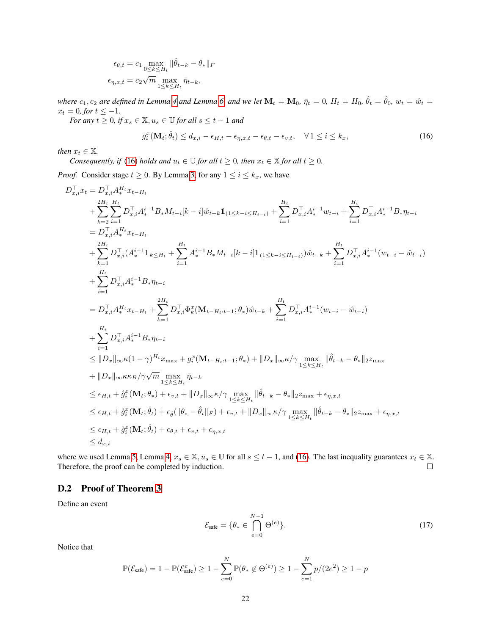$$
\epsilon_{\theta,t} = c_1 \max_{0 \le k \le H_t} \|\hat{\theta}_{t-k} - \theta_*\|_F
$$

$$
\epsilon_{\eta,x,t} = c_2 \sqrt{m} \max_{1 \le k \le H_t} \bar{\eta}_{t-k},
$$

*where*  $c_1, c_2$  *are defined in Lemma* [4](#page-14-2) *and Lemma* [6,](#page-15-0) *and we let*  $M_t = M_0$ ,  $\bar{\eta}_t = 0$ ,  $H_t = H_0$ ,  $\hat{\theta}_t = \hat{\theta}_0$ ,  $w_t = \hat{w}_t =$  $x_t = 0$ *, for*  $t \le -1$ *.* 

*For any*  $t \geq 0$ *, if*  $x_s \in \mathbb{X}$ *,*  $u_s \in \mathbb{U}$  *for all*  $s \leq t - 1$  *and* 

<span id="page-21-0"></span>
$$
g_i^x(\mathbf{M}_t; \hat{\theta}_t) \le d_{x,i} - \epsilon_{H,t} - \epsilon_{\eta,x,t} - \epsilon_{\theta,t} - \epsilon_{v,t}, \quad \forall 1 \le i \le k_x,
$$
\n(16)

*then*  $x_t \in \mathbb{X}$ *.* 

*Consequently, if* [\(16\)](#page-21-0) *holds and*  $u_t \in \mathbb{U}$  *for all*  $t \geq 0$ *, then*  $x_t \in \mathbb{X}$  *for all*  $t \geq 0$ *.* 

*Proof.* Consider stage  $t \ge 0$ . By Lemma [3,](#page-13-2) for any  $1 \le i \le k_x$ , we have

$$
\begin{split} &D_{x,i}^{\top}x_t=D_{x,i}^{\top}A_t^{H_t}x_{t-H_t}\\ &+\sum_{k=2}^{2H_t}\sum_{i=1}^{H_t}D_{x,i}^{\top}A_s^{i-1}B_*M_{t-i}[k-i]\hat{w}_{t-k}\mathbbm{1}_{(1\leq k-i\leq H_{t-i})}+\sum_{i=1}^{H_t}D_{x,i}^{\top}A_s^{i-1}w_{t-i}+\sum_{i=1}^{H_t}D_{x,i}^{\top}A_s^{i-1}B_*\eta_{t-i}\\ &=D_{x,i}^{\top}A_s^{H_t}x_{t-H_t}\\ &+\sum_{k=1}^{2H_t}D_{x,i}^{\top}(A_s^{i-1}\mathbbm{1}_{k\leq H_t}+\sum_{i=1}^{H_t}A_s^{i-1}B_*M_{t-i}[k-i]\mathbbm{1}_{(1\leq k-i\leq H_{t-i})})\hat{w}_{t-k}+\sum_{i=1}^{H_t}D_{x,i}^{\top}A_s^{i-1}(w_{t-i}-\hat{w}_{t-i})\\ &+\sum_{i=1}^{H_t}D_{x,i}^{\top}A_s^{i-1}B_*\eta_{t-i}\\ &=D_{x,i}^{\top}A_s^{H_t}x_{t-H_t}+\sum_{k=1}^{2H_t}D_{x,i}^{\top}\Phi_k^x(\mathbf{M}_{t-H_t:t-1};\theta_*)\hat{w}_{t-k}+\sum_{i=1}^{H_t}D_{x,i}^{\top}A_s^{i-1}(w_{t-i}-\hat{w}_{t-i})\\ &+\sum_{i=1}^{H_t}D_{x,i}^{\top}A_s^{i-1}B_*\eta_{t-i}\\ &\leq \|D_x\|_{\infty}\kappa(1-\gamma)^{H_t}x_{\text{max}}+g_i^x(\mathbf{M}_{t-H_t:t-1};\theta_*)+\|D_x\|_{\infty}\kappa/\gamma\max_{1\leq k\leq H_t}\|\hat{\theta}_{t-k}-\theta_*\|_2z_{\text{max}}\\ &+\|D_x\|_{\infty}\kappa\kappa_B/\gamma\sqrt{m}\max_{1\leq k\leq H_t}\tilde{u}_t.\\ &\leq \epsilon_{H,t}+\mathring{g}_i^x(\mathbf{M}_{t};\theta_*)+\epsilon_{v,t}+\|D_x\|_{\infty}\kappa/\gamma\max_{1\leq k\leq H_t}\|\hat{\theta}_{t-k}-\theta_*
$$

where we used Lemma [5,](#page-15-1) Lemma [4,](#page-14-2)  $x_s \in \mathbb{X}$ ,  $u_s \in \mathbb{U}$  for all  $s \le t - 1$ , and [\(16\)](#page-21-0). The last inequality guarantees  $x_t \in \mathbb{X}$ . Therefore, the proof can be completed by induction.  $\Box$ 

#### D.2 Proof of Theorem [3](#page-9-2)

Define an event

<span id="page-21-1"></span>
$$
\mathcal{E}_{\text{safe}} = \{ \theta_* \in \bigcap_{e=0}^{N-1} \Theta^{(e)} \}. \tag{17}
$$

Notice that

$$
\mathbb{P}(\mathcal{E}_{\text{safe}}) = 1 - \mathbb{P}(\mathcal{E}_{\text{safe}}^c) \ge 1 - \sum_{e=0}^N \mathbb{P}(\theta_* \notin \Theta^{(e)}) \ge 1 - \sum_{e=1}^N p/(2e^2) \ge 1 - p
$$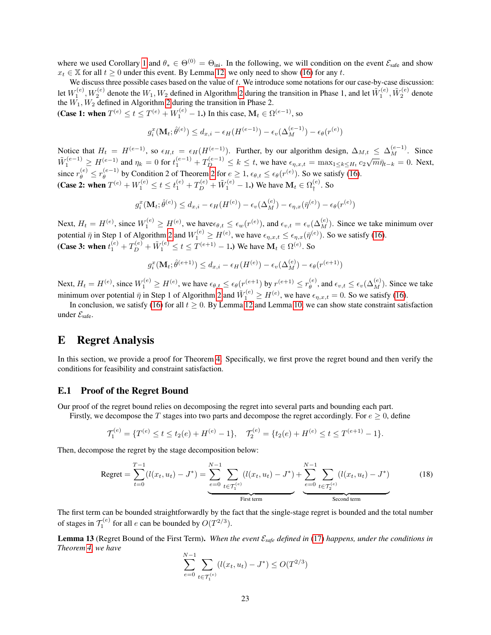where we used Corollary [1](#page-8-0) and  $\theta_* \in \Theta^{(0)} = \Theta_{\text{ini}}$ . In the following, we will condition on the event  $\mathcal{E}_{\text{safe}}$  and show  $x_t \in \mathbb{X}$  for all  $t \geq 0$  under this event. By Lemma [12,](#page-20-1) we only need to show [\(16\)](#page-21-0) for any t.

We discuss three possible cases based on the value of  $t$ . We introduce some notations for our case-by-case discussion: let  $W_1^{(e)}$ ,  $W_2^{(e)}$  denote the  $W_1, W_2$  defined in Algorithm [2](#page-7-0) during the transition in Phase 1, and let  $\tilde{W}_1^{(e)}$ ,  $\tilde{W}_2^{(e)}$  denote the  $\overline{W}_1, \overline{W}_2$  defined in Algorithm [2](#page-7-0) during the transition in Phase 2.

(Case 1: when  $T^{(e)} \le t \le T^{(e)} + W_1^{(e)} - 1$ .) In this case,  $M_t \in \Omega^{(e-1)}$ , so

$$
g_i^x(\mathbf{M}_t; \hat{\theta}^{(e)}) \le d_{x,i} - \epsilon_H(H^{(e-1)}) - \epsilon_v(\Delta_M^{(e-1)}) - \epsilon_{\theta}(r^{(e)})
$$

Notice that  $H_t = H^{(e-1)}$ , so  $\epsilon_{H,t} = \epsilon_H(H^{(e-1)})$ . Further, by our algorithm design,  $\Delta_{M,t} \leq \Delta_M^{(e-1)}$ . Since  $\tilde{W}_1^{(e-1)} \ge H^{(e-1)}$  and  $\eta_k = 0$  for  $t_1^{(e-1)} + T_D^{(e-1)} \le k \le t$ , we have  $\epsilon_{\eta,x,t} = \max_{1 \le k \le H_t} c_2 \sqrt{m} \bar{\eta}_{t-k} = 0$ . Next, since  $r_{\theta}^{(e)} \leq r_{\theta}^{(e-1)}$  $\theta_{\theta}^{(e-1)}$  by Condition [2](#page-8-1) of Theorem 2 for  $e \ge 1$ ,  $\epsilon_{\theta,t} \le \epsilon_{\theta}(r^{(e)})$ . So we satisfy [\(16\)](#page-21-0). (Case 2: when  $T^{(e)} + W_1^{(e)} \le t \le t_1^{(e)} + T_D^{(e)} + \tilde{W}_1^{(e)} - 1$ .) We have  $\mathbf{M}_t \in \Omega_t^{(e)}$  $L_+^{(e)}$ . So

$$
g_i^x(\mathbf{M}_t; \hat{\theta}^{(e)}) \le d_{x,i} - \epsilon_H(H^{(e)}) - \epsilon_v(\Delta_M^{(e)}) - \epsilon_{\eta,x}(\bar{\eta}^{(e)}) - \epsilon_{\theta}(r^{(e)})
$$

Next,  $H_t = H^{(e)}$ , since  $W_1^{(e)} \ge H^{(e)}$ , we have $\epsilon_{\theta,t} \le \epsilon_w(r^{(e)})$ , and  $\epsilon_{v,t} = \epsilon_v(\Delta_M^{(e)})$ . Since we take minimum over potential  $\bar{\eta}$  in Step 1 of Algorithm [2](#page-7-0) and  $W_1^{(e)} \ge H^{(e)}$ , we have  $\epsilon_{\eta,x,t} \le \epsilon_{\eta,x}(\bar{\eta}^{(e)})$ . So we satisfy [\(16\)](#page-21-0). (Case 3: when  $t_1^{(e)} + T_D^{(e)} + \tilde{W}_1^{(e)} \le t \le T^{(e+1)} - 1$ .) We have  $\mathbf{M}_t \in \Omega^{(e)}$ . So

$$
g_i^x(\mathbf{M}_t; \hat{\theta}^{(e+1)}) \le d_{x,i} - \epsilon_H(H^{(e)}) - \epsilon_v(\Delta_M^{(e)}) - \epsilon_{\theta}(r^{(e+1)})
$$

Next,  $H_t = H^{(e)}$ , since  $W_1^{(e)} \ge H^{(e)}$ , we have  $\epsilon_{\theta,t} \le \epsilon_\theta (r^{(e+1)})$  by  $r^{(e+1)} \le r_\theta^{(e)}$  $\mathcal{E}_{\theta}^{(e)}$ , and  $\epsilon_{v,t} \leq \epsilon_v(\Delta_M^{(e)})$ . Since we take minimum over potential  $\bar{\eta}$  in Step 1 of Algorithm [2](#page-7-0) and  $\tilde{W}_1^{(e)} \ge H^{(e)}$ , we have  $\epsilon_{\eta,x,t} = 0$ . So we satisfy [\(16\)](#page-21-0).

In conclusion, we satisfy [\(16\)](#page-21-0) for all  $t \ge 0$ . By Lemma [12](#page-20-1) and Lemma [10,](#page-19-1) we can show state constraint satisfaction under  $\mathcal{E}_{\text{safe}}$ .

# <span id="page-22-0"></span>E Regret Analysis

In this section, we provide a proof for Theorem [4.](#page-9-0) Specifically, we first prove the regret bound and then verify the conditions for feasibility and constraint satisfaction.

#### E.1 Proof of the Regret Bound

Our proof of the regret bound relies on decomposing the regret into several parts and bounding each part.

Firstly, we decompose the T stages into two parts and decompose the regret accordingly. For  $e \ge 0$ , define

$$
\mathcal{T}_1^{(e)} = \{ T^{(e)} \le t \le t_2(e) + H^{(e)} - 1 \}, \quad \mathcal{T}_2^{(e)} = \{ t_2(e) + H^{(e)} \le t \le T^{(e+1)} - 1 \}.
$$

Then, decompose the regret by the stage decomposition below:

Regret = 
$$
\sum_{t=0}^{T-1} (l(x_t, u_t) - J^*) = \underbrace{\sum_{e=0}^{N-1} \sum_{t \in \mathcal{T}_1^{(e)}} (l(x_t, u_t) - J^*)}_{\text{First term}} + \underbrace{\sum_{e=0}^{N-1} \sum_{t \in \mathcal{T}_2^{(e)}} (l(x_t, u_t) - J^*)}_{\text{Second term}}
$$
(18)

The first term can be bounded straightforwardly by the fact that the single-stage regret is bounded and the total number of stages in  $\mathcal{T}_1^{(e)}$  for all e can be bounded by  $O(T^{2/3})$ .

Lemma 13 (Regret Bound of the First Term). *When the event* E*safe defined in* [\(17\)](#page-21-1) *happens, under the conditions in Theorem [4,](#page-9-0) we have*

<span id="page-22-1"></span>
$$
\sum_{e=0}^{N-1} \sum_{t \in \mathcal{T}_1^{(e)}} (l(x_t, u_t) - J^*) \le O(T^{2/3})
$$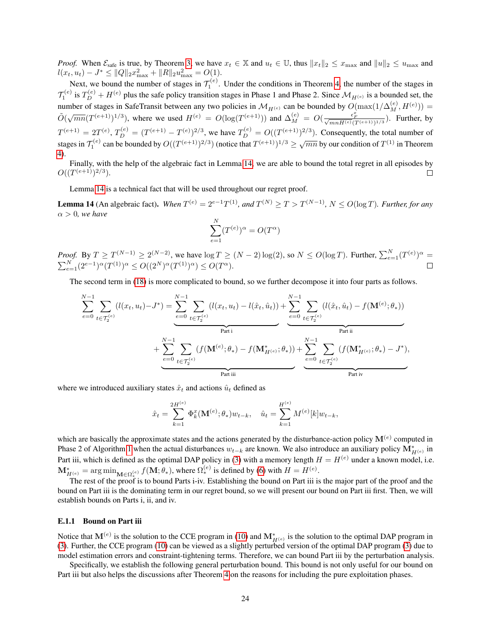*Proof.* When  $\mathcal{E}_{\text{safe}}$  is true, by Theorem [3,](#page-9-2) we have  $x_t \in \mathbb{X}$  and  $u_t \in \mathbb{U}$ , thus  $||x_t||_2 \leq x_{\text{max}}$  and  $||u||_2 \leq u_{\text{max}}$  and  $l(x_t, u_t) - J^* \leq ||Q||_2 x_{\text{max}}^2 + ||R||_2 u_{\text{max}}^2 = O(1).$ 

Next, we bound the number of stages in  $\mathcal{T}_1^{(e)}$ . Under the conditions in Theorem [4,](#page-9-0) the number of the stages in  $\mathcal{T}_1^{(e)}$  is  $T_D^{(e)} + H^{(e)}$  plus the safe policy transition stages in Phase 1 and Phase 2. Since  $\mathcal{M}_{H^{(e)}}$  is a bounded set, the number of stages in SafeTransit between any two policies in  $\mathcal{M}_{H^{(e)}}$  can be bounded by  $O(\max(1/\Delta_M^{(e)}, H^{(e)}))$  =  $\tilde{O}(\sqrt{mn}(T^{(e+1)})^{1/3})$ , where we used  $H^{(e)} = O(\log(T^{(e+1)}))$  and  $\Delta_M^{(e)} = O(\frac{\epsilon_F^2}{\sqrt{mnH^{(e)}(T^{(e+1)})^{1/3}}})$ . Further, by  $T^{(e+1)} = 2T^{(e)}, T_D^{(e)} = (T^{(e+1)} - T^{(e)})^{2/3}$ , we have  $T_D^{(e)} = O((T^{(e+1)})^{2/3})$ . Consequently, the total number of stages in  $T_1^{(e)}$  can be bounded by  $O((T^{(e+1)})^{2/3})$  (notice that  $T^{(e+1)})^{1/3} \ge \sqrt{mn}$  by our condition of  $T^{(1)}$  in Theorem [4\)](#page-9-0).

Finally, with the help of the algebraic fact in Lemma [14,](#page-23-0) we are able to bound the total regret in all episodes by  $O((T^{(e+1)})^{2/3}).$  $\Box$ 

Lemma [14](#page-23-0) is a technical fact that will be used throughout our regret proof.

<span id="page-23-0"></span>**Lemma 14** (An algebraic fact). When  $T^{(e)} = 2^{e-1}T^{(1)}$ , and  $T^{(N)} \ge T > T^{(N-1)}$ ,  $N \le O(\log T)$ . Further, for any  $\alpha > 0$ *, we have* 

$$
\sum_{e=1}^{N} (T^{(e)})^{\alpha} = O(T^{\alpha})
$$

*Proof.* By  $T \ge T^{(N-1)} \ge 2^{(N-2)}$ , we have  $\log T \ge (N-2) \log(2)$ , so  $N \le O(\log T)$ . Further,  $\sum_{e=1}^{N} (T^{(e)})^{\alpha} =$  $\sum_{e=1}^{N} (2^{e-1})^{\alpha} (T^{(1)})^{\alpha} \le O((2^N)^{\alpha} (T^{(1)})^{\alpha}) \le O(T^{\alpha}).$ 

The second term in [\(18\)](#page-22-1) is more complicated to bound, so we further decompose it into four parts as follows.

$$
\sum_{e=0}^{N-1} \sum_{t \in \mathcal{T}_2^{(e)}} (l(x_t, u_t) - J^*) = \underbrace{\sum_{e=0}^{N-1} \sum_{t \in \mathcal{T}_2^{(e)}} (l(x_t, u_t) - l(\hat{x}_t, \hat{u}_t))}_{\text{Part } i} + \underbrace{\sum_{e=0}^{N-1} \sum_{t \in \mathcal{T}_2^{(e)}} (l(\hat{x}_t, \hat{u}_t) - f(\mathbf{M}^{(e)}; \theta_*))}_{\text{Part } ii} + \underbrace{\sum_{e=0}^{N-1} \sum_{t \in \mathcal{T}_2^{(e)}} (f(\mathbf{M}^{(e)}; \theta_*) - f(\mathbf{M}^*_{H^{(e)}}; \theta_*))}_{\text{Part } iii} + \underbrace{\sum_{e=0}^{N-1} \sum_{t \in \mathcal{T}_2^{(e)}} (f(\mathbf{M}^*_{H^{(e)}}; \theta_*) - J^*)}_{\text{Part } iii},
$$

where we introduced auxiliary states  $\hat{x}_t$  and actions  $\hat{u}_t$  defined as

$$
\hat{x}_t = \sum_{k=1}^{2H^{(e)}} \Phi_k^x(\mathbf{M}^{(e)}; \theta_*) w_{t-k}, \quad \hat{u}_t = \sum_{k=1}^{H^{(e)}} M^{(e)}[k] w_{t-k},
$$

which are basically the approximate states and the actions generated by the disturbance-action policy  $M^{(e)}$  computed in Phase 2 of Algorithm [1](#page-5-0) when the actual disturbances  $w_{t-k}$  are known. We also introduce an auxiliary policy  $M^*_{H^{(e)}}$  in Part iii, which is defined as the optimal DAP policy in [\(3\)](#page-3-0) with a memory length  $H = H^{(e)}$  under a known model, i.e.  $\mathbf{M}_{H^{(e)}}^{*} = \arg\min_{\mathbf{M} \in \Omega_*^{(e)}} f(\mathbf{M}; \theta_*),$  where  $\Omega_*^{(e)}$  is defined by [\(6\)](#page-4-1) with  $H = H^{(e)}.$ 

The rest of the proof is to bound Parts i-iv. Establishing the bound on Part iii is the major part of the proof and the bound on Part iii is the dominating term in our regret bound, so we will present our bound on Part iii first. Then, we will establish bounds on Parts i, ii, and iv.

#### E.1.1 Bound on Part iii

Notice that  $M^{(e)}$  is the solution to the CCE program in [\(10\)](#page-6-0) and  $M^*_{H^{(e)}}$  is the solution to the optimal DAP program in [\(3\)](#page-3-0). Further, the CCE program [\(10\)](#page-6-0) can be viewed as a slightly perturbed version of the optimal DAP program [\(3\)](#page-3-0) due to model estimation errors and constraint-tightening terms. Therefore, we can bound Part iii by the perturbation analysis.

Specifically, we establish the following general perturbation bound. This bound is not only useful for our bound on Part iii but also helps the discussions after Theorem [4](#page-9-0) on the reasons for including the pure exploitation phases.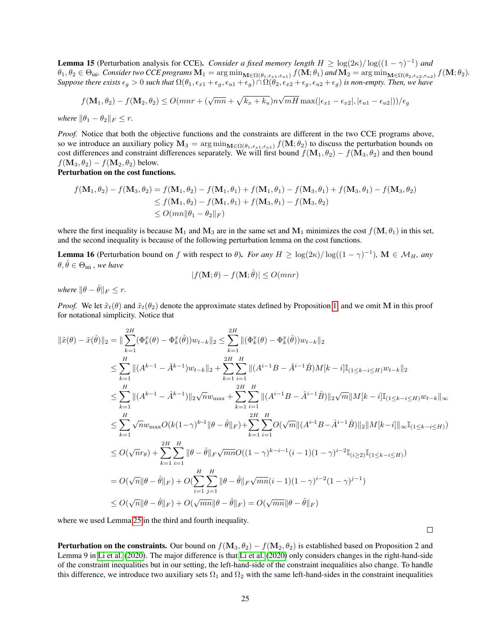<span id="page-24-0"></span>**Lemma 15** (Perturbation analysis for CCE). *Consider a fixed memory length*  $H \geq \log(2\kappa)/\log((1-\gamma)^{-1})$  *and*  $\theta_1, \theta_2 \in \Theta_{\rm ini}$ *. Consider two CCE programs*  ${\bf M}_1 = \arg\min_{{\bf M} \in \Omega(\theta_1,\epsilon_{x1},\epsilon_{u1})} f({\bf M};\theta_1)$  and  ${\bf M}_2 = \arg\min_{{\bf M} \in \Omega(\theta_2,\epsilon_{x2},\epsilon_{u2})} f({\bf M};\theta_2)$ *. Suppose there exists*  $\epsilon_g > 0$  *such that*  $\Omega(\theta_1, \epsilon_{x1} + \epsilon_g, \epsilon_{u1} + \epsilon_g) \cap \Omega(\theta_2, \epsilon_{x2} + \epsilon_g, \epsilon_{u2} + \epsilon_g)$  *is non-empty. Then, we have* 

$$
f(\mathbf{M}_1, \theta_2) - f(\mathbf{M}_2, \theta_2) \leq O(mnr + (\sqrt{mn} + \sqrt{k_x + k_u})n\sqrt{mH} \max(|\epsilon_{x1} - \epsilon_{x2}|, |\epsilon_{u1} - \epsilon_{u2}|))/\epsilon_g
$$

*where*  $\|\theta_1 - \theta_2\|_F \leq r$ .

*Proof.* Notice that both the objective functions and the constraints are different in the two CCE programs above, so we introduce an auxiliary policy  $M_3 = \arg\min_{M \in \Omega(\theta_1, \epsilon_{x1}, \epsilon_{u1})} f(M; \theta_2)$  to discuss the perturbation bounds on cost differences and constraint differences separately. We will first bound  $f(\mathbf{M}_1, \theta_2) - f(\mathbf{M}_3, \theta_2)$  and then bound  $f(\mathbf{M}_3, \theta_2) - f(\mathbf{M}_2, \theta_2)$  below.

Perturbation on the cost functions.

$$
f(\mathbf{M}_1, \theta_2) - f(\mathbf{M}_3, \theta_2) = f(\mathbf{M}_1, \theta_2) - f(\mathbf{M}_1, \theta_1) + f(\mathbf{M}_1, \theta_1) - f(\mathbf{M}_3, \theta_1) + f(\mathbf{M}_3, \theta_1) - f(\mathbf{M}_3, \theta_2)
$$
  
\n
$$
\leq f(\mathbf{M}_1, \theta_2) - f(\mathbf{M}_1, \theta_1) + f(\mathbf{M}_3, \theta_1) - f(\mathbf{M}_3, \theta_2)
$$
  
\n
$$
\leq O(mn \|\theta_1 - \theta_2\|_F)
$$

where the first inequality is because  $M_1$  and  $M_3$  are in the same set and  $M_1$  minimizes the cost  $f(M, \theta_1)$  in this set, and the second inequality is because of the following perturbation lemma on the cost functions.

**Lemma 16** (Perturbation bound on f with respect to  $\theta$ ). *For any*  $H \geq \log(2\kappa)/\log((1-\gamma)^{-1})$ ,  $\mathbf{M} \in \mathcal{M}_H$ , any  $\theta, \hat{\theta} \in \Theta_{\text{ini}}$ , we have

$$
|f(\mathbf{M};\theta) - f(\mathbf{M};\hat{\theta})| \le O(mnr)
$$

*where*  $\|\theta - \hat{\theta}\|_F < r$ .

*Proof.* We let  $\tilde{x}_t(\theta)$  and  $\tilde{x}_t(\theta_2)$  denote the approximate states defined by Proposition [1,](#page-3-1) and we omit M in this proof for notational simplicity. Notice that

$$
\|\tilde{x}(\theta) - \tilde{x}(\hat{\theta})\|_{2} = \|\sum_{k=1}^{2H} (\Phi_{k}^{x}(\theta) - \Phi_{k}^{x}(\hat{\theta}))w_{t-k}\|_{2} \leq \sum_{k=1}^{2H} \|(\Phi_{k}^{x}(\theta) - \Phi_{k}^{x}(\hat{\theta}))w_{t-k}\|_{2}
$$
  
\n
$$
\leq \sum_{k=1}^{H} \|A^{k-1} - \hat{A}^{k-1}\|_{W_{t-k}}\|_{2} + \sum_{k=1}^{2H} \sum_{i=1}^{H} \| (A^{i-1}B - \hat{A}^{i-1}\hat{B})M[k-i] \mathbb{I}_{(1 \leq k-i \leq H)}w_{t-k}\|_{2}
$$
  
\n
$$
\leq \sum_{k=1}^{H} \| (A^{k-1} - \hat{A}^{k-1})\|_{2} \sqrt{n} w_{\max} + \sum_{k=1}^{2H} \sum_{i=1}^{H} \| (A^{i-1}B - \hat{A}^{i-1}\hat{B})\|_{2} \sqrt{m} \|M[k-i] \mathbb{I}_{(1 \leq k-i \leq H)}w_{t-k}\|_{\infty}
$$
  
\n
$$
\leq \sum_{k=1}^{H} \sqrt{n} w_{\max} O(k(1-\gamma)^{k-1} \|\theta - \hat{\theta}\|_{F}) + \sum_{k=1}^{2H} \sum_{i=1}^{H} O(\sqrt{m} \| (A^{i-1}B - \hat{A}^{i-1}\hat{B})\|_{2} \|M[k-i] \|_{\infty} \mathbb{I}_{(1 \leq k-i \leq H)})
$$
  
\n
$$
\leq O(\sqrt{n}r_{\theta}) + \sum_{k=1}^{2H} \sum_{i=1}^{H} \|\theta - \hat{\theta}\|_{F} \sqrt{mn} O((1-\gamma)^{k-i-1}(i-1)(1-\gamma)^{i-2} \mathbb{I}_{(i \geq 2)} \mathbb{I}_{(1 \leq k-i \leq H)})
$$
  
\n
$$
= O(\sqrt{n} \|\theta - \hat{\theta}\|_{F}) + O(\sum_{i=1}^{H} \sum_{j=1}^{H} \|\theta - \hat{\theta}\|_{F} \sqrt{mn}(i-1)(1-\gamma)^{i-2}(1-\gamma)^{j-1})
$$
  
\n

where we used Lemma [25](#page-32-0) in the third and fourth inequality.

 $\Box$ 

**Perturbation on the constraints.** Our bound on  $f(\mathbf{M}_3, \theta_2) - f(\mathbf{M}_2, \theta_2)$  is established based on Proposition 2 and Lemma 9 in [Li et al.](#page-11-4) [\(2020\)](#page-11-4). The major difference is that [Li et al.](#page-11-4) [\(2020\)](#page-11-4) only considers changes in the right-hand-side of the constraint inequalities but in our setting, the left-hand-side of the constraint inequalities also change. To handle this difference, we introduce two auxiliary sets  $\Omega_1$  and  $\Omega_2$  with the same left-hand-sides in the constraint inequalities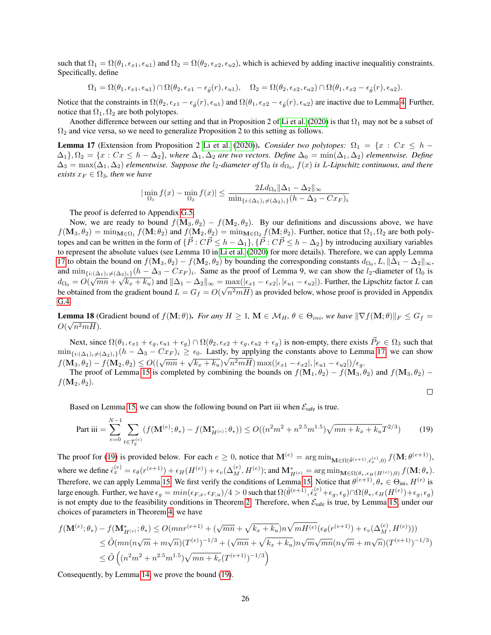such that  $\Omega_1 = \Omega(\theta_1, \epsilon_{x1}, \epsilon_{u1})$  and  $\Omega_2 = \Omega(\theta_2, \epsilon_{x2}, \epsilon_{u2})$ , which is achieved by adding inactive inequalitiy constraints. Specifically, define

$$
\Omega_1 = \Omega(\theta_1, \epsilon_{x1}, \epsilon_{u1}) \cap \Omega(\theta_2, \epsilon_{x1} - \epsilon_{\hat{\theta}}(r), \epsilon_{u1}), \quad \Omega_2 = \Omega(\theta_2, \epsilon_{x2}, \epsilon_{u2}) \cap \Omega(\theta_1, \epsilon_{x2} - \epsilon_{\hat{\theta}}(r), \epsilon_{u2}).
$$

Notice that the constraints in  $\Omega(\theta_2, \epsilon_{x1} - \epsilon_{\hat{\theta}}(r), \epsilon_{u1})$  and  $\Omega(\theta_1, \epsilon_{x2} - \epsilon_{\hat{\theta}}(r), \epsilon_{u2})$  are inactive due to Lemma [4.](#page-14-2) Further, notice that  $\Omega_1, \Omega_2$  are both polytopes.

Another difference between our setting and that in Proposition 2 of [Li et al.](#page-11-4) [\(2020\)](#page-11-4) is that  $\Omega_1$  may not be a subset of  $\Omega_2$  and vice versa, so we need to generalize Proposition 2 to this setting as follows.

<span id="page-25-0"></span>**Lemma 17** (Extension from Proposition 2 [Li et al.](#page-11-4) [\(2020\)](#page-11-4)). *Consider two polytopes:*  $\Omega_1 = \{x : Cx \leq h - \Omega\}$  $\Delta_1$ <sup>}</sup>,  $\Omega_2 = \{x : Cx \leq h - \Delta_2\}$ , where  $\Delta_1, \Delta_2$  are two vectors. Define  $\Delta_0 = \min(\Delta_1, \Delta_2)$  elementwise. Define  $\Delta_3 = \max(\Delta_1, \Delta_2)$  elementwise. Suppose the l<sub>2</sub>-diameter of  $\Omega_0$  is  $d_{\Omega_0}$ ,  $f(x)$  is L-Lipschitz continuous, and there *exists*  $x_F \in \Omega_3$ *, then we have* 

$$
|\min_{\Omega_1} f(x) - \min_{\Omega_2} f(x)| \le \frac{2L d_{\Omega_0} ||\Delta_1 - \Delta_2||_{\infty}}{\min_{\{i : (\Delta_1)_i \ne (\Delta_2)_i\}} (h - \Delta_3 - C x_F)_i}
$$

The proof is deferred to Appendix [G.5.](#page-35-0)

Now, we are ready to bound  $f(\mathbf{M}_3, \theta_2) - f(\mathbf{M}_2, \theta_2)$ . By our definitions and discussions above, we have  $f(\mathbf{M}_3, \theta_2) = \min_{\mathbf{M} \in \Omega_1} f(\mathbf{M}; \theta_2)$  and  $f(\mathbf{M}_2, \theta_2) = \min_{\mathbf{M} \in \Omega_2} f(\mathbf{M}; \theta_2)$ . Further, notice that  $\Omega_1, \Omega_2$  are both polytopes and can be written in the form of  $\{\vec{P}: C\vec{P} \leq h - \Delta_1\}$ ,  $\{\vec{P}: C\vec{P} \leq h - \Delta_2\}$  by introducing auxiliary variables to represent the absolute values (see Lemma 10 in [Li et al.](#page-11-4) [\(2020\)](#page-11-4) for more details). Therefore, we can apply Lemma [17](#page-25-0) to obtain the bound on  $f(\mathbf{M}_3, \theta_2) - f(\mathbf{M}_2, \theta_2)$  by bounding the corresponding constants  $d_{\Omega_0}, L, ||\Delta_1 - \Delta_2||_{\infty}$ , and  $\min_{\{i: (\Delta_1)_i \neq (\Delta_2)_i\}} (h - \Delta_3 - Cx_F)_i$ . Same as the proof of Lemma 9, we can show the l<sub>2</sub>-diameter of  $\Omega_0$  is  $d_{\Omega_0} = O(\sqrt{mn} + \sqrt{k_x + k_u})$  and  $\|\Delta_1 - \Delta_2\|_{\infty} = \max_{\Omega}(|\epsilon_{x1} - \epsilon_{x2}|, |\epsilon_{u1} - \epsilon_{u2}|)$ . Further, the Lipschitz factor L can be obtained from the gradient bound  $L = G_f = O(\sqrt{n^2mH})$  as provided below, whose proof is provided in Appendix [G.4.](#page-34-1)

<span id="page-25-2"></span>**Lemma 18** (Gradient bound of  $f(\mathbf{M}; \theta)$ ). *For any*  $H \ge 1$ ,  $\mathbf{M} \in \mathcal{M}_H$ ,  $\theta \in \Theta_{ini}$ , we have  $\|\nabla f(\mathbf{M}; \theta)\|_F \le G_f =$  $O(\sqrt{n^2mH}).$ 

Next, since  $\Omega(\theta_1, \epsilon_{x1} + \epsilon_g, \epsilon_{u1} + \epsilon_g) \cap \Omega(\theta_2, \epsilon_{x2} + \epsilon_g, \epsilon_{u2} + \epsilon_g)$  is non-empty, there exists  $\vec{P}_F \in \Omega_3$  such that  $\min_{\{i:(\Delta_1)_i\not=(\Delta_2)_i\}}(h-\Delta_3-Cx_F)_i \ge \epsilon_0$ . Lastly, by applying the constants above to Lemma [17,](#page-25-0) we can show  $f(\mathbf{M}_3, \theta_2) - f(\mathbf{M}_2, \theta_2) \leq O((\sqrt{mn} + \sqrt{k_x + k_u})\sqrt{n^2mH}) \max(|\epsilon_{x1} - \epsilon_{x2}|, |\epsilon_{u1} - \epsilon_{u2}|)/\epsilon_g.$ 

The proof of Lemma [15](#page-24-0) is completed by combining the bounds on  $f(\mathbf{M}_1, \theta_2) - f(\mathbf{M}_3, \theta_2)$  and  $f(\mathbf{M}_3, \theta_2) - f(\mathbf{M}_3, \theta_3)$  $f(\mathbf{M}_2, \theta_2)$ .

<span id="page-25-1"></span>
$$
\mathcal{L}_{\mathcal{A}}
$$

Based on Lemma [15,](#page-24-0) we can show the following bound on Part iii when  $\mathcal{E}_{\text{safe}}$  is true.

Part iii = 
$$
\sum_{e=0}^{N-1} \sum_{t \in \mathcal{T}_2^{(e)}} (f(\mathbf{M}^{(e)}; \theta_*) - f(\mathbf{M}^*_{H^{(e)}}; \theta_*)) \le O((n^2 m^2 + n^{2.5} m^{1.5}) \sqrt{mn + k_x + k_u} T^{2/3})
$$
(19)

The proof for [\(19\)](#page-25-1) is provided below. For each  $e \ge 0$ , notice that  $\mathbf{M}^{(e)} = \arg \min_{\mathbf{M} \in \Omega(\hat{\theta}^{(e+1)}, \hat{\epsilon}_x^{(e)}, 0)} f(\mathbf{M}; \theta^{(e+1)}),$ where we define  $\hat{\epsilon}_x^{(e)} = \epsilon_\theta(r^{(e+1)}) + \epsilon_H(H^{(e)}) + \epsilon_v(\Delta_M^{(e)}, H^{(e)})$ ; and  $\mathbf{M}_{H^{(e)}}^* = \arg \min_{\mathbf{M} \in \Omega(\theta_*, \epsilon_H(H^{(e)}), 0)} f(\mathbf{M}; \theta_*).$ Therefore, we can apply Lemma [15.](#page-24-0) We first verify the conditions of Lemma 15. Notice that  $\theta^{(e+1)}, \theta_* \in \Theta_{\text{ini}}, H^{(e)}$  is large enough. Further, we have  $\epsilon_g=min(\epsilon_{F,x},\epsilon_{F,u})/4>0$  such that  $\Omega(\hat{\theta}^{(e+1)},\hat{\epsilon}_x^{(e)}+\epsilon_g,\epsilon_g)\cap \Omega(\theta_*,\epsilon_H(H^{(e)})+\epsilon_g,\epsilon_g)$ is not empty due to the feasibility conditions in Theorem [2.](#page-8-1) Therefore, when  $\mathcal{E}_{\text{safe}}$  is true, by Lemma [15,](#page-24-0) under our choices of parameters in Theorem [4,](#page-9-0) we have

$$
f(\mathbf{M}^{(e)}; \theta_*) - f(\mathbf{M}^*_{H^{(e)}}; \theta_*) \leq O(mnr^{(e+1)} + (\sqrt{mn} + \sqrt{k_x + k_u})n\sqrt{mH^{(e)}}(\epsilon_\theta(r^{(e+1)}) + \epsilon_v(\Delta_M^{(e)}, H^{(e)})))
$$
  
\n
$$
\leq \tilde{O}(mn(n\sqrt{m} + m\sqrt{n})(T^{(e)})^{-1/3} + (\sqrt{mn} + \sqrt{k_x + k_u})n\sqrt{m}\sqrt{mn}(n\sqrt{m} + m\sqrt{n})(T^{(e+1)})^{-1/3})
$$
  
\n
$$
\leq \tilde{O}\left((n^2m^2 + n^{2.5}m^{1.5})\sqrt{mn + k_c}(T^{(e+1)})^{-1/3}\right)
$$

Consequently, by Lemma [14,](#page-23-0) we prove the bound [\(19\)](#page-25-1).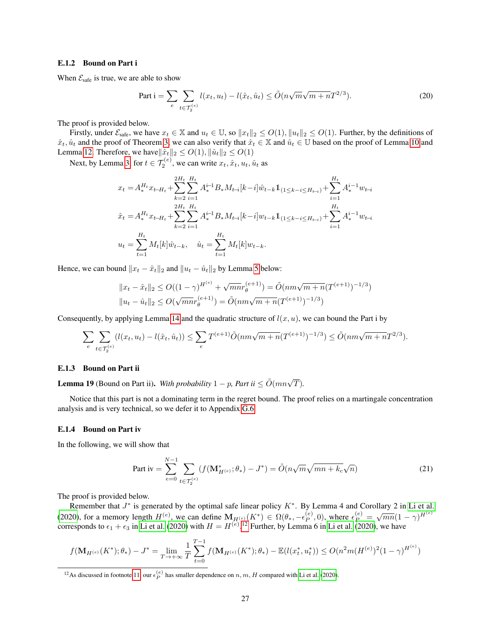#### E.1.2 Bound on Part i

When  $\mathcal{E}_{\text{safe}}$  is true, we are able to show

<span id="page-26-1"></span>Part 
$$
i = \sum_{e} \sum_{t \in \mathcal{T}_2^{(e)}} l(x_t, u_t) - l(\hat{x}_t, \hat{u}_t) \le \tilde{O}(n\sqrt{m}\sqrt{m+n}T^{2/3}).
$$
 (20)

The proof is provided below.

Firstly, under  $\mathcal{E}_{\text{safe}}$ , we have  $x_t \in \mathbb{X}$  and  $u_t \in \mathbb{U}$ , so  $||x_t||_2 \le O(1)$ ,  $||u_t||_2 \le O(1)$ . Further, by the definitions of  $\hat{x}_t, \hat{u}_t$  and the proof of Theorem [3,](#page-9-2) we can also verify that  $\hat{x}_t \in \mathbb{X}$  and  $\hat{u}_t \in \mathbb{U}$  based on the proof of Lemma [10](#page-19-1) and Lemma [12.](#page-20-1) Therefore, we have $\|\hat{x}_t\|_2 \leq O(1), \|\hat{u}_t\|_2 \leq O(1)$ 

Next, by Lemma [3,](#page-13-2) for  $t \in \mathcal{T}_2^{(e)}$ , we can write  $x_t, \hat{x}_t, u_t, \hat{u}_t$  as

$$
\begin{aligned} &x_t = A^{H_t}_* x_{t-H_t} + \sum_{k=2}^{2H_t} \sum_{i=1}^{H_t} A^{i-1}_* B_* M_{t-i}[k-i] \hat{w}_{t-k} \mathbbm{1}_{(1 \leq k-i \leq H_{t-i})} + \sum_{i=1}^{H_t} A^{i-1}_* w_{t-i} \\ &\hat{x}_t = A^{H_t}_* x_{t-H_t} + \sum_{k=2}^{2H_t} \sum_{i=1}^{H_t} A^{i-1}_* B_* M_{t-i}[k-i] w_{t-k} \mathbbm{1}_{(1 \leq k-i \leq H_{t-i})} + \sum_{i=1}^{H_t} A^{i-1}_* w_{t-i} \\ &u_t = \sum_{t=1}^{H_t} M_t[k] \hat{w}_{t-k}, \quad \hat{u}_t = \sum_{t=1}^{H_t} M_t[k] w_{t-k}. \end{aligned}
$$

Hence, we can bound  $||x_t - \hat{x}_t||_2$  and  $||u_t - \hat{u}_t||_2$  by Lemma [5](#page-15-1) below:

$$
||x_t - \hat{x}_t||_2 \le O((1 - \gamma)^{H^{(e)}} + \sqrt{mn}r_\theta^{(e+1)}) = \tilde{O}(nm\sqrt{m+n}(T^{(e+1)})^{-1/3})
$$
  

$$
||u_t - \hat{u}_t||_2 \le O(\sqrt{mn}r_\theta^{(e+1)}) = \tilde{O}(nm\sqrt{m+n}(T^{(e+1)})^{-1/3})
$$

Consequently, by applying Lemma [14](#page-23-0) and the quadratic structure of  $l(x, u)$ , we can bound the Part i by

$$
\sum_{e} \sum_{t \in \mathcal{T}_2^{(e)}} (l(x_t, u_t) - l(\hat{x}_t, \hat{u}_t)) \le \sum_{e} T^{(e+1)} \tilde{O}(nm\sqrt{m+n}(T^{(e+1)})^{-1/3}) \le \tilde{O}(nm\sqrt{m+n}T^{2/3}).
$$

#### E.1.3 Bound on Part ii

<span id="page-26-2"></span>**Lemma 19** (Bound on Part ii). *With probability*  $1 - p$ , *Part ii*  $\leq \tilde{O}(mn\sqrt{T})$ .

Notice that this part is not a dominating term in the regret bound. The proof relies on a martingale concentration analysis and is very technical, so we defer it to Appendix [G.6.](#page-35-1)

#### E.1.4 Bound on Part iv

In the following, we will show that

<span id="page-26-0"></span>Part iv = 
$$
\sum_{e=0}^{N-1} \sum_{t \in \mathcal{T}_2^{(e)}} (f(\mathbf{M}_{H^{(e)}}^*; \theta_*) - J^*) = \tilde{O}(n\sqrt{m}\sqrt{mn + k_c}\sqrt{n})
$$
 (21)

The proof is provided below.

Remember that  $J^*$  is generated by the optimal safe linear policy  $K^*$ . By Lemma 4 and Corollary 2 in [Li et al.](#page-11-4) [\(2020\)](#page-11-4), for a memory length  $H^{(e)}$ , we can define  $\mathbf{M}_{H^{(e)}}(K^*) \in \Omega(\theta_*, -\epsilon_P^{(e)})$  $\sum_{p=0}^{e} P(0)$ , where  $\epsilon_P^{(e)} = \sqrt{mn}(1-\gamma)^{H^{(e)}}$ corresponds to  $\epsilon_1 + \epsilon_3$  in [Li et al.](#page-11-4) [\(2020\)](#page-11-4) with  $H = H^{(e)}$ .<sup>[12](#page-0-0)</sup> Further, by Lemma 6 in Li et al. (2020), we have

$$
f(\mathbf{M}_{H^{(e)}}(K^*); \theta_*) - J^* = \lim_{T \to +\infty} \frac{1}{T} \sum_{t=0}^{T-1} f(\mathbf{M}_{H^{(e)}}(K^*); \theta_*) - \mathbb{E}(l(x_t^*, u_t^*)) \le O(n^2 m (H^{(e)})^2 (1 - \gamma)^{H^{(e)}})
$$

<sup>&</sup>lt;sup>12</sup>As discussed in footnote [11,](#page-19-0) our  $\epsilon_P^{(e)}$  has smaller dependence on n, m, H compared with [Li et al.](#page-11-4) [\(2020\)](#page-11-4).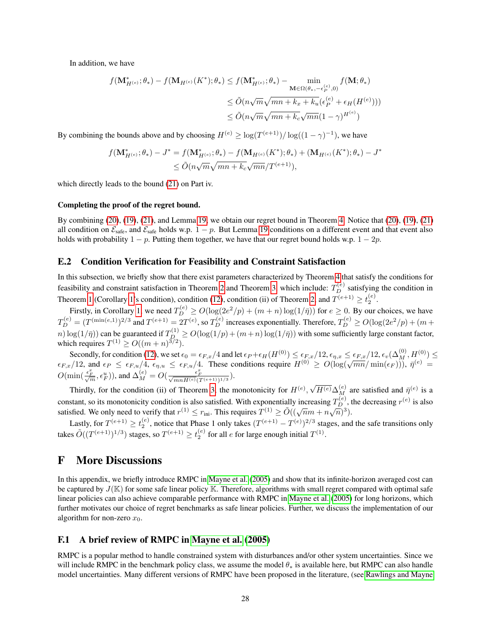In addition, we have

$$
f(\mathbf{M}_{H^{(e)}}^*, \theta_*) - f(\mathbf{M}_{H^{(e)}}(K^*); \theta_*) \le f(\mathbf{M}_{H^{(e)}}^*, \theta_*) - \min_{\mathbf{M} \in \Omega(\theta_*, -\epsilon_P^{(e)}, 0)} f(\mathbf{M}; \theta_*)
$$
  

$$
\le \tilde{O}(n\sqrt{m}\sqrt{mn + k_x + k_u}(\epsilon_P^{(e)} + \epsilon_H(H^{(e)})))
$$
  

$$
\le \tilde{O}(n\sqrt{m}\sqrt{mn + k_c}\sqrt{mn}(1 - \gamma)^{H^{(e)}})
$$

By combining the bounds above and by choosing  $H^{(e)} \ge \log(T^{(e+1)})/\log((1-\gamma)^{-1})$ , we have

$$
f(\mathbf{M}_{H^{(e)}}^{*};\theta_{*}) - J^{*} = f(\mathbf{M}_{H^{(e)}}^{*};\theta_{*}) - f(\mathbf{M}_{H^{(e)}}(K^{*});\theta_{*}) + (\mathbf{M}_{H^{(e)}}(K^{*});\theta_{*}) - J^{*} \leq \tilde{O}(n\sqrt{m}\sqrt{mn + k_{c}}\sqrt{mn}/T^{(e+1)}),
$$

which directly leads to the bound [\(21\)](#page-26-0) on Part iv.

#### Completing the proof of the regret bound.

By combining [\(20\)](#page-26-1), [\(19\)](#page-25-1), [\(21\)](#page-26-0), and Lemma [19,](#page-26-2) we obtain our regret bound in Theorem [4.](#page-9-0) Notice that [\(20\)](#page-26-1), [\(19\)](#page-25-1), [\(21\)](#page-26-0) all condition on  $\mathcal{E}_{\text{safe}}$ , and  $\mathcal{E}_{\text{safe}}$  holds w.p.  $1 - p$ . But Lemma [19](#page-26-2) conditions on a different event and that event also holds with probability  $1 - p$ . Putting them together, we have that our regret bound holds w.p.  $1 - 2p$ .

#### E.2 Condition Verification for Feasibility and Constraint Satisfaction

In this subsection, we briefly show that there exist parameters characterized by Theorem [4](#page-9-0) that satisfy the conditions for feasibility and constraint satisfaction in Theorem [2](#page-8-1) and Theorem [3,](#page-9-2) which include:  $T_D^{(e)}$  satisfying the condition in Theorem [1](#page-8-2) (Corollary [1'](#page-8-0)s condition), condition [\(12\)](#page-9-1), condition (ii) of Theorem [2,](#page-8-1) and  $T^{(e+1)} \geq t_2^{(e)}$ .  $(e+1) \ge t_2^{(e)}$ 

Firstly, in Corollary [1,](#page-8-0) we need  $T_D^{(e)} \ge O(\log(2e^2/p) + (m+n)\log(1/\bar{\eta}))$  for  $e \ge 0$ . By our choices, we have  $T_D^{(e)} = (T^{(\min(e,1)})^{2/3}$  and  $T^{(e+1)} = 2T^{(e)}$ , so  $T_D^{(e)}$  increases exponentially. Therefore,  $T_D^{(e)} \ge O(\log(2e^2/p) + (m +$  $\lim_{n \to \infty} \log(1/\bar{\eta})$  can be guaranteed if  $T_{D_2}^{(1)} \ge O(\log(1/p) + (m+n)\log(1/\bar{\eta}))$  with some sufficiently large constant factor, which requires  $T^{(1)} \ge O((m+n)^{3/2})$ .

Secondly, for condition [\(12\)](#page-9-1), we set  $\epsilon_0 = \epsilon_{F,x}/4$  and let  $\epsilon_P + \epsilon_H(H^{(0)}) \leq \epsilon_{F,x}/12$ ,  $\epsilon_{\eta,x} \leq \epsilon_{F,x}/12$ ,  $\epsilon_v(\Delta_M^{(0)}, H^{(0)}) \leq \epsilon_{F,x}/12$ , and  $\epsilon_P \leq \epsilon_{F,u}/4$ ,  $\epsilon_{\eta,u} \leq \epsilon_{F,u}/4$ . These conditions require  $H^{(0)} \geq O(\log(\sqrt{$  $O(\min(\frac{\epsilon_F^x}{\sqrt{m}}, \epsilon_F^u)),$  and  $\Delta_M^{(e)} = O(\frac{\epsilon_F^x}{\sqrt{mnH^{(e)}}(T^{(e+1)})^{1/3}}).$ √

Thirdly, for the condition (ii) of Theorem [3,](#page-9-2) the monotonicity for  $H^{(e)}$ ,  $\sqrt{H^{(e)}}\Delta_M^{(e)}$  are satisfied and  $\bar{\eta}^{(e)}$  is a constant, so its monotonicity condition is also satisfied. With exponentially increasing  $T_D^{(e)}$ , the decreasing  $r^{(e)}$  is also satisfied. We only need to verify that  $r^{(1)} \n\t\le r_{\text{ini}}$ . This requires  $T^{(1)} \ge \tilde{O}((\sqrt{n}m + n\sqrt{n})^3)$ .

Lastly, for  $T^{(e+1)} \ge t_2^{(e)}$ , notice that Phase 1 only takes  $(T^{(e+1)} - T^{(e)})^{2/3}$  stages, and the safe transitions only takes  $\tilde{O}((T^{(e+1)})^{1/3})$  stages, so  $T^{(e+1)} \ge t_2^{(e)}$  for all  $e$  for large enough initial  $T^{(1)}$ .

## <span id="page-27-0"></span>F More Discussions

In this appendix, we briefly introduce RMPC in [Mayne et al.](#page-11-8) [\(2005\)](#page-11-8) and show that its infinite-horizon averaged cost can be captured by  $J(K)$  for some safe linear policy K. Therefore, algorithms with small regret compared with optimal safe linear policies can also achieve comparable performance with RMPC in [Mayne et al.](#page-11-8) [\(2005\)](#page-11-8) for long horizons, which further motivates our choice of regret benchmarks as safe linear policies. Further, we discuss the implementation of our algorithm for non-zero  $x_0$ .

#### F.1 A brief review of RMPC in [Mayne et al.](#page-11-8) [\(2005\)](#page-11-8)

RMPC is a popular method to handle constrained system with disturbances and/or other system uncertainties. Since we will include RMPC in the benchmark policy class, we assume the model  $\theta_*$  is available here, but RMPC can also handle model uncertainties. Many different versions of RMPC have been proposed in the literature, (see [Rawlings and Mayne](#page-11-2)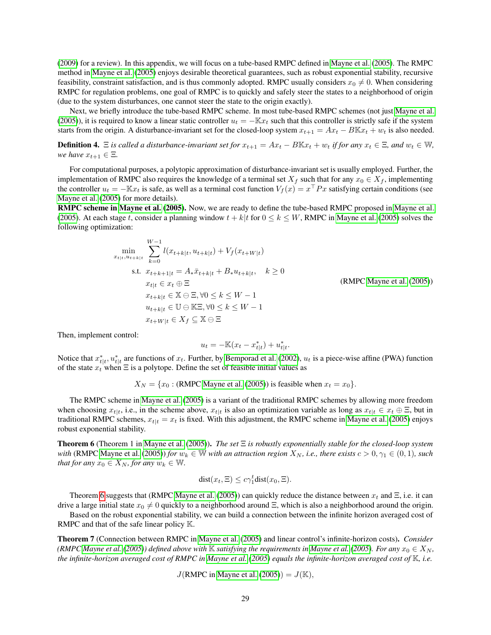[\(2009\)](#page-11-2) for a review). In this appendix, we will focus on a tube-based RMPC defined in [Mayne et al.](#page-11-8) [\(2005\)](#page-11-8). The RMPC method in [Mayne et al.](#page-11-8) [\(2005\)](#page-11-8) enjoys desirable theoretical guarantees, such as robust exponential stability, recursive feasibility, constraint satisfaction, and is thus commonly adopted. RMPC usually considers  $x_0 \neq 0$ . When considering RMPC for regulation problems, one goal of RMPC is to quickly and safely steer the states to a neighborhood of origin (due to the system disturbances, one cannot steer the state to the origin exactly).

Next, we briefly introduce the tube-based RMPC scheme. In most tube-based RMPC schemes (not just [Mayne et al.](#page-11-8) [\(2005\)](#page-11-8)), it is required to know a linear static controller  $u_t = -\mathbb{K}x_t$  such that this controller is strictly safe if the system starts from the origin. A disturbance-invariant set for the closed-loop system  $x_{t+1} = Ax_t - BKx_t + w_t$  is also needed.

**Definition 4.**  $\Xi$  *is called a disturbance-invariant set for*  $x_{t+1} = Ax_t - B\mathbb{K}x_t + w_t$  *if for any*  $x_t \in \Xi$ *, and*  $w_t \in \mathbb{W}$ *, we have*  $x_{t+1} \in \Xi$ *.* 

For computational purposes, a polytopic approximation of disturbance-invariant set is usually employed. Further, the implementation of RMPC also requires the knowledge of a terminal set  $X_f$  such that for any  $x_0 \in X_f$ , implementing the controller  $u_t = -\mathbb{K}x_t$  is safe, as well as a terminal cost function  $V_f(x) = x^\top P x$  satisfying certain conditions (see [Mayne et al.](#page-11-8) [\(2005\)](#page-11-8) for more details).

RMPC scheme in [Mayne et al.](#page-11-8) [\(2005\)](#page-11-8). Now, we are ready to define the tube-based RMPC proposed in [Mayne et al.](#page-11-8) [\(2005\)](#page-11-8). At each stage t, consider a planning window  $t + k|t$  for  $0 \le k \le W$ , RMPC in [Mayne et al.](#page-11-8) (2005) solves the following optimization:

$$
\min_{x_{t|t}, u_{t+k|t}} \sum_{k=0}^{W-1} l(x_{t+k|t}, u_{t+k|t}) + V_f(x_{t+W|t})
$$
\n
$$
\text{s.t. } x_{t+k+1|t} = A_* \bar{x}_{t+k|t} + B_* u_{t+k|t}, \quad k \ge 0
$$
\n
$$
x_{t|t} \in x_t \oplus \Xi
$$
\n
$$
x_{t+k|t} \in \mathbb{X} \oplus \Xi, \forall 0 \le k \le W - 1
$$
\n
$$
u_{t+k|t} \in \mathbb{U} \oplus \mathbb{K} \Xi, \forall 0 \le k \le W - 1
$$
\n
$$
x_{t+W|t} \in X_f \subseteq \mathbb{X} \ominus \Xi
$$

(RMPC [Mayne et al.](#page-11-8) [\(2005\)](#page-11-8))

Then, implement control:

$$
u_t = -\mathbb{K}(x_t - x_{t|t}^*) + u_{t|t}^*.
$$

Notice that  $x_{t|t}^*, u_{t|t}^*$  are functions of  $x_t$ . Further, by [Bemporad et al.](#page-11-6) [\(2002\)](#page-11-6),  $u_t$  is a piece-wise affine (PWA) function of the state  $x_t$  when  $\Xi$  is a polytope. Define the set of feasible initial values as

$$
X_N = \{x_0 : (\text{RMPC } \text{Mayne et al. } (2005)) \text{ is feasible when } x_t = x_0\}.
$$

The RMPC scheme in [Mayne et al.](#page-11-8) [\(2005\)](#page-11-8) is a variant of the traditional RMPC schemes by allowing more freedom when choosing  $x_{t|t}$ , i.e., in the scheme above,  $x_{t|t}$  is also an optimization variable as long as  $x_{t|t} \in x_t \oplus \Xi$ , but in traditional RMPC schemes,  $x_{t|t} = x_t$  is fixed. With this adjustment, the RMPC scheme in [Mayne et al.](#page-11-8) [\(2005\)](#page-11-8) enjoys robust exponential stability.

<span id="page-28-0"></span>Theorem 6 (Theorem 1 in [Mayne et al.](#page-11-8) [\(2005\)](#page-11-8)). *The set* Ξ *is robustly exponentially stable for the closed-loop system with* (RMPC [Mayne et al.](#page-11-8) [\(2005\)](#page-11-8)) *for*  $w_k \in \mathbb{W}$  *with an attraction region*  $X_N$ *, i.e., there exists*  $c > 0$ ,  $\gamma_1 \in (0, 1)$ *, such that for any*  $x_0 \in X_N$ *, for any*  $w_k \in \mathbb{W}$ *.* 

$$
dist(x_t, \Xi) \le c\gamma_1^t dist(x_0, \Xi).
$$

Theorem [6](#page-28-0) suggests that (RMPC [Mayne et al.](#page-11-8) [\(2005\)](#page-11-8)) can quickly reduce the distance between  $x_t$  and  $\Xi$ , i.e. it can drive a large initial state  $x_0 \neq 0$  quickly to a neighborhood around  $\Xi$ , which is also a neighborhood around the origin.

Based on the robust exponential stability, we can build a connection between the infinite horizon averaged cost of RMPC and that of the safe linear policy  $\mathbb{K}$ .

<span id="page-28-1"></span>Theorem 7 (Connection between RMPC in [Mayne et al.](#page-11-8) [\(2005\)](#page-11-8) and linear control's infinite-horizon costs). *Consider (RMPC [Mayne et al.](#page-11-8)* [\(2005\)](#page-11-8)) defined above with K satisfying the requirements in Mayne et al. (2005). For any  $x_0 \in X_N$ , *the infinite-horizon averaged cost of RMPC in [Mayne et al.](#page-11-8) [\(2005\)](#page-11-8) equals the infinite-horizon averaged cost of* K*, i.e.*

$$
J(RMPC in Mayne et al. (2005)) = J(K),
$$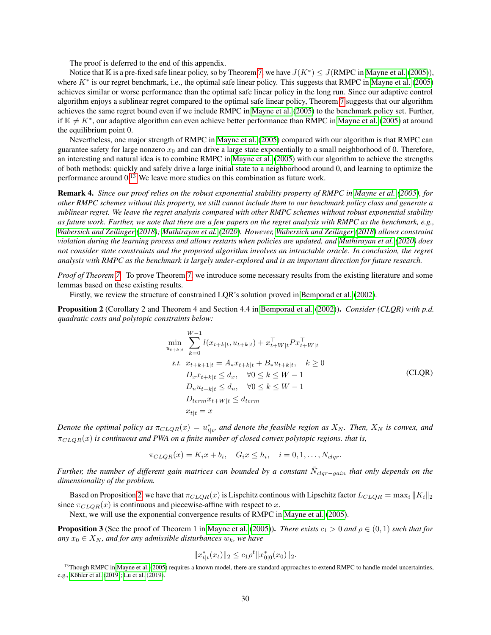The proof is deferred to the end of this appendix.

Notice that K is a pre-fixed safe linear policy, so by Theorem [7,](#page-28-1) we have  $J(K^*) \le J(RMPC)$  in [Mayne et al.](#page-11-8) [\(2005\)](#page-11-8)), where  $K^*$  is our regret benchmark, i.e., the optimal safe linear policy. This suggests that RMPC in [Mayne et al.](#page-11-8) [\(2005\)](#page-11-8) achieves similar or worse performance than the optimal safe linear policy in the long run. Since our adaptive control algorithm enjoys a sublinear regret compared to the optimal safe linear policy, Theorem [7](#page-28-1) suggests that our algorithm achieves the same regret bound even if we include RMPC in [Mayne et al.](#page-11-8) [\(2005\)](#page-11-8) to the benchmark policy set. Further, if  $\mathbb{K} \neq K^*$ , our adaptive algorithm can even achieve better performance than RMPC in [Mayne et al.](#page-11-8) [\(2005\)](#page-11-8) at around the equilibrium point 0.

Nevertheless, one major strength of RMPC in [Mayne et al.](#page-11-8) [\(2005\)](#page-11-8) compared with our algorithm is that RMPC can guarantee safety for large nonzero  $x_0$  and can drive a large state exponentially to a small neighborhood of 0. Therefore, an interesting and natural idea is to combine RMPC in [Mayne et al.](#page-11-8) [\(2005\)](#page-11-8) with our algorithm to achieve the strengths of both methods: quickly and safely drive a large initial state to a neighborhood around 0, and learning to optimize the performance around 0.[13](#page-0-0) We leave more studies on this combination as future work.

Remark 4. *Since our proof relies on the robust exponential stability property of RMPC in [Mayne et al.](#page-11-8) [\(2005\)](#page-11-8), for other RMPC schemes without this property, we still cannot include them to our benchmark policy class and generate a sublinear regret. We leave the regret analysis compared with other RMPC schemes without robust exponential stability as future work. Further, we note that there are a few papers on the regret analysis with RMPC as the benchmark, e.g., [Wabersich and Zeilinger](#page-12-15) [\(2018\)](#page-12-15); [Muthirayan et al.](#page-11-17) [\(2020\)](#page-11-17). However, [Wabersich and Zeilinger](#page-12-15) [\(2018\)](#page-12-15) allows constraint violation during the learning process and allows restarts when policies are updated, and [Muthirayan et al.](#page-11-17) [\(2020\)](#page-11-17) does not consider state constraints and the proposed algorithm involves an intractable oracle. In conclusion, the regret analysis with RMPC as the benchmark is largely under-explored and is an important direction for future research.*

*Proof of Theorem [7.](#page-28-1)* To prove Theorem [7,](#page-28-1) we introduce some necessary results from the existing literature and some lemmas based on these existing results.

Firstly, we review the structure of constrained LQR's solution proved in [Bemporad et al.](#page-11-6) [\(2002\)](#page-11-6).

<span id="page-29-0"></span>Proposition 2 (Corollary 2 and Theorem 4 and Section 4.4 in [Bemporad et al.](#page-11-6) [\(2002\)](#page-11-6)). *Consider (CLQR) with p.d. quadratic costs and polytopic constraints below:*

$$
\min_{u_{t+k|t}} \sum_{k=0}^{W-1} l(x_{t+k|t}, u_{t+k|t}) + x_{t+W|t}^{\top} P x_{t+W|t}^{\top}
$$
\n
$$
s.t. \ x_{t+k+1|t} = A_* x_{t+k|t} + B_* u_{t+k|t}, \quad k \ge 0
$$
\n
$$
D_x x_{t+k|t} \le d_x, \quad \forall 0 \le k \le W - 1
$$
\n
$$
D_u u_{t+k|t} \le d_u, \quad \forall 0 \le k \le W - 1
$$
\n
$$
D_{term} x_{t+W|t} \le d_{term}
$$
\n
$$
x_{t|t} = x
$$
\n
$$
(CLQR)
$$

*Denote the optimal policy as*  $\pi_{CLQR}(x) = u^*_{t|t}$ , and denote the feasible region as  $X_N$ . Then,  $X_N$  is convex, and  $\pi_{CLOR}(x)$  *is continuous and PWA on a finite number of closed convex polytopic regions. that is,* 

$$
\pi_{CLQR}(x) = K_i x + b_i, \quad G_i x \le h_i, \quad i = 0, 1, \dots, N_{clqr}.
$$

*Further, the number of different gain matrices can bounded by a constant*  $\bar{N}_{clqr-gain}$  *that only depends on the dimensionality of the problem.*

Based on Proposition [2,](#page-29-0) we have that  $\pi_{CLQR}(x)$  is Lispchitz continous with Lipschitz factor  $L_{CLQR} = \max_i ||K_i||_2$ since  $\pi_{CLQR}(x)$  is continuous and piecewise-affine with respect to x.

Next, we will use the exponential convergence results of RMPC in [Mayne et al.](#page-11-8) [\(2005\)](#page-11-8).

<span id="page-29-1"></span>**Proposition 3** (See the proof of Theorem 1 in [Mayne et al.](#page-11-8) [\(2005\)](#page-11-8)). *There exists*  $c_1 > 0$  *and*  $\rho \in (0,1)$  *such that for any*  $x_0 \in X_N$ *, and for any admissible disturbances*  $w_k$ *, we have* 

$$
||x_{t|t}^*(x_t)||_2 \leq c_1 \rho^t ||x_{0|0}^*(x_0)||_2.
$$

<sup>&</sup>lt;sup>13</sup>Though RMPC in [Mayne et al.](#page-11-8) [\(2005\)](#page-11-8) requires a known model, there are standard approaches to extend RMPC to handle model uncertainties, e.g., [Köhler et al.](#page-11-14) [\(2019\)](#page-11-14); [Lu et al.](#page-11-15) [\(2019\)](#page-11-15).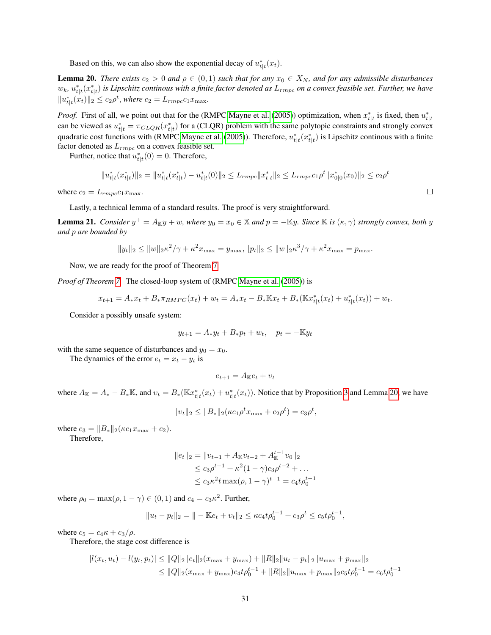Based on this, we can also show the exponential decay of  $u_{t|t}^*(x_t)$ .

<span id="page-30-0"></span>**Lemma 20.** *There exists*  $c_2 > 0$  *and*  $\rho \in (0,1)$  *such that for any*  $x_0 \in X_N$ *, and for any admissible disturbances*  $w_k$ ,  $u_{t|t}^*(x_{t|t}^*)$  is Lipschitz continous with a finite factor denoted as  $L_{rmpe}$  on a convex feasible set. Further, we have  $||u_{t|t}^*(x_t)||_2 \le c_2 \rho^t$ , where  $c_2 = L_{rmpc} c_1 x_{\text{max}}$ .

*Proof.* First of all, we point out that for the (RMPC [Mayne et al.](#page-11-8) [\(2005\)](#page-11-8)) optimization, when  $x_{t|t}^*$  is fixed, then  $u_{t|t}^*$ can be viewed as  $u_{t|t}^* = \pi_{CLQR}(x_{t|t}^*)$  for a (CLQR) problem with the same polytopic constraints and strongly convex quadratic cost functions with (RMPC [Mayne et al.](#page-11-8) [\(2005\)](#page-11-8)). Therefore,  $u_{t|t}^*(x_{t|t}^*)$  is Lipschitz continous with a finite factor denoted as  $L_{rmpc}$  on a convex feasible set.

Further, notice that  $u_{t|t}^*(0) = 0$ . Therefore,

$$
||u_{t|t}^*(x_{t|t}^*)||_2 = ||u_{t|t}^*(x_{t|t}^*) - u_{t|t}^*(0)||_2 \le L_{rmpc}||x_{t|t}^*||_2 \le L_{rmpc}c_1\rho^t ||x_{0|0}^*(x_0)||_2 \le c_2\rho^t
$$

where  $c_2 = L_{rmpc} c_1 x_{\text{max}}$ .

Lastly, a technical lemma of a standard results. The proof is very straightforward.

**Lemma 21.** *Consider*  $y^+ = A_{\mathbb{K}}y + w$ , where  $y_0 = x_0 \in \mathbb{K}$  and  $p = -\mathbb{K}y$ . Since  $\mathbb{K}$  *is*  $(\kappa, \gamma)$  *strongly convex, both*  $y$ *and* p *are bounded by*

$$
||y_t||_2 \le ||w||_2 \kappa^2 / \gamma + \kappa^2 x_{\max} = y_{\max}, ||p_t||_2 \le ||w||_2 \kappa^3 / \gamma + \kappa^2 x_{\max} = p_{\max}.
$$

Now, we are ready for the proof of Theorem [7.](#page-28-1)

*Proof of Theorem [7.](#page-28-1)* The closed-loop system of (RMPC [Mayne et al.](#page-11-8) [\(2005\)](#page-11-8)) is

$$
x_{t+1} = A_*x_t + B_*\pi_{RMPC}(x_t) + w_t = A_*x_t - B_*\mathbb{K}x_t + B_*\left(\mathbb{K}x_{t|t}^*(x_t) + u_{t|t}^*(x_t)\right) + w_t.
$$

Consider a possibly unsafe system:

$$
y_{t+1} = A_* y_t + B_* p_t + w_t, \quad p_t = -\mathbb{K} y_t
$$

with the same sequence of disturbances and  $y_0 = x_0$ .

The dynamics of the error  $e_t = x_t - y_t$  is

$$
e_{t+1} = A_{\mathbb{K}}e_t + v_t
$$

where  $A_{\mathbb{K}} = A_* - B_*\mathbb{K}$ , and  $v_t = B_*(\mathbb{K}x_{t|t}^*(x_t) + u_{t|t}^*(x_t))$ . Notice that by Proposition [3](#page-29-1) and Lemma [20,](#page-30-0) we have

$$
||v_t||_2 \le ||B_*||_2(\kappa c_1 \rho^t x_{\max} + c_2 \rho^t) = c_3 \rho^t,
$$

where  $c_3 = ||B_*||_2(\kappa c_1 x_{\text{max}} + c_2).$ 

Therefore,

$$
||e_t||_2 = ||v_{t-1} + A_{\mathbb{K}}v_{t-2} + A_{\mathbb{K}}^{t-1}v_0||_2
$$
  
\n
$$
\le c_3 \rho^{t-1} + \kappa^2 (1 - \gamma)c_3 \rho^{t-2} + \dots
$$
  
\n
$$
\le c_3 \kappa^2 t \max(\rho, 1 - \gamma)^{t-1} = c_4 t \rho_0^{t-1}
$$

where  $\rho_0 = \max(\rho, 1 - \gamma) \in (0, 1)$  and  $c_4 = c_3 \kappa^2$ . Further,

$$
||u_t - p_t||_2 = || - \mathbb{K}e_t + v_t||_2 \le \kappa c_4 t \rho_0^{t-1} + c_3 \rho^t \le c_5 t \rho_0^{t-1},
$$

where  $c_5 = c_4 \kappa + c_3/\rho$ .

Therefore, the stage cost difference is

$$
|l(x_t, u_t) - l(y_t, p_t)| \le ||Q||_2 ||e_t||_2 (x_{\max} + y_{\max}) + ||R||_2 ||u_t - p_t||_2 ||u_{\max} + p_{\max}||_2
$$
  
\n
$$
\le ||Q||_2 (x_{\max} + y_{\max}) c_4 t \rho_0^{t-1} + ||R||_2 ||u_{\max} + p_{\max}||_2 c_5 t \rho_0^{t-1} = c_6 t \rho_0^{t-1}
$$

 $\Box$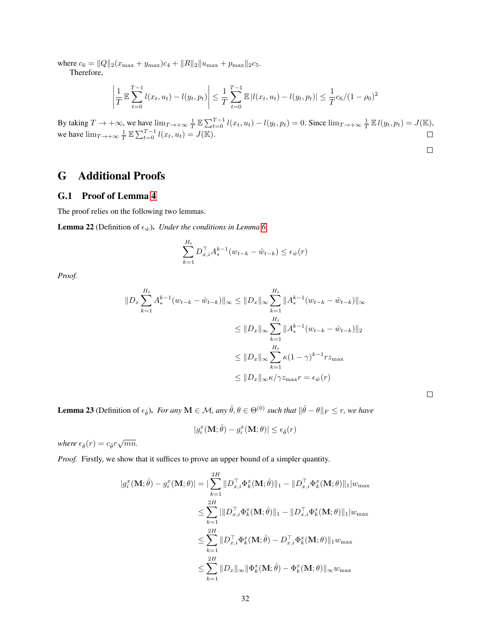where  $c_6 = ||Q||_2(x_{\text{max}} + y_{\text{max}})c_4 + ||R||_2||u_{\text{max}} + p_{\text{max}}||_2c_5.$ 

Therefore,

$$
\left| \frac{1}{T} \mathbb{E} \sum_{t=0}^{T-1} l(x_t, u_t) - l(y_t, p_t) \right| \leq \frac{1}{T} \sum_{t=0}^{T-1} \mathbb{E} |l(x_t, u_t) - l(y_t, p_t)| \leq \frac{1}{T} c_6 / (1 - \rho_0)^2
$$

By taking  $T \to +\infty$ , we have  $\lim_{T \to +\infty} \frac{1}{T} \mathbb{E} \sum_{t=0}^{T-1} l(x_t, u_t) - l(y_t, p_t) = 0$ . Since  $\lim_{T \to +\infty} \frac{1}{T} \mathbb{E} l(y_t, p_t) = J(\mathbb{K})$ , we have  $\lim_{T \to +\infty} \frac{1}{T} \mathbb{E} \sum_{t=0}^{T-1} l(x_t, u_t) = J(\mathbb{K}).$ 

$$
\Box
$$

 $\Box$ 

# <span id="page-31-0"></span>G Additional Proofs

### <span id="page-31-1"></span>G.1 Proof of Lemma [4](#page-14-2)

The proof relies on the following two lemmas.

**Lemma 22** (Definition of  $\epsilon_{\hat{w}}$ ). *Under the conditions in Lemma [6,](#page-15-0)* 

$$
\sum_{k=1}^{H_t} D_{x,i}^\top A_*^{k-1} (w_{t-k} - \hat{w}_{t-k}) \le \epsilon_{\hat{w}}(r)
$$

*Proof.*

$$
||D_x \sum_{k=1}^{H_t} A_*^{k-1} (w_{t-k} - \hat{w}_{t-k}) ||_{\infty} \le ||D_x||_{\infty} \sum_{k=1}^{H_t} ||A_*^{k-1} (w_{t-k} - \hat{w}_{t-k}) ||_{\infty}
$$
  

$$
\le ||D_x||_{\infty} \sum_{k=1}^{H_t} ||A_*^{k-1} (w_{t-k} - \hat{w}_{t-k}) ||_2
$$
  

$$
\le ||D_x||_{\infty} \sum_{k=1}^{H_t} \kappa (1 - \gamma)^{k-1} r z_{\text{max}}
$$
  

$$
\le ||D_x||_{\infty} \kappa / \gamma z_{\text{max}} r = \epsilon_{\hat{w}}(r)
$$

**Lemma 23** (Definition of  $\epsilon_{\hat{\theta}}$ ). *For any*  $\mathbf{M} \in \mathcal{M}$ , *any*  $\hat{\theta}, \theta \in \Theta^{(0)}$  *such that*  $\|\hat{\theta} - \theta\|_F \leq r$ , we have

$$
|g_i^x(\mathbf{M};\hat{\theta})-g_i^x(\mathbf{M};\theta)|\leq \epsilon_{\hat{\theta}}(r)
$$

where  $\epsilon_{\hat{\theta}}(r) = c_{\hat{\theta}} r \sqrt{mn}$ .

*Proof.* Firstly, we show that it suffices to prove an upper bound of a simpler quantity.

$$
|g_i^x(\mathbf{M};\hat{\theta}) - g_i^x(\mathbf{M};\theta)| = \sum_{k=1}^{2H} ||D_{x,i}^\top \Phi_k^x(\mathbf{M};\hat{\theta})||_1 - ||D_{x,i}^\top \Phi_k^x(\mathbf{M};\theta)||_1 |w_{\max}
$$
  
\n
$$
\leq \sum_{k=1}^{2H} |||D_{x,i}^\top \Phi_k^x(\mathbf{M};\hat{\theta})||_1 - ||D_{x,i}^\top \Phi_k^x(\mathbf{M};\theta)||_1 |w_{\max}
$$
  
\n
$$
\leq \sum_{k=1}^{2H} ||D_{x,i}^\top \Phi_k^x(\mathbf{M};\hat{\theta}) - D_{x,i}^\top \Phi_k^x(\mathbf{M};\theta)||_1 w_{\max}
$$
  
\n
$$
\leq \sum_{k=1}^{2H} ||D_x||_{\infty} ||\Phi_k^x(\mathbf{M};\hat{\theta}) - \Phi_k^x(\mathbf{M};\theta)||_{\infty} w_{\max}
$$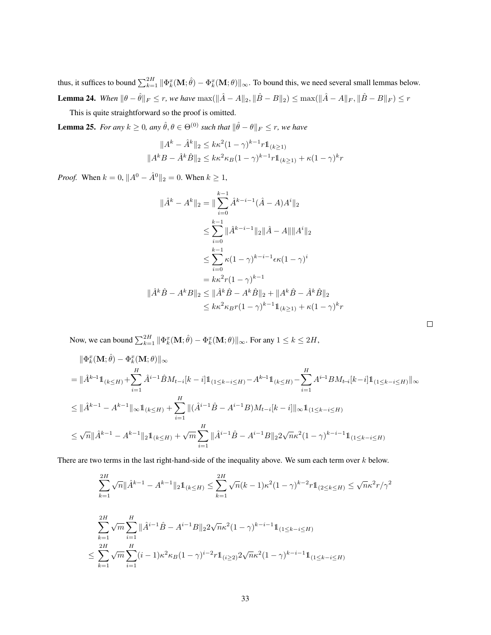thus, it suffices to bound  $\sum_{k=1}^{2H} \|\Phi_k^x(\mathbf{M}; \hat{\theta}) - \Phi_k^x(\mathbf{M}; \theta)\|_{\infty}$ . To bound this, we need several small lemmas below. **Lemma 24.** *When*  $\|\theta - \hat{\theta}\|_F \le r$ , we have  $\max(\|\hat{A} - A\|_2, \|\hat{B} - B\|_2) \le \max(\|\hat{A} - A\|_F, \|\hat{B} - B\|_F) \le r$ 

This is quite straightforward so the proof is omitted.

<span id="page-32-0"></span>**Lemma 25.** *For any*  $k \ge 0$ , any  $\hat{\theta}, \theta \in \Theta^{(0)}$  *such that*  $\|\hat{\theta} - \theta\|_F \le r$ , we have

$$
||A^k - \hat{A}^k||_2 \le k\kappa^2 (1 - \gamma)^{k-1} r \mathbb{1}_{(k \ge 1)}
$$
  

$$
||A^k B - \hat{A}^k \hat{B}||_2 \le k\kappa^2 \kappa (1 - \gamma)^{k-1} r \mathbb{1}_{(k \ge 1)} + \kappa (1 - \gamma)^k r
$$

*Proof.* When  $k = 0$ ,  $||A^0 - \hat{A}^0||_2 = 0$ . When  $k \ge 1$ ,

$$
\|\hat{A}^{k} - A^{k}\|_{2} = \|\sum_{i=0}^{k-1} \hat{A}^{k-i-1}(\hat{A} - A)A^{i}\|_{2}
$$
  
\n
$$
\leq \sum_{i=0}^{k-1} \|\hat{A}^{k-i-1}\|_{2} \|\hat{A} - A\|\|A^{i}\|_{2}
$$
  
\n
$$
\leq \sum_{i=0}^{k-1} \kappa (1 - \gamma)^{k-i-1} \epsilon \kappa (1 - \gamma)^{i}
$$
  
\n
$$
= k\kappa^{2} r (1 - \gamma)^{k-1}
$$
  
\n
$$
\|\hat{A}^{k}\hat{B} - A^{k}B\|_{2} \leq \|\hat{A}^{k}\hat{B} - A^{k}\hat{B}\|_{2} + \|A^{k}\hat{B} - \hat{A}^{k}\hat{B}\|_{2}
$$
  
\n
$$
\leq k\kappa^{2} \kappa_{B} r (1 - \gamma)^{k-1} \mathbb{1}_{(k \geq 1)} + \kappa (1 - \gamma)^{k} r
$$

 $\Box$ 

Now, we can bound  $\sum_{k=1}^{2H} \|\Phi_k^x(\mathbf{M}; \hat{\theta}) - \Phi_k^x(\mathbf{M}; \theta)\|_{\infty}$ . For any  $1 \le k \le 2H$ ,

$$
\begin{split}\n&\|\Phi_{k}^{x}(\mathbf{M};\hat{\theta}) - \Phi_{k}^{x}(\mathbf{M};\theta)\|_{\infty} \\
&= \|\hat{A}^{k-1}\mathbb{1}_{(k\leq H)} + \sum_{i=1}^{H} \hat{A}^{i-1}\hat{B}M_{t-i}[k-i]\mathbb{1}_{(1\leq k-i\leq H)} - A^{k-1}\mathbb{1}_{(k\leq H)} - \sum_{i=1}^{H} A^{i-1}BM_{t-i}[k-i]\mathbb{1}_{(1\leq k-i\leq H)}\|_{\infty} \\
&\leq \|\hat{A}^{k-1} - A^{k-1}\|_{\infty}\mathbb{1}_{(k\leq H)} + \sum_{i=1}^{H} \|(\hat{A}^{i-1}\hat{B} - A^{i-1}B)M_{t-i}[k-i]\|_{\infty}\mathbb{1}_{(1\leq k-i\leq H)} \\
&\leq \sqrt{n}\|\hat{A}^{k-1} - A^{k-1}\|_{2}\mathbb{1}_{(k\leq H)} + \sqrt{m}\sum_{i=1}^{H} \|\hat{A}^{i-1}\hat{B} - A^{i-1}B\|_{2}2\sqrt{n}\kappa^{2}(1-\gamma)^{k-i-1}\mathbb{1}_{(1\leq k-i\leq H)}\n\end{split}
$$

There are two terms in the last right-hand-side of the inequality above. We sum each term over k below.

$$
\sum_{k=1}^{2H} \sqrt{n} \|\hat{A}^{k-1} - A^{k-1}\|_2 \mathbb{1}_{(k \le H)} \le \sum_{k=1}^{2H} \sqrt{n}(k-1)\kappa^2 (1-\gamma)^{k-2} r \mathbb{1}_{(2 \le k \le H)} \le \sqrt{n}\kappa^2 r/\gamma^2
$$
  

$$
\sum_{k=1}^{2H} \sqrt{m} \sum_{i=1}^{H} \|\hat{A}^{i-1}\hat{B} - A^{i-1}B\|_2 2\sqrt{n}\kappa^2 (1-\gamma)^{k-i-1} \mathbb{1}_{(1 \le k-i \le H)}
$$
  

$$
\le \sum_{k=1}^{2H} \sqrt{m} \sum_{i=1}^{H} (i-1)\kappa^2 \kappa_B (1-\gamma)^{i-2} r \mathbb{1}_{(i \ge 2)} 2\sqrt{n}\kappa^2 (1-\gamma)^{k-i-1} \mathbb{1}_{(1 \le k-i \le H)}
$$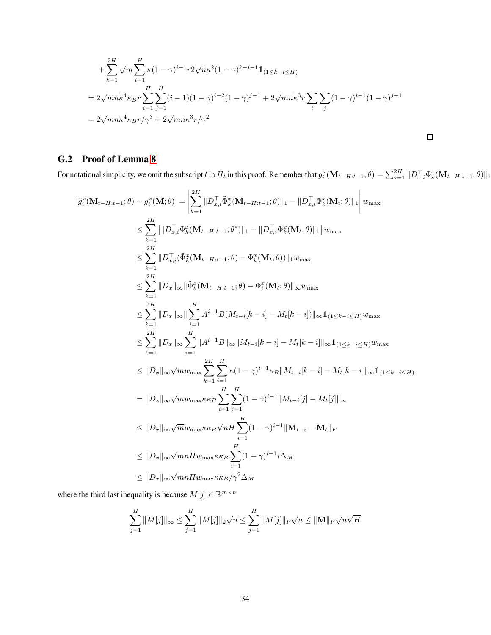+ 
$$
\sum_{k=1}^{2H} \sqrt{m} \sum_{i=1}^{H} \kappa (1 - \gamma)^{i-1} r 2 \sqrt{n} \kappa^2 (1 - \gamma)^{k-i-1} 1\!\!1_{(1 \le k - i \le H)}
$$
  
\n=  $2\sqrt{mn} \kappa^4 \kappa_B r \sum_{i=1}^{H} \sum_{j=1}^{H} (i-1)(1 - \gamma)^{i-2} (1 - \gamma)^{j-1} + 2\sqrt{mn} \kappa^3 r \sum_{i} \sum_{j} (1 - \gamma)^{i-1} (1 - \gamma)^{j-1}$   
\n=  $2\sqrt{mn} \kappa^4 \kappa_B r / \gamma^3 + 2\sqrt{mn} \kappa^3 r / \gamma^2$ 

### <span id="page-33-0"></span>G.2 Proof of Lemma [8](#page-16-2)

For notational simplicity, we omit the subscript t in  $H_t$  in this proof. Remember that  $g_i^x(\mathbf{M}_{t-H:t-1};\theta) = \sum_{s=1}^{2H} ||D_{x,i}^{\top} \Phi_s^x(\mathbf{M}_{t-H:t-1};\theta)||_1$ 

$$
\begin{split}\n\left|\tilde{g}_{i}^{x}(\mathbf{M}_{t-H:t-1};\theta)-g_{i}^{x}(\mathbf{M};\theta)\right| &= \left|\sum_{k=1}^{2H}||D_{x,i}^{T}\tilde{\Phi}_{k}^{x}(\mathbf{M}_{t-H:t-1};\theta)||_{1} - ||D_{x,i}^{T}\Phi_{k}^{x}(\mathbf{M}_{t};\theta)||_{1}\right|w_{\max} \\
&\leq \sum_{k=1}^{2H}||D_{x,i}^{T}\tilde{\Phi}_{k}^{x}(\mathbf{M}_{t-H:t-1};\theta^{*})||_{1} - ||D_{x,i}^{T}\Phi_{k}^{x}(\mathbf{M}_{t};\theta)||_{1}|w_{\max} \\
&\leq \sum_{k=1}^{2H}||D_{x,i}^{T}(\tilde{\Phi}_{k}^{x}(\mathbf{M}_{t-H:t-1};\theta) - \Phi_{k}^{x}(\mathbf{M}_{t};\theta))||_{1}w_{\max} \\
&\leq \sum_{k=1}^{2H}||D_{x}||_{\infty}||\tilde{\Phi}_{k}^{x}(\mathbf{M}_{t-H:t-1};\theta) - \Phi_{k}^{x}(\mathbf{M}_{t};\theta)||_{\infty}w_{\max} \\
&\leq \sum_{k=1}^{2H}||D_{x}||_{\infty}||\sum_{i=1}^{H}A^{i-1}B(M_{t-i}[k-i]-M_{t}[k-i])||_{\infty}\mathbf{1}_{(1\leq k-i\leq H)}w_{\max} \\
&\leq \sum_{k=1}^{2H}||D_{x}||_{\infty}\sum_{i=1}^{H}||A^{i-1}B||_{\infty}||M_{t-i}[k-i]-M_{t}[k-i]||_{\infty}\mathbf{1}_{(1\leq k-i\leq H)}w_{\max} \\
&\leq ||D_{x}||_{\infty}\sqrt{m}w_{\max}\sum_{k=1}^{2H}\sum_{i=1}^{H}K(1-\gamma)^{i-1}||M_{t-i}[j]-M_{t}[j]||_{\infty} \\
&\leq ||D_{x}||_{\infty}\sqrt{m}w_{\max}\kappa\kappa_{B}\sqrt{nH}\sum_{i=1}^{H}(1-\gamma)^{i-1}||\mathbf{M}_{t-i}-\mathbf{M}_{t}||_{F} \\
&\leq ||D_{x}||_{\infty}\sqrt{m}W_{\max}\k
$$

where the third last inequality is because  $M[j] \in \mathbb{R}^{m \times n}$ 

$$
\sum_{j=1}^{H} ||M[j]||_{\infty} \le \sum_{j=1}^{H} ||M[j]||_2 \sqrt{n} \le \sum_{j=1}^{H} ||M[j]||_F \sqrt{n} \le ||\mathbf{M}||_F \sqrt{n} \sqrt{H}
$$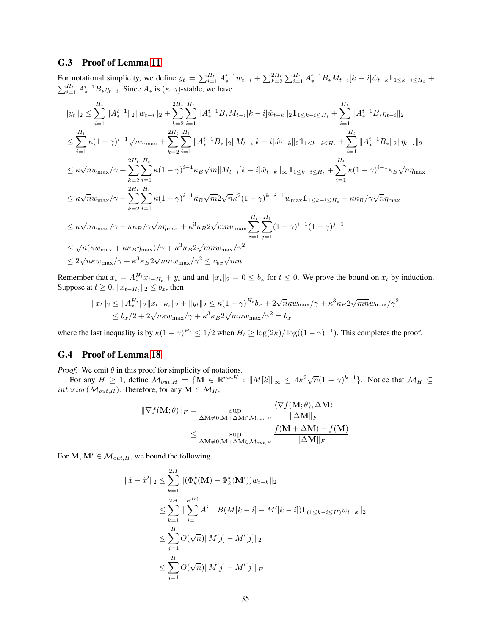### <span id="page-34-0"></span>G.3 Proof of Lemma [11](#page-19-2)

For notational simplicity, we define  $y_t = \sum_{i=1}^{H_t} A_*^{i-1} w_{t-i} + \sum_{k=2}^{2H_t} \sum_{i=1}^{H_t} A_*^{i-1} B_* M_{t-i} [k-i] \hat{w}_{t-k} \mathbb{1}_{1 \leq k-i \leq H_t} +$  $\sum_{i=1}^{H_t} A_i^{i-1} B_* \eta_{t-i}$ . Since  $A_*$  is  $(\kappa, \gamma)$ -stable, we have

$$
||y_t||_2 \leq \sum_{i=1}^{H_t} ||A_i^{i-1}||_2 ||w_{t-i}||_2 + \sum_{k=2}^{2H_t} \sum_{i=1}^{H_t} ||A_i^{i-1}B_* M_{t-i}[k-i]\hat{w}_{t-k}||_2 1_{1 \leq k-i \leq H_t} + \sum_{i=1}^{H_t} ||A_i^{i-1}B_* \eta_{t-i}||_2
$$
  
\n
$$
\leq \sum_{i=1}^{H_t} \kappa (1-\gamma)^{i-1} \sqrt{n} w_{\max} + \sum_{k=2}^{2H_t} \sum_{i=1}^{H_t} ||A_i^{i-1}B_*||_2 ||M_{t-i}[k-i]\hat{w}_{t-k}||_2 1_{1 \leq k-i \leq H_t} + \sum_{i=1}^{H_t} ||A_i^{i-1}B_*||_2 ||\eta_{t-i}||_2
$$
  
\n
$$
\leq \kappa \sqrt{n} w_{\max} / \gamma + \sum_{k=2}^{2H_t} \sum_{i=1}^{H_t} \kappa (1-\gamma)^{i-1} \kappa_B \sqrt{m} ||M_{t-i}[k-i]\hat{w}_{t-k}||_{\infty} 1_{1 \leq k-i \leq H_t} + \sum_{i=1}^{H_t} \kappa (1-\gamma)^{i-1} \kappa_B \sqrt{n} \eta_{\max}
$$
  
\n
$$
\leq \kappa \sqrt{n} w_{\max} / \gamma + \sum_{k=2}^{2H_t} \sum_{i=1}^{H_t} \kappa (1-\gamma)^{i-1} \kappa_B \sqrt{m} 2 \sqrt{n} \kappa^2 (1-\gamma)^{k-i-1} w_{\max} 1_{1 \leq k-i \leq H_t} + \kappa \kappa_B / \gamma \sqrt{n} \eta_{\max}
$$
  
\n
$$
\leq \kappa \sqrt{n} w_{\max} / \gamma + \kappa \kappa_B / \gamma \sqrt{n} \eta_{\max} + \kappa^3 \kappa_B 2 \sqrt{m} \eta w_{\max} \sum_{i=1}^{H_t} \sum_{j=1}^{H_t} (1-\gamma)^{i-1} (1-\gamma)^{j-1}
$$
  
\n
$$
\leq \sqrt{n} (\kappa w_{\max} + \kappa \kappa_B \eta_{\max}) / \gamma + \kappa^3 \kappa_B 2 \sqrt{m} \eta w_{\max
$$

Remember that  $x_t = A_*^{H_t} x_{t-H_t} + y_t$  and and  $||x_t||_2 = 0 \le b_x$  for  $t \le 0$ . We prove the bound on  $x_t$  by induction. Suppose at  $t \geq 0$ ,  $||x_{t-H_t}||_2 \leq b_x$ , then

$$
||x_t||_2 \le ||A_*^{H_t}||_2 ||x_{t-H_t}||_2 + ||y_t||_2 \le \kappa (1 - \gamma)^{H_t} b_x + 2\sqrt{n\kappa} w_{\text{max}}/\gamma + \kappa^3 \kappa_B 2\sqrt{m n} w_{\text{max}}/\gamma^2
$$
  

$$
\le b_x/2 + 2\sqrt{n\kappa} w_{\text{max}}/\gamma + \kappa^3 \kappa_B 2\sqrt{m n} w_{\text{max}}/\gamma^2 = b_x
$$

where the last inequality is by  $\kappa(1-\gamma)^{H_t} \leq 1/2$  when  $H_t \geq \log(2\kappa)/\log((1-\gamma)^{-1})$ . This completes the proof.

### <span id="page-34-1"></span>G.4 Proof of Lemma [18](#page-25-2)

*Proof.* We omit  $\theta$  in this proof for simplicity of notations.

For any  $H \ge 1$ , define  $M_{out,H} = \{ \mathbf{M} \in \mathbb{R}^{mnH} : ||M[k]||_{\infty} \le 4\kappa^2 \sqrt{n}(1-\gamma)^{k-1} \}$ . Notice that  $M_H \subseteq$  $interior(M_{out,H})$ . Therefore, for any  $M \in \mathcal{M}_H$ ,

$$
\begin{aligned} \|\nabla f(\mathbf{M};\theta)\|_{F} &= \sup_{\Delta \mathbf{M} \neq 0, \mathbf{M} + \Delta \mathbf{M} \in \mathcal{M}_{out,H}} \frac{\langle \nabla f(\mathbf{M};\theta), \Delta \mathbf{M} \rangle}{\|\Delta \mathbf{M}\|_{F}} \\ &\leq \sup_{\Delta \mathbf{M} \neq 0, \mathbf{M} + \Delta \mathbf{M} \in \mathcal{M}_{out,H}} \frac{f(\mathbf{M} + \Delta \mathbf{M}) - f(\mathbf{M})}{\|\Delta \mathbf{M}\|_{F}} \end{aligned}
$$

For  $M, M' \in \mathcal{M}_{out,H}$ , we bound the following.

$$
\begin{aligned} \|\tilde{x} - \tilde{x}'\|_2 &\leq \sum_{k=1}^{2H} \| (\Phi_k^x(\mathbf{M}) - \Phi_k^x(\mathbf{M}')) w_{t-k} \|_2 \\ &\leq \sum_{k=1}^{2H} \| \sum_{i=1}^{H^{(e)}} A^{i-1} B(M[k-i] - M'[k-i]) \mathbb{1}_{(1 \leq k-i \leq H)} w_{t-k} \|_2 \\ &\leq \sum_{j=1}^{H} O(\sqrt{n}) \| M[j] - M'[j] \|_2 \\ &\leq \sum_{j=1}^{H} O(\sqrt{n}) \| M[j] - M'[j] \|_F \end{aligned}
$$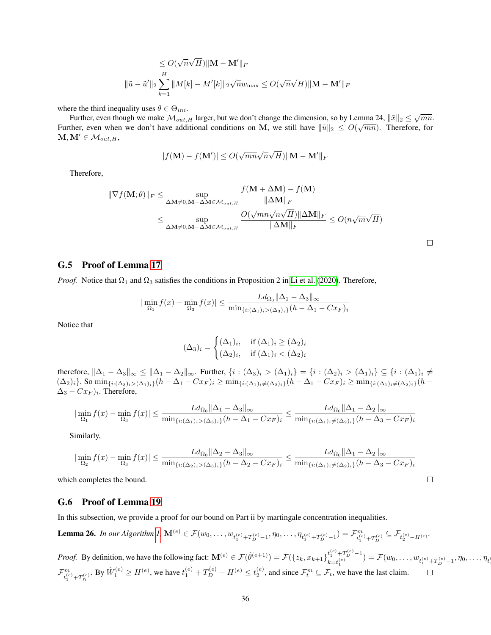$$
\leq O(\sqrt{n}\sqrt{H})\|\mathbf{M} - \mathbf{M}'\|_F
$$
  

$$
\|\tilde{u} - \tilde{u}'\|_2 \sum_{k=1}^H \|M[k] - M'[k]\|_2 \sqrt{n} w_{\text{max}} \leq O(\sqrt{n}\sqrt{H})\|\mathbf{M} - \mathbf{M}'\|_F
$$

where the third inequality uses  $\theta \in \Theta_{ini}$ .

Further, even though we make  $M_{out,H}$  larger, but we don't change the dimension, so by Lemma 24,  $\|\tilde{x}\|_2 \leq \sqrt{mn}$ . Further, even when we don't have additional conditions on M, we still have  $\|\tilde{u}\|_2 \leq O(\sqrt{mn})$ . Therefore, for  $M, M' \in \mathcal{M}_{out, H}$ 

$$
|f(\mathbf{M}) - f(\mathbf{M}')| \le O(\sqrt{mn}\sqrt{n}\sqrt{H}) \|\mathbf{M} - \mathbf{M}'\|_F
$$

Therefore,

$$
\begin{aligned}\n\|\nabla f(\mathbf{M};\theta)\|_{F} &\leq \sup_{\Delta \mathbf{M} \neq 0, \mathbf{M} + \Delta \mathbf{M} \in \mathcal{M}_{out,H}} \frac{f(\mathbf{M} + \Delta \mathbf{M}) - f(\mathbf{M})}{\|\Delta \mathbf{M}\|_{F}} \\
&\leq \sup_{\Delta \mathbf{M} \neq 0, \mathbf{M} + \Delta \mathbf{M} \in \mathcal{M}_{out,H}} \frac{O(\sqrt{mn}\sqrt{n}\sqrt{H}) \|\Delta \mathbf{M}\|_{F}}{\|\Delta \mathbf{M}\|_{F}} \leq O(n\sqrt{m}\sqrt{H})\n\end{aligned}
$$

### <span id="page-35-0"></span>G.5 Proof of Lemma [17](#page-25-0)

*Proof.* Notice that  $\Omega_1$  and  $\Omega_3$  satisfies the conditions in Proposition 2 in [Li et al.](#page-11-4) [\(2020\)](#page-11-4). Therefore,

$$
|\min_{\Omega_1} f(x) - \min_{\Omega_3} f(x)| \le \frac{L d_{\Omega_0} ||\Delta_1 - \Delta_3||_{\infty}}{\min_{\{i : (\Delta_1)_i > (\Delta_3)_i\}} (h - \Delta_1 - C x_F)_i}
$$

Notice that

$$
(\Delta_3)_i = \begin{cases} (\Delta_1)_i, & \text{if } (\Delta_1)_i \ge (\Delta_2)_i \\ (\Delta_2)_i, & \text{if } (\Delta_1)_i < (\Delta_2)_i \end{cases}
$$

therefore,  $\|\Delta_1 - \Delta_3\|_{\infty} \le \|\Delta_1 - \Delta_2\|_{\infty}$ . Further,  $\{i : (\Delta_3)_i > (\Delta_1)_i\} = \{i : (\Delta_2)_i > (\Delta_1)_i\} \subseteq \{i : (\Delta_1)_i \ne \emptyset\}$  $(\Delta_2)_i$ . So  $\min_{\{i:(\Delta_3)_i>(\Delta_1)_i\}}(h - \Delta_1 - Cx_F)_i \ge \min_{\{i:(\Delta_1)_i\neq(\Delta_2)_i\}}(h - \Delta_1 - Cx_F)_i \ge \min_{\{i:(\Delta_1)_i\neq(\Delta_2)_i\}}(h - \Delta_1 - Cx_F)_i$  $\Delta_3 - Cx_F$ )<sub>i</sub>. Therefore,

$$
|\min_{\Omega_1} f(x) - \min_{\Omega_3} f(x)| \le \frac{Ld_{\Omega_0} \|\Delta_1 - \Delta_3\|_{\infty}}{\min_{\{i : (\Delta_1)_i > (\Delta_3)_i\}} (h - \Delta_1 - C x_F)_i} \le \frac{Ld_{\Omega_0} \|\Delta_1 - \Delta_2\|_{\infty}}{\min_{\{i : (\Delta_1)_i \ne (\Delta_2)_i\}} (h - \Delta_3 - C x_F)_i}
$$

Similarly,

$$
|\min_{\Omega_2} f(x) - \min_{\Omega_3} f(x)| \le \frac{Ld_{\Omega_0} \|\Delta_2 - \Delta_3\|_{\infty}}{\min_{\{i: (\Delta_2)_i > (\Delta_3)_i\}} (h - \Delta_2 - C x_F)_i} \le \frac{Ld_{\Omega_0} \|\Delta_1 - \Delta_2\|_{\infty}}{\min_{\{i: (\Delta_1)_i \ne (\Delta_2)_i\}} (h - \Delta_3 - C x_F)_i}
$$

which completes the bound.

#### <span id="page-35-1"></span>G.6 Proof of Lemma [19](#page-26-2)

In this subsection, we provide a proof for our bound on Part ii by martingale concentration inequalities.

**Lemma 26.** In our Algorithm I, 
$$
\mathbf{M}^{(e)} \in \mathcal{F}(w_0, \ldots, w_{t_1^{(e)} + T_D^{(e)} - 1}, \eta_0, \ldots, \eta_{t_1^{(e)} + T_D^{(e)} - 1}) = \mathcal{F}_{t_1^{(e)} + T_D^{(e)}}^m \subseteq \mathcal{F}_{t_2^{(e)} - H^{(e)}}.
$$

*Proof.* By definition, we have the following fact:  $\mathbf{M}^{(e)} \in \mathcal{F}(\hat{\theta}^{(e+1)}) = \mathcal{F}(\{z_k, x_{k+1}\}_{i}^{\{e\}} \underset{(e)}{+T_D^{(e)}-1}$  $(k_{t}^{(e)})^{(e)} = \mathcal{F}(w_0, \ldots, w_{t_1^{(e)} + T_D^{(e)} - 1}, \eta_0, \ldots, \eta_t)$  $\mathcal{F}^m_{\scriptscriptstyle(\epsilon)}$  $t_1^{(e)} + T_D^{(e)}$ . By  $\tilde{W}_1^{(e)} \ge H^{(e)}$ , we have  $t_1^{(e)} + T_D^{(e)} + H^{(e)} \le t_2^{(e)}$ , and since  $\mathcal{F}_t^m \subseteq \mathcal{F}_t$ , we have the last claim.

 $\Box$ 

 $\Box$ 

 $\overline{\phantom{a}}$ 1<br>1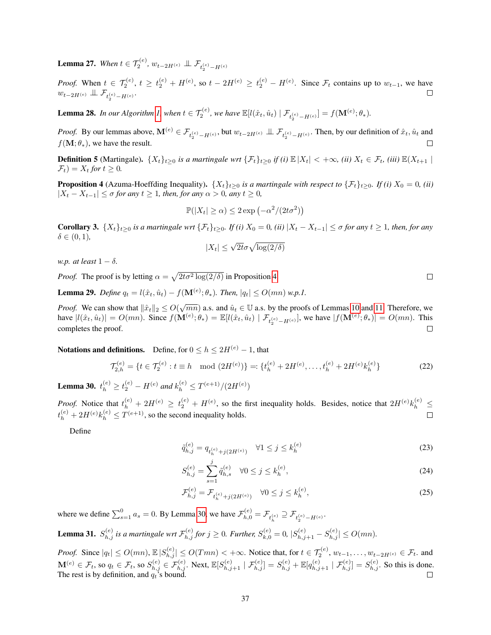**Lemma 27.** When  $t \in \mathcal{T}_2^{(e)}$ ,  $w_{t-2H^{(e)}} \perp \!\!\! \perp \mathcal{F}_{t_2^{(e)} - H^{(e)}}$ 

*Proof.* When  $t \in \mathcal{T}_2^{(e)}$ ,  $t \ge t_2^{(e)} + H^{(e)}$ , so  $t - 2H^{(e)} \ge t_2^{(e)} - H^{(e)}$ . Since  $\mathcal{F}_t$  contains up to  $w_{t-1}$ , we have  $w_{t-2H^{(e)}}\perp\!\!\!\perp \mathcal{F}_{t_2^{(e)}-H^{(e)}}.$ 

**Lemma 28.** In our Algorithm [1,](#page-5-0) when  $t \in \mathcal{T}_2^{(e)}$ , we have  $\mathbb{E}[l(\hat{x}_t, \hat{u}_t) | \mathcal{F}_{t_2^{(e)} - H^{(e)}}] = f(\mathbf{M}^{(e)}; \theta_*)$ .

*Proof.* By our lemmas above,  $\mathbf{M}^{(e)} \in \mathcal{F}_{t_2^{(e)} - H^{(e)}},$  but  $w_{t-2H^{(e)}} \perp \perp \mathcal{F}_{t_2^{(e)} - H^{(e)}}$ . Then, by our definition of  $\hat{x}_t, \hat{u}_t$  and  $f(\mathbf{M}; \theta_*)$ , we have the result.  $\Box$ 

**Definition 5** (Martingale).  $\{X_t\}_{t\geq0}$  *is a martingale wrt*  $\{\mathcal{F}_t\}_{t\geq0}$  *if (i)*  $\mathbb{E}|X_t| < +\infty$ , *(ii)*  $X_t \in \mathcal{F}_t$ , *(iii)*  $\mathbb{E}(X_{t+1} |$  $\mathcal{F}_t$ ) =  $X_t$  for  $t \geq 0$ .

<span id="page-36-0"></span>**Proposition 4** (Azuma-Hoeffding Inequality).  $\{X_t\}_{t\geq 0}$  *is a martingale with respect to*  $\{\mathcal{F}_t\}_{t\geq 0}$ . If (*i*)  $X_0 = 0$ , (*ii*)  $|X_t - X_{t-1}|$  ≤  $\sigma$  *for any*  $t \ge 1$ *, then, for any*  $\alpha > 0$ *, any*  $t \ge 0$ *,* 

$$
\mathbb{P}(|X_t| \ge \alpha) \le 2 \exp\left(-\alpha^2/(2t\sigma^2)\right)
$$

<span id="page-36-3"></span>**Corollary 3.**  $\{X_t\}_{t\geq0}$  *is a martingale wrt*  $\{\mathcal{F}_t\}_{t\geq0}$ *. If (i)*  $X_0=0$ *, (ii)*  $|X_t-X_{t-1}|\leq\sigma$  *for any*  $t\geq1$ *, then, for any*  $\delta \in (0,1)$ ,

$$
|X_t| \le \sqrt{2t}\sigma\sqrt{\log(2/\delta)}
$$

*w.p. at least*  $1 - \delta$ *.* 

*Proof.* The proof is by letting  $\alpha = \sqrt{2t\sigma^2 \log(2/\delta)}$  in Proposition [4.](#page-36-0)

**Lemma 29.** *Define*  $q_t = l(\hat{x}_t, \hat{u}_t) - f(\mathbf{M}^{(e)}; \theta_*)$ . *Then*,  $|q_t| \le O(mn)$  *w.p.1.* 

*Proof.* We can show that  $\|\hat{x}_t\|_2 \leq O(\sqrt{mn})$  a.s. and  $\hat{u}_t \in \mathbb{U}$  a.s. by the proofs of Lemmas [10](#page-19-1) and [11.](#page-19-2) Therefore, we have  $|l(\hat{x}_t, \hat{u}_t)| = O(mn)$ . Since  $f(\mathbf{M}^{(e)}; \theta_*) = \mathbb{E}[l(\hat{x}_t, \hat{u}_t) | \mathcal{F}_{t_2^{(e)} - H^{(e)}}]$ , we have  $|f(\mathbf{M}^{(e)}; \theta_*)| = O(mn)$ . This completes the proof.  $\Box$ 

Notations and definitions. Define, for  $0 \le h \le 2H^{(e)} - 1$ , that

$$
\mathcal{T}_{2,h}^{(e)} = \{ t \in \mathcal{T}_2^{(e)} : t \equiv h \mod (2H^{(e)}) \} =: \{ t_h^{(e)} + 2H^{(e)}, \dots, t_h^{(e)} + 2H^{(e)}k_h^{(e)} \}
$$
(22)

<span id="page-36-1"></span>**Lemma 30.**  $t_h^{(e)} \ge t_2^{(e)} - H^{(e)}$  and  $k_h^{(e)} \le T^{(e+1)}/(2H^{(e)})$ 

*Proof.* Notice that  $t_h^{(e)} + 2H^{(e)} \ge t_2^{(e)} + H^{(e)}$ , so the first inequality holds. Besides, notice that  $2H^{(e)}k_h^{(e)} \le$  $t_h^{(e)} + 2H^{(e)}k_h^{(e)} \leq T^{(e+1)}$ , so the second inequality holds.  $\Box$ 

Define

$$
\tilde{q}_{h,j}^{(e)} = q_{t_h^{(e)} + j(2H^{(e)})} \quad \forall 1 \le j \le k_h^{(e)} \tag{23}
$$

$$
S_{h,j}^{(e)} = \sum_{s=1}^{j} \tilde{q}_{h,s}^{(e)} \quad \forall 0 \le j \le k_h^{(e)},\tag{24}
$$

$$
\mathcal{F}_{h,j}^{(e)} = \mathcal{F}_{t_h^{(e)} + j(2H^{(e)})} \quad \forall 0 \le j \le k_h^{(e)},
$$
\n(25)

where we define  $\sum_{s=1}^{0} a_s = 0$ . By Lemma [30,](#page-36-1) we have  $\mathcal{F}_{h,0}^{(e)} = \mathcal{F}_{t_h^{(e)}} \supseteq \mathcal{F}_{t_2^{(e)} - H^{(e)}}$ .

<span id="page-36-2"></span>**Lemma 31.**  $S_{h,j}^{(e)}$  is a martingale wrt  $\mathcal{F}_{h,j}^{(e)}$  for  $j \ge 0$ . Further,  $S_{k,0}^{(e)} = 0$ ,  $|S_{h,j+1}^{(e)} - S_{h,j}^{(e)}| \le O(mn)$ .

*Proof.* Since  $|q_t| \le O(mn)$ ,  $\mathbb{E}|S_{h,j}^{(e)}| \le O(Tmn) < +\infty$ . Notice that, for  $t \in \mathcal{T}_2^{(e)}$ ,  $w_{t-1}, \ldots, w_{t-2H^{(e)}} \in \mathcal{F}_t$ . and  $\mathbf{M}^{(e)} \in \mathcal{F}_t$ , so  $q_t \in \mathcal{F}_t$ , so  $S_{h,j}^{(e)} \in \mathcal{F}_{h,j}^{(e)}$ . Next,  $\mathbb{E}[S_{h,j+1}^{(e)} \mid \mathcal{F}_{h,j}^{(e)}] = S_{h,j}^{(e)} + \mathbb{E}[q_{h,j+1}^{(e)} \mid \mathcal{F}_{h,j}^{(e)}] = S_{h,j}^{(e)}$ . So this is done. The rest is by definition, and  $q_t$ 's bound.

 $\Box$